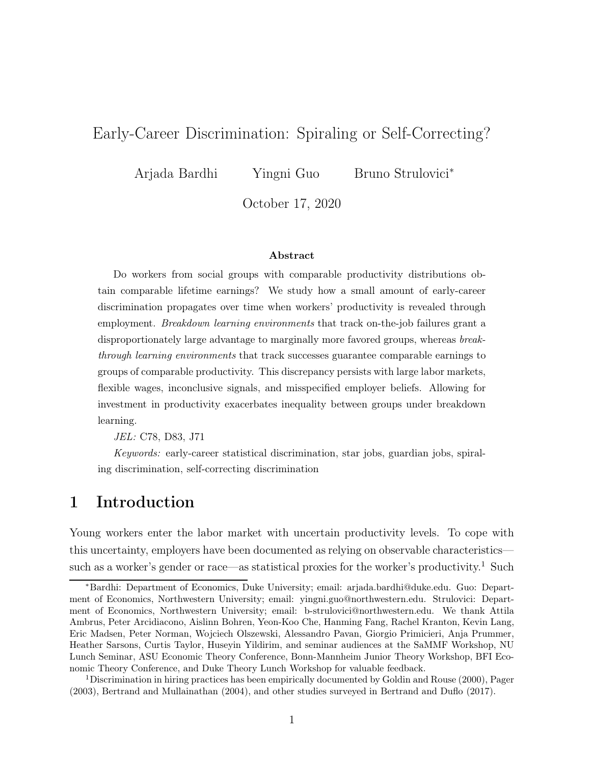## Early-Career Discrimination: Spiraling or Self-Correcting?

Arjada Bardhi Yingni Guo Bruno Strulovici<sup>∗</sup>

October 17, 2020

#### Abstract

Do workers from social groups with comparable productivity distributions obtain comparable lifetime earnings? We study how a small amount of early-career discrimination propagates over time when workers' productivity is revealed through employment. Breakdown learning environments that track on-the-job failures grant a disproportionately large advantage to marginally more favored groups, whereas breakthrough learning environments that track successes guarantee comparable earnings to groups of comparable productivity. This discrepancy persists with large labor markets, flexible wages, inconclusive signals, and misspecified employer beliefs. Allowing for investment in productivity exacerbates inequality between groups under breakdown learning.

JEL: C78, D83, J71

Keywords: early-career statistical discrimination, star jobs, guardian jobs, spiraling discrimination, self-correcting discrimination

## 1 Introduction

Young workers enter the labor market with uncertain productivity levels. To cope with this uncertainty, employers have been documented as relying on observable characteristics— such as a worker's gender or race—as statistical proxies for the worker's productivity.<sup>[1](#page-0-0)</sup> Such

<sup>∗</sup>Bardhi: Department of Economics, Duke University; email: [arjada.bardhi@duke.edu.](mailto:arjada.bardhi@duke.edu) Guo: Department of Economics, Northwestern University; email: [yingni.guo@northwestern.edu.](mailto:yingni.guo@northwestern.edu) Strulovici: Department of Economics, Northwestern University; email: [b-strulovici@northwestern.edu.](mailto:b-strulovici@northwestern.edu) We thank Attila Ambrus, Peter Arcidiacono, Aislinn Bohren, Yeon-Koo Che, Hanming Fang, Rachel Kranton, Kevin Lang, Eric Madsen, Peter Norman, Wojciech Olszewski, Alessandro Pavan, Giorgio Primicieri, Anja Prummer, Heather Sarsons, Curtis Taylor, Huseyin Yildirim, and seminar audiences at the SaMMF Workshop, NU Lunch Seminar, ASU Economic Theory Conference, Bonn-Mannheim Junior Theory Workshop, BFI Economic Theory Conference, and Duke Theory Lunch Workshop for valuable feedback.

<span id="page-0-0"></span><sup>1</sup>Discrimination in hiring practices has been empirically documented by [Goldin and Rouse \(2000\)](#page-30-0), [Pager](#page-32-0) [\(2003](#page-32-0)), [Bertrand and Mullainathan \(2004](#page-28-0)), and other studies surveyed in [Bertrand and Duflo \(2017](#page-28-1)).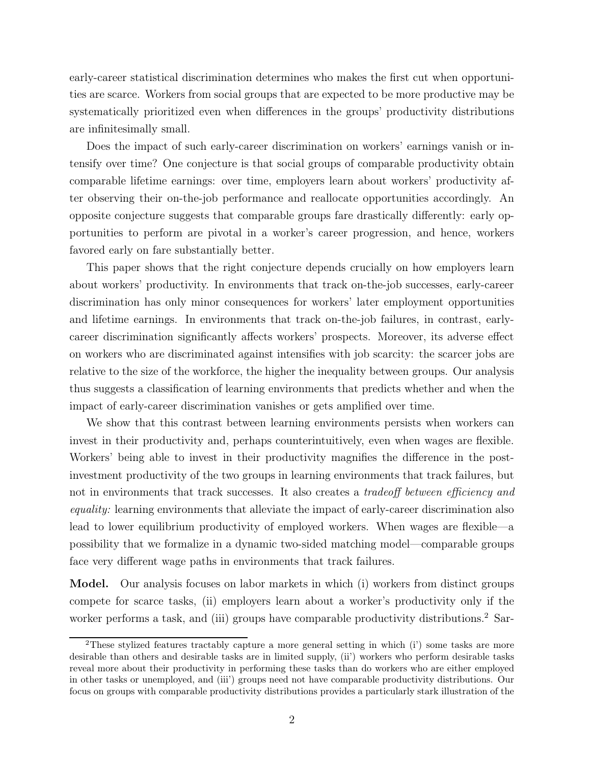early-career statistical discrimination determines who makes the first cut when opportunities are scarce. Workers from social groups that are expected to be more productive may be systematically prioritized even when differences in the groups' productivity distributions are infinitesimally small.

Does the impact of such early-career discrimination on workers' earnings vanish or intensify over time? One conjecture is that social groups of comparable productivity obtain comparable lifetime earnings: over time, employers learn about workers' productivity after observing their on-the-job performance and reallocate opportunities accordingly. An opposite conjecture suggests that comparable groups fare drastically differently: early opportunities to perform are pivotal in a worker's career progression, and hence, workers favored early on fare substantially better.

This paper shows that the right conjecture depends crucially on how employers learn about workers' productivity. In environments that track on-the-job successes, early-career discrimination has only minor consequences for workers' later employment opportunities and lifetime earnings. In environments that track on-the-job failures, in contrast, earlycareer discrimination significantly affects workers' prospects. Moreover, its adverse effect on workers who are discriminated against intensifies with job scarcity: the scarcer jobs are relative to the size of the workforce, the higher the inequality between groups. Our analysis thus suggests a classification of learning environments that predicts whether and when the impact of early-career discrimination vanishes or gets amplified over time.

We show that this contrast between learning environments persists when workers can invest in their productivity and, perhaps counterintuitively, even when wages are flexible. Workers' being able to invest in their productivity magnifies the difference in the postinvestment productivity of the two groups in learning environments that track failures, but not in environments that track successes. It also creates a *tradeoff between efficiency and* equality: learning environments that alleviate the impact of early-career discrimination also lead to lower equilibrium productivity of employed workers. When wages are flexible—a possibility that we formalize in a dynamic two-sided matching model—comparable groups face very different wage paths in environments that track failures.

Model. Our analysis focuses on labor markets in which (i) workers from distinct groups compete for scarce tasks, (ii) employers learn about a worker's productivity only if the worker performs a task, and (iii) groups have comparable productivity distributions.<sup>[2](#page-1-0)</sup> Sar-

<span id="page-1-0"></span><sup>2</sup>These stylized features tractably capture a more general setting in which (i') some tasks are more desirable than others and desirable tasks are in limited supply, (ii') workers who perform desirable tasks reveal more about their productivity in performing these tasks than do workers who are either employed in other tasks or unemployed, and (iii') groups need not have comparable productivity distributions. Our focus on groups with comparable productivity distributions provides a particularly stark illustration of the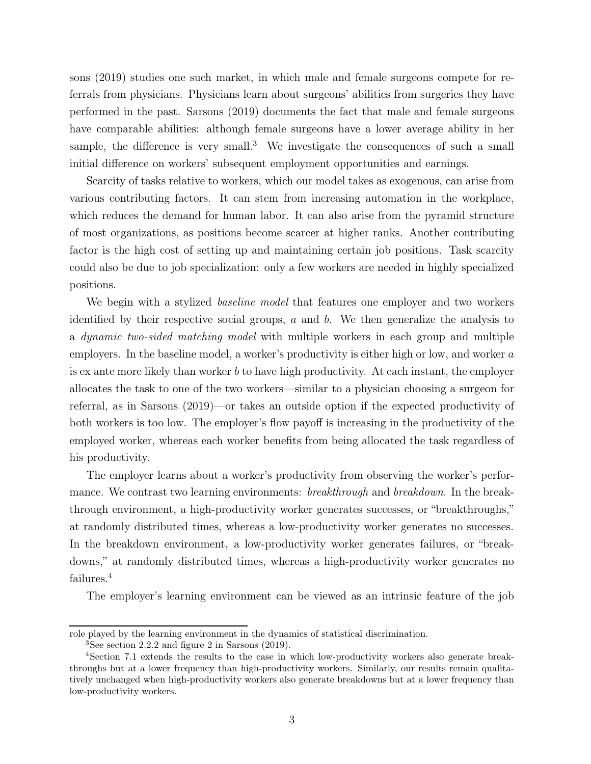sons [\(2019](#page-32-1)) studies one such market, in which male and female surgeons compete for referrals from physicians. Physicians learn about surgeons' abilities from surgeries they have performed in the past. [Sarsons \(2019\)](#page-32-1) documents the fact that male and female surgeons have comparable abilities: although female surgeons have a lower average ability in her sample, the difference is very small.<sup>[3](#page-2-0)</sup> We investigate the consequences of such a small initial difference on workers' subsequent employment opportunities and earnings.

Scarcity of tasks relative to workers, which our model takes as exogenous, can arise from various contributing factors. It can stem from increasing automation in the workplace, which reduces the demand for human labor. It can also arise from the pyramid structure of most organizations, as positions become scarcer at higher ranks. Another contributing factor is the high cost of setting up and maintaining certain job positions. Task scarcity could also be due to job specialization: only a few workers are needed in highly specialized positions.

We begin with a stylized *baseline model* that features one employer and two workers identified by their respective social groups,  $a$  and  $b$ . We then generalize the analysis to a dynamic two-sided matching model with multiple workers in each group and multiple employers. In the baseline model, a worker's productivity is either high or low, and worker a is ex ante more likely than worker b to have high productivity. At each instant, the employer allocates the task to one of the two workers—similar to a physician choosing a surgeon for referral, as in [Sarsons \(2019](#page-32-1))—or takes an outside option if the expected productivity of both workers is too low. The employer's flow payoff is increasing in the productivity of the employed worker, whereas each worker benefits from being allocated the task regardless of his productivity.

The employer learns about a worker's productivity from observing the worker's performance. We contrast two learning environments: *breakthrough* and *breakdown*. In the breakthrough environment, a high-productivity worker generates successes, or "breakthroughs," at randomly distributed times, whereas a low-productivity worker generates no successes. In the breakdown environment, a low-productivity worker generates failures, or "breakdowns," at randomly distributed times, whereas a high-productivity worker generates no failures.<sup>[4](#page-2-1)</sup>

The employer's learning environment can be viewed as an intrinsic feature of the job

role played by the learning environment in the dynamics of statistical discrimination.

<span id="page-2-1"></span><span id="page-2-0"></span> ${}^{3}$ See section 2.2.2 and figure 2 in [Sarsons \(2019\)](#page-32-1).

<sup>4</sup>Section [7.1](#page-24-0) extends the results to the case in which low-productivity workers also generate breakthroughs but at a lower frequency than high-productivity workers. Similarly, our results remain qualitatively unchanged when high-productivity workers also generate breakdowns but at a lower frequency than low-productivity workers.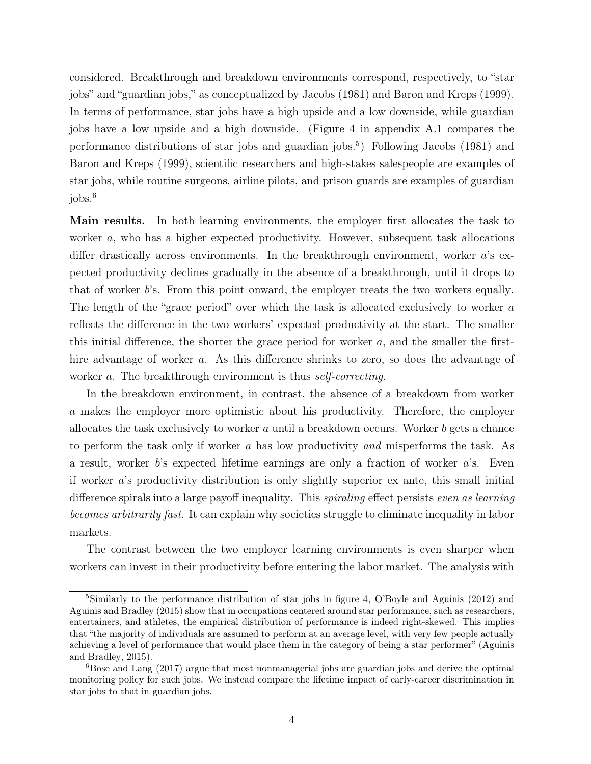considered. Breakthrough and breakdown environments correspond, respectively, to "star jobs" and "guardian jobs," as conceptualized by [Jacobs \(1981](#page-30-1)) and [Baron and Kreps](#page-28-2) [\(1999](#page-28-2)). In terms of performance, star jobs have a high upside and a low downside, while guardian jobs have a low upside and a high downside. (Figure [4](#page-33-0) in appendix [A.1](#page-32-2) compares the performance distributions of star jobs and guardian jobs.[5](#page-3-0) ) Following [Jacobs \(1981\)](#page-30-1) and [Baron and Kreps \(1999](#page-28-2)), scientific researchers and high-stakes salespeople are examples of star jobs, while routine surgeons, airline pilots, and prison guards are examples of guardian  $i$ obs. $6$ 

Main results. In both learning environments, the employer first allocates the task to worker a, who has a higher expected productivity. However, subsequent task allocations differ drastically across environments. In the breakthrough environment, worker a's expected productivity declines gradually in the absence of a breakthrough, until it drops to that of worker b's. From this point onward, the employer treats the two workers equally. The length of the "grace period" over which the task is allocated exclusively to worker a reflects the difference in the two workers' expected productivity at the start. The smaller this initial difference, the shorter the grace period for worker  $a$ , and the smaller the firsthire advantage of worker a. As this difference shrinks to zero, so does the advantage of worker a. The breakthrough environment is thus *self-correcting*.

In the breakdown environment, in contrast, the absence of a breakdown from worker a makes the employer more optimistic about his productivity. Therefore, the employer allocates the task exclusively to worker  $a$  until a breakdown occurs. Worker  $b$  gets a chance to perform the task only if worker a has low productivity and misperforms the task. As a result, worker b's expected lifetime earnings are only a fraction of worker a's. Even if worker a's productivity distribution is only slightly superior ex ante, this small initial difference spirals into a large payoff inequality. This *spiraling* effect persists *even as learning* becomes arbitrarily fast. It can explain why societies struggle to eliminate inequality in labor markets.

The contrast between the two employer learning environments is even sharper when workers can invest in their productivity before entering the labor market. The analysis with

<span id="page-3-0"></span> $5$ Similarly to the performance distribution of star jobs in figure [4,](#page-33-0) [O'Boyle and Aguinis \(2012\)](#page-32-3) and [Aguinis and Bradley \(2015\)](#page-27-0) show that in occupations centered around star performance, such as researchers, entertainers, and athletes, the empirical distribution of performance is indeed right-skewed. This implies that "the majority of individuals are assumed to perform at an average level, with very few people actually achieving a [level of performance that would place them in the](#page-27-0) category of being a star performer" (Aguinis and Bradley, [2015\)](#page-27-0).

<span id="page-3-1"></span><sup>6</sup>[Bose and Lang \(2017\)](#page-29-0) argue that most nonmanagerial jobs are guardian jobs and derive the optimal monitoring policy for such jobs. We instead compare the lifetime impact of early-career discrimination in star jobs to that in guardian jobs.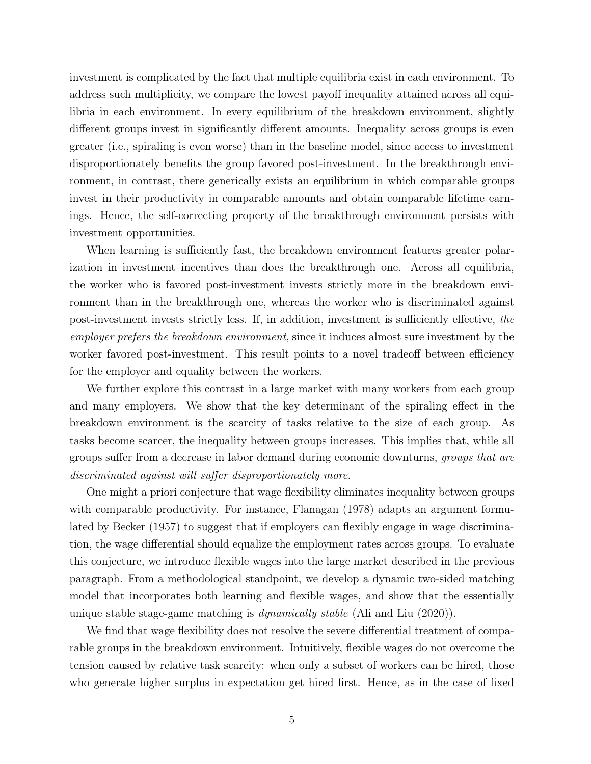investment is complicated by the fact that multiple equilibria exist in each environment. To address such multiplicity, we compare the lowest payoff inequality attained across all equilibria in each environment. In every equilibrium of the breakdown environment, slightly different groups invest in significantly different amounts. Inequality across groups is even greater (i.e., spiraling is even worse) than in the baseline model, since access to investment disproportionately benefits the group favored post-investment. In the breakthrough environment, in contrast, there generically exists an equilibrium in which comparable groups invest in their productivity in comparable amounts and obtain comparable lifetime earnings. Hence, the self-correcting property of the breakthrough environment persists with investment opportunities.

When learning is sufficiently fast, the breakdown environment features greater polarization in investment incentives than does the breakthrough one. Across all equilibria, the worker who is favored post-investment invests strictly more in the breakdown environment than in the breakthrough one, whereas the worker who is discriminated against post-investment invests strictly less. If, in addition, investment is sufficiently effective, the employer prefers the breakdown environment, since it induces almost sure investment by the worker favored post-investment. This result points to a novel tradeoff between efficiency for the employer and equality between the workers.

We further explore this contrast in a large market with many workers from each group and many employers. We show that the key determinant of the spiraling effect in the breakdown environment is the scarcity of tasks relative to the size of each group. As tasks become scarcer, the inequality between groups increases. This implies that, while all groups suffer from a decrease in labor demand during economic downturns, groups that are discriminated against will suffer disproportionately more.

One might a priori conjecture that wage flexibility eliminates inequality between groups with comparable productivity. For instance, [Flanagan](#page-30-2) [\(1978](#page-30-2)) adapts an argument formulated by [Becker \(1957](#page-28-3)) to suggest that if employers can flexibly engage in wage discrimination, the wage differential should equalize the employment rates across groups. To evaluate this conjecture, we introduce flexible wages into the large market described in the previous paragraph. From a methodological standpoint, we develop a dynamic two-sided matching model that incorporates both learning and flexible wages, and show that the essentially unique stable stage-game matching is *dynamically stable* [\(Ali and Liu \(2020\)](#page-27-1)).

We find that wage flexibility does not resolve the severe differential treatment of comparable groups in the breakdown environment. Intuitively, flexible wages do not overcome the tension caused by relative task scarcity: when only a subset of workers can be hired, those who generate higher surplus in expectation get hired first. Hence, as in the case of fixed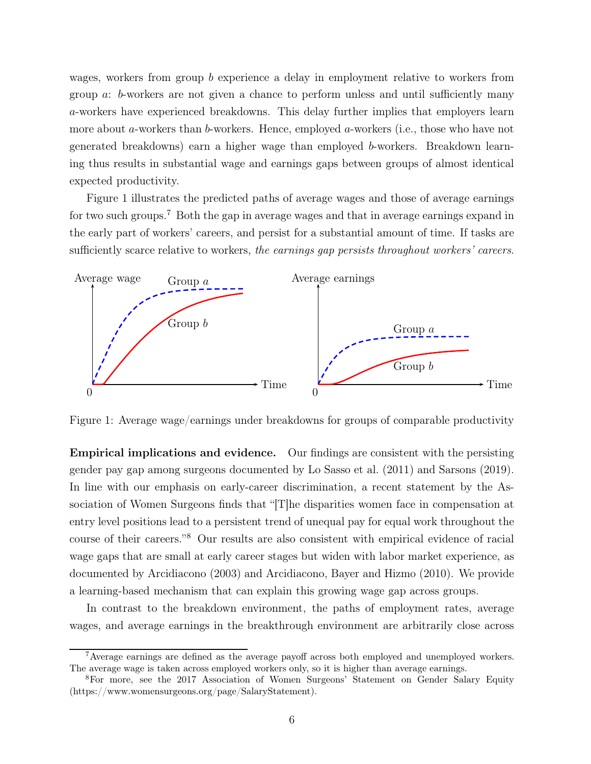wages, workers from group b experience a delay in employment relative to workers from group a: b-workers are not given a chance to perform unless and until sufficiently many a-workers have experienced breakdowns. This delay further implies that employers learn more about a-workers than b-workers. Hence, employed a-workers (i.e., those who have not generated breakdowns) earn a higher wage than employed b-workers. Breakdown learning thus results in substantial wage and earnings gaps between groups of almost identical expected productivity.

Figure [1](#page-5-0) illustrates the predicted paths of average wages and those of average earnings for two such groups.[7](#page-5-1) Both the gap in average wages and that in average earnings expand in the early part of workers' careers, and persist for a substantial amount of time. If tasks are sufficiently scarce relative to workers, the earnings gap persists throughout workers' careers.

<span id="page-5-0"></span>

Figure 1: Average wage/earnings under breakdowns for groups of comparable productivity

Empirical implications and evidence. Our findings are consistent with the persisting gender pay gap among surgeons documented by [Lo Sasso et al. \(2011](#page-31-0)) and [Sarsons](#page-32-1) [\(2019](#page-32-1)). In line with our emphasis on early-career discrimination, a recent statement by the Association of Women Surgeons finds that "[T]he disparities women face in compensation at entry level positions lead to a persistent trend of unequal pay for equal work throughout the course of their careers."[8](#page-5-2) Our results are also consistent with empirical evidence of racial wage gaps that are small at early career stages but widen with labor market experience, as documented by [Arcidiacono \(2003](#page-28-4)) and [Arcidiacono, Bayer and Hizmo \(2010\)](#page-28-5). We provide a learning-based mechanism that can explain this growing wage gap across groups.

In contrast to the breakdown environment, the paths of employment rates, average wages, and average earnings in the breakthrough environment are arbitrarily close across

<span id="page-5-1"></span><sup>&</sup>lt;sup>7</sup> Average earnings are defined as the average payoff across both employed and unemployed workers. The average wage is taken across employed workers only, so it is higher than average earnings.

<span id="page-5-2"></span><sup>8</sup>For more, see [the 2017 Association of Women Surgeons' Statement on Gender Salary Equity](https://www.womensurgeons.org/page/SalaryStatement) (https://www.womensurgeons.org/page/SalaryStatement).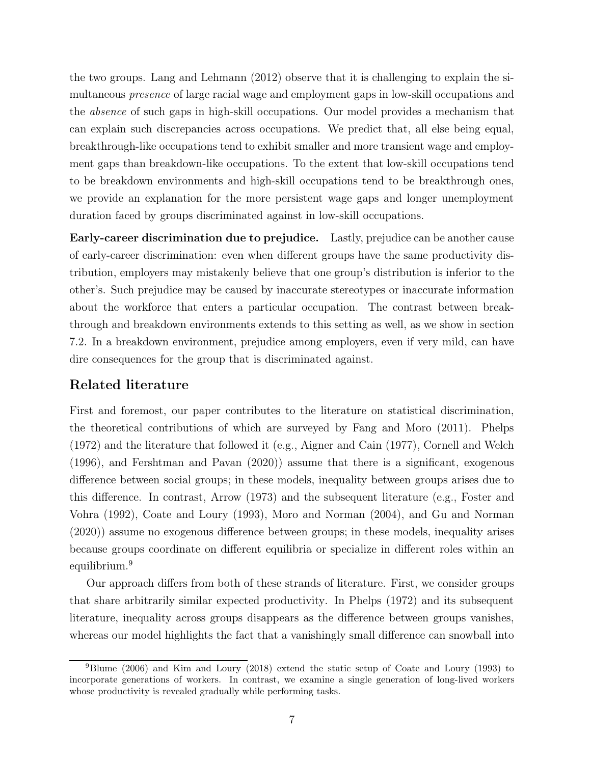the two groups. [Lang and Lehmann \(2012\)](#page-31-1) observe that it is challenging to explain the simultaneous presence of large racial wage and employment gaps in low-skill occupations and the absence of such gaps in high-skill occupations. Our model provides a mechanism that can explain such discrepancies across occupations. We predict that, all else being equal, breakthrough-like occupations tend to exhibit smaller and more transient wage and employment gaps than breakdown-like occupations. To the extent that low-skill occupations tend to be breakdown environments and high-skill occupations tend to be breakthrough ones, we provide an explanation for the more persistent wage gaps and longer unemployment duration faced by groups discriminated against in low-skill occupations.

Early-career discrimination due to prejudice. Lastly, prejudice can be another cause of early-career discrimination: even when different groups have the same productivity distribution, employers may mistakenly believe that one group's distribution is inferior to the other's. Such prejudice may be caused by inaccurate stereotypes or inaccurate information about the workforce that enters a particular occupation. The contrast between breakthrough and breakdown environments extends to this setting as well, as we show in section [7.2.](#page-25-0) In a breakdown environment, prejudice among employers, even if very mild, can have dire consequences for the group that is discriminated against.

### Related literature

First and foremost, our paper contributes to the literature on statistical discrimination, the theoretical contributions of which are surveyed by Fang [and Moro \(2011\)](#page-29-1). [Phelps](#page-32-4) [\(1972](#page-32-4)) and the literature that followed it (e.g., [Aigner and](#page-27-2) Cain [\(1977\)](#page-27-2), [Cornell and Welch](#page-29-2) [\(1996](#page-29-2)), and [Fershtman and Pavan \(2020\)](#page-30-3)) assume that there is a significant, exogenous difference between social groups; in these models, inequality between groups arises due to this d[ifference. In contrast,](#page-30-4) [Arrow \(1973](#page-28-6)[\) and the subsequent literature \(e.g.,](#page-30-4) Foster and Vohra [\(1992](#page-30-4)), [Coate and Loury \(1993](#page-29-3)), [Moro and Norman \(2004](#page-31-2)), and [Gu and Norman](#page-30-5) [\(2020](#page-30-5))) assume no exogenous difference between groups; in these models, inequality arises because groups coordinate on different equilibria or specialize in different roles within an equilibrium.[9](#page-6-0)

Our approach differs from both of these strands of literature. First, we consider groups that share arbitrarily similar expected productivity. In [Phelps](#page-32-4) [\(1972](#page-32-4)) and its subsequent literature, inequality across groups disappears as the difference between groups vanishes, whereas our model highlights the fact that a vanishingly small difference can snowball into

<span id="page-6-0"></span><sup>9</sup>[Blume \(2006\)](#page-29-4) and [Kim and Loury \(2018\)](#page-31-3) extend the static setup of [Coate and Loury \(1993](#page-29-3)) to incorporate generations of workers. In contrast, we examine a single generation of long-lived workers whose productivity is revealed gradually while performing tasks.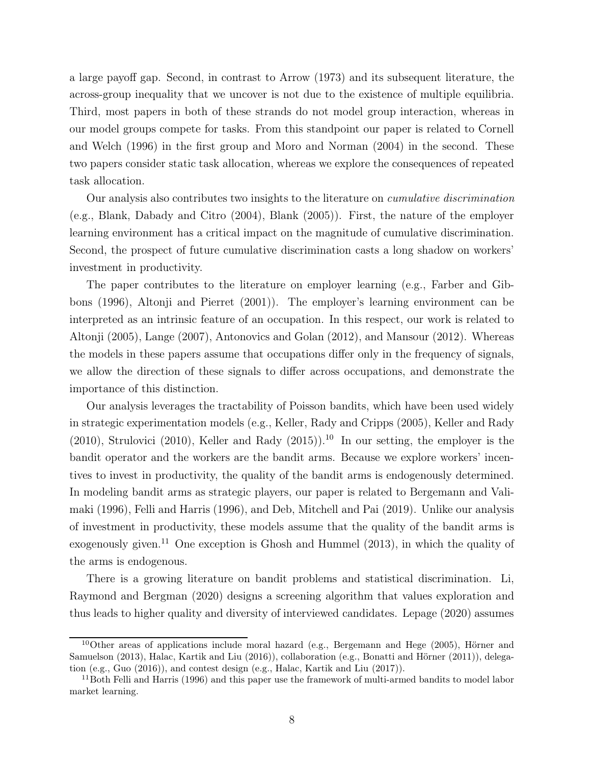a large payoff gap. Second, in contrast to [Arrow \(1973\)](#page-28-6) and its subsequent literature, the across-group inequality that we uncover is not due to the existence of multiple equilibria. Third, most papers in both of these strands do not model group interaction, whereas in our model [groups compete for tasks. From this standpoint our](#page-29-2) paper is related to Cornell and Welch [\(1996\)](#page-29-2) in the first group and [Moro and Norman \(2004](#page-31-2)) in the second. These two papers consider static task allocation, whereas we explore the consequences of repeated task allocation.

Our analysis also contributes two insights to the literature on *cumulative discrimination* (e.g., [Blank, Dabady and Citro \(2004\)](#page-29-5), [Blank \(2005\)](#page-28-7)). First, the nature of the employer learning environment has a critical impact on the magnitude of cumulative discrimination. Second, the prospect of future cumulative discrimination casts a long shadow on workers' investment in productivity.

[The paper contributes to the literature on employer learning \(e.g.,](#page-29-6) Farber and Gibbons [\(1996](#page-29-6)), [Altonji and Pierret \(2001\)](#page-28-8)). The employer's learning environment can be interpreted as an intrinsic feature of an occupation. In this respect, our work is related to [Altonji](#page-28-9) [\(2005](#page-28-9)), [Lange](#page-31-4) [\(2007](#page-31-4)), [Antonovics and Golan](#page-28-10) [\(2012](#page-28-10)), and [Mansour](#page-31-5) [\(2012](#page-31-5)). Whereas the models in these papers assume that occupations differ only in the frequency of signals, we allow the direction of these signals to differ across occupations, and demonstrate the importance of this distinction.

Our analysis leverages the tractability of Poisson bandits, which have been used widely in strategic experimentation models (e.g., [Keller, Rady and Cripps](#page-31-6) [\(2005](#page-31-6)), [Keller and Rady](#page-30-6) [\(2010](#page-32-5)), [Strulovici](#page-32-5) (2010), [Keller and Rady \(2015\)](#page-30-7)).<sup>[10](#page-7-0)</sup> In our setting, the employer is the bandit operator and the workers are the bandit arms. Because we explore workers' incentives to invest in productivity, the quality of the bandit arms is endogenously determined. In m[odeling bandit arms as strategic players, our paper is related to](#page-28-11) Bergemann and Valimaki [\(1996](#page-28-11)), [Felli and Harris \(1996\)](#page-29-7), and [Deb, Mitchell and Pai \(2019\)](#page-29-8). Unlike our analysis of investment in productivity, these models assume that the quality of the bandit arms is exogenously given.<sup>[11](#page-7-1)</sup> One exception is Ghosh and Hummel  $(2013)$ , in which the quality of the arms is endogenous.

There is a growing [literature on bandit problems and statistical discrimination.](#page-31-7) Li, Raymond and Bergman [\(2020\)](#page-31-7) designs a screening algorithm that values exploration and thus leads to higher quality and diversity of interviewed candidates. [Lepage](#page-31-8) [\(2020](#page-31-8)) assumes

<span id="page-7-0"></span><sup>10</sup>Othe[r areas of applications include moral hazard \(e.g.,](#page-30-9) [Bergemann and Hege \(2005](#page-28-12)[\),](#page-30-9) Hörner and Samuelson [\(2013\)](#page-30-9), [Halac, Kartik and Liu \(2016\)](#page-30-10)), collaboration (e.g., [Bonatti and Hörner \(2011\)](#page-29-9)), delegation (e.g., [Guo \(2016](#page-30-11))), and contest design (e.g., [Halac, Kartik and Liu \(2017](#page-30-12))).

<span id="page-7-1"></span> $11$ Both [Felli and Harris \(1996\)](#page-29-7) and this paper use the framework of multi-armed bandits to model labor market learning.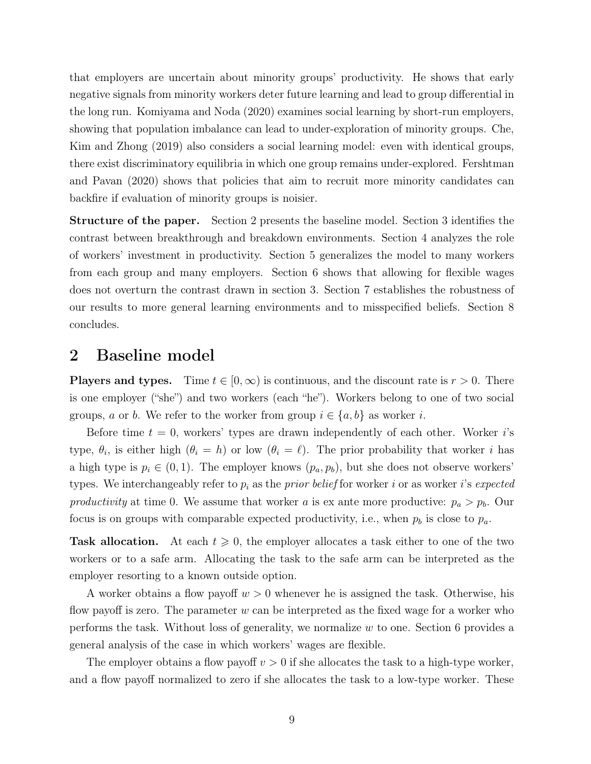that employers are uncertain about minority groups' productivity. He shows that early negative signals from minority workers deter future learning and lead to group differential in the long run. [Komiyama and Noda \(2020](#page-31-9)) examines social learning by short-run employers, showing that p[opulation imbalance can lead to under-exploration of minority groups.](#page-29-10) Che, Kim and Zhong [\(2019](#page-29-10)) also considers a social learning model: even with identical groups, there exist [discriminatory equilibria in which one group remains under-explored.](#page-30-3) Fershtman and Pavan [\(2020\)](#page-30-3) shows that policies that aim to recruit more minority candidates can backfire if evaluation of minority groups is noisier.

Structure of the paper. Section [2](#page-8-0) presents the baseline model. Section [3](#page-10-0) identifies the contrast between breakthrough and breakdown environments. Section [4](#page-13-0) analyzes the role of workers' investment in productivity. Section [5](#page-19-0) generalizes the model to many workers from each group and many employers. Section [6](#page-21-0) shows that allowing for flexible wages does not overturn the contrast drawn in section [3.](#page-10-0) Section [7](#page-24-1) establishes the robustness of our results to more general learning environments and to misspecified beliefs. Section [8](#page-26-0) concludes.

## <span id="page-8-0"></span>2 Baseline model

**Players and types.** Time  $t \in [0, \infty)$  is continuous, and the discount rate is  $r > 0$ . There is one employer ("she") and two workers (each "he"). Workers belong to one of two social groups, a or b. We refer to the worker from group  $i \in \{a, b\}$  as worker i.

Before time  $t = 0$ , workers' types are drawn independently of each other. Worker is type,  $\theta_i$ , is either high  $(\theta_i = h)$  or low  $(\theta_i = \ell)$ . The prior probability that worker i has a high type is  $p_i \in (0,1)$ . The employer knows  $(p_a, p_b)$ , but she does not observe workers' types. We interchangeably refer to  $p_i$  as the *prior belief* for worker i or as worker i's *expected* productivity at time 0. We assume that worker a is ex ante more productive:  $p_a > p_b$ . Our focus is on groups with comparable expected productivity, i.e., when  $p_b$  is close to  $p_a$ .

**Task allocation.** At each  $t \geq 0$ , the employer allocates a task either to one of the two workers or to a safe arm. Allocating the task to the safe arm can be interpreted as the employer resorting to a known outside option.

A worker obtains a flow payoff  $w > 0$  whenever he is assigned the task. Otherwise, his flow payoff is zero. The parameter w can be interpreted as the fixed wage for a worker who performs the task. Without loss of generality, we normalize  $w$  to one. Section [6](#page-21-0) provides a general analysis of the case in which workers' wages are flexible.

The employer obtains a flow payoff  $v > 0$  if she allocates the task to a high-type worker, and a flow payoff normalized to zero if she allocates the task to a low-type worker. These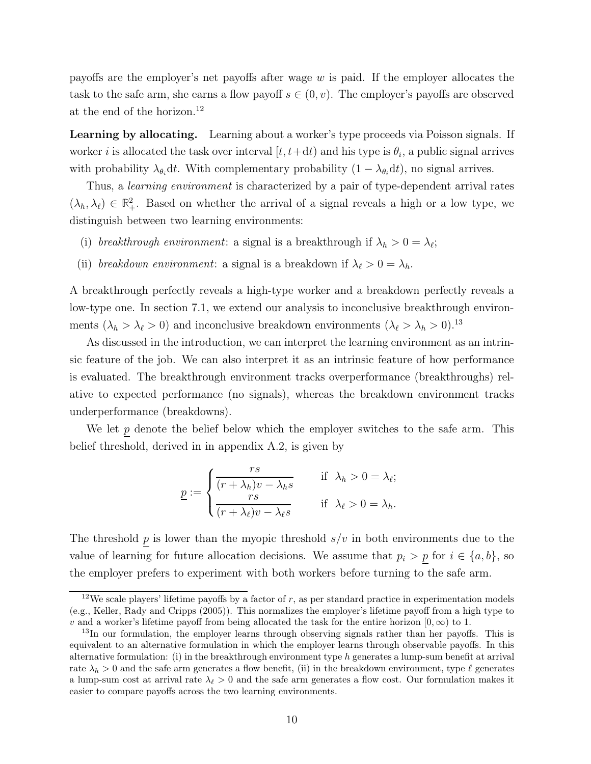payoffs are the employer's net payoffs after wage  $w$  is paid. If the employer allocates the task to the safe arm, she earns a flow payoff  $s \in (0, v)$ . The employer's payoffs are observed at the end of the horizon.[12](#page-9-0)

Learning by allocating. Learning about a worker's type proceeds via Poisson signals. If worker *i* is allocated the task over interval  $[t, t+dt)$  and his type is  $\theta_i$ , a public signal arrives with probability  $\lambda_{\theta_i} dt$ . With complementary probability  $(1 - \lambda_{\theta_i} dt)$ , no signal arrives.

Thus, a *learning environment* is characterized by a pair of type-dependent arrival rates  $(\lambda_h, \lambda_\ell) \in \mathbb{R}^2_+$ . Based on whether the arrival of a signal reveals a high or a low type, we distinguish between two learning environments:

- (i) breakthrough environment: a signal is a breakthrough if  $\lambda_h > 0 = \lambda_{\ell};$
- (ii) breakdown environment: a signal is a breakdown if  $\lambda_{\ell} > 0 = \lambda_h$ .

A breakthrough perfectly reveals a high-type worker and a breakdown perfectly reveals a low-type one. In section [7.1,](#page-24-0) we extend our analysis to inconclusive breakthrough environments ( $\lambda_h > \lambda_\ell > 0$ ) and inconclusive breakdown environments ( $\lambda_\ell > \lambda_h > 0$ ).<sup>[13](#page-9-1)</sup>

As discussed in the introduction, we can interpret the learning environment as an intrinsic feature of the job. We can also interpret it as an intrinsic feature of how performance is evaluated. The breakthrough environment tracks overperformance (breakthroughs) relative to expected performance (no signals), whereas the breakdown environment tracks underperformance (breakdowns).

We let  $\underline{p}$  denote the belief below which the employer switches to the safe arm. This belief threshold, derived in in appendix [A.2,](#page-32-6) is given by

$$
\underline{p} := \begin{cases}\n\frac{rs}{(r + \lambda_h)v - \lambda_h s} & \text{if } \lambda_h > 0 = \lambda_\ell; \\
\frac{rs}{(r + \lambda_\ell)v - \lambda_\ell s} & \text{if } \lambda_\ell > 0 = \lambda_h.\n\end{cases}
$$

The threshold  $\underline{p}$  is lower than the myopic threshold  $s/v$  in both environments due to the value of learning for future allocation decisions. We assume that  $p_i > p$  for  $i \in \{a, b\}$ , so the employer prefers to experiment with both workers before turning to the safe arm.

<span id="page-9-0"></span><sup>&</sup>lt;sup>12</sup>We scale players' lifetime payoffs by a factor of  $r$ , as per standard practice in experimentation models (e.g., [Keller, Rady and Cripps \(2005\)](#page-31-6)). This normalizes the employer's lifetime payoff from a high type to v and a worker's lifetime payoff from being allocated the task for the entire horizon  $[0, \infty)$  to 1.

<span id="page-9-1"></span><sup>&</sup>lt;sup>13</sup>In our formulation, the employer learns through observing signals rather than her payoffs. This is equivalent to an alternative formulation in which the employer learns through observable payoffs. In this alternative formulation: (i) in the breakthrough environment type  $h$  generates a lump-sum benefit at arrival rate  $\lambda_h > 0$  and the safe arm generates a flow benefit, (ii) in the breakdown environment, type  $\ell$  generates a lump-sum cost at arrival rate  $\lambda_{\ell} > 0$  and the safe arm generates a flow cost. Our formulation makes it easier to compare payoffs across the two learning environments.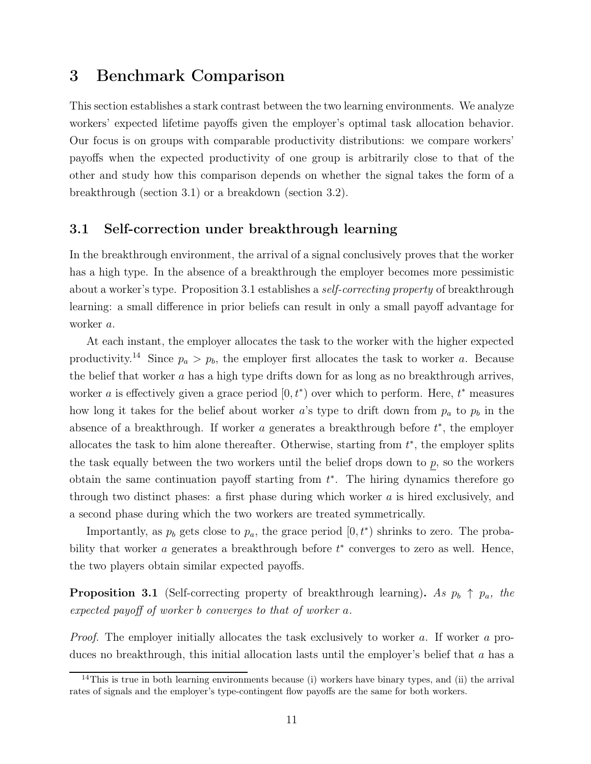## <span id="page-10-0"></span>3 Benchmark Comparison

This section establishes a stark contrast between the two learning environments. We analyze workers' expected lifetime payoffs given the employer's optimal task allocation behavior. Our focus is on groups with comparable productivity distributions: we compare workers' payoffs when the expected productivity of one group is arbitrarily close to that of the other and study how this comparison depends on whether the signal takes the form of a breakthrough (section [3.1\)](#page-10-1) or a breakdown (section [3.2\)](#page-11-0).

### <span id="page-10-1"></span>3.1 Self-correction under breakthrough learning

In the breakthrough environment, the arrival of a signal conclusively proves that the worker has a high type. In the absence of a breakthrough the employer becomes more pessimistic about a worker's type. Proposition [3.1](#page-10-2) establishes a *self-correcting property* of breakthrough learning: a small difference in prior beliefs can result in only a small payoff advantage for worker a.

At each instant, the employer allocates the task to the worker with the higher expected productivity.<sup>[14](#page-10-3)</sup> Since  $p_a > p_b$ , the employer first allocates the task to worker a. Because the belief that worker a has a high type drifts down for as long as no breakthrough arrives, worker *a* is effectively given a grace period  $[0, t^*)$  over which to perform. Here,  $t^*$  measures how long it takes for the belief about worker a's type to drift down from  $p_a$  to  $p_b$  in the absence of a breakthrough. If worker  $a$  generates a breakthrough before  $t^*$ , the employer allocates the task to him alone thereafter. Otherwise, starting from  $t^*$ , the employer splits the task equally between the two workers until the belief drops down to  $p$ , so the workers obtain the same continuation payoff starting from  $t^*$ . The hiring dynamics therefore go through two distinct phases: a first phase during which worker  $a$  is hired exclusively, and a second phase during which the two workers are treated symmetrically.

Importantly, as  $p_b$  gets close to  $p_a$ , the grace period  $[0, t^*)$  shrinks to zero. The probability that worker  $a$  generates a breakthrough before  $t^*$  converges to zero as well. Hence, the two players obtain similar expected payoffs.

<span id="page-10-2"></span>**Proposition 3.1** (Self-correcting property of breakthrough learning). As  $p_b \uparrow p_a$ , the expected payoff of worker b converges to that of worker a.

Proof. The employer initially allocates the task exclusively to worker a. If worker a produces no breakthrough, this initial allocation lasts until the employer's belief that  $a$  has a

<span id="page-10-3"></span> $14$ This is true in both learning environments because (i) workers have binary types, and (ii) the arrival rates of signals and the employer's type-contingent flow payoffs are the same for both workers.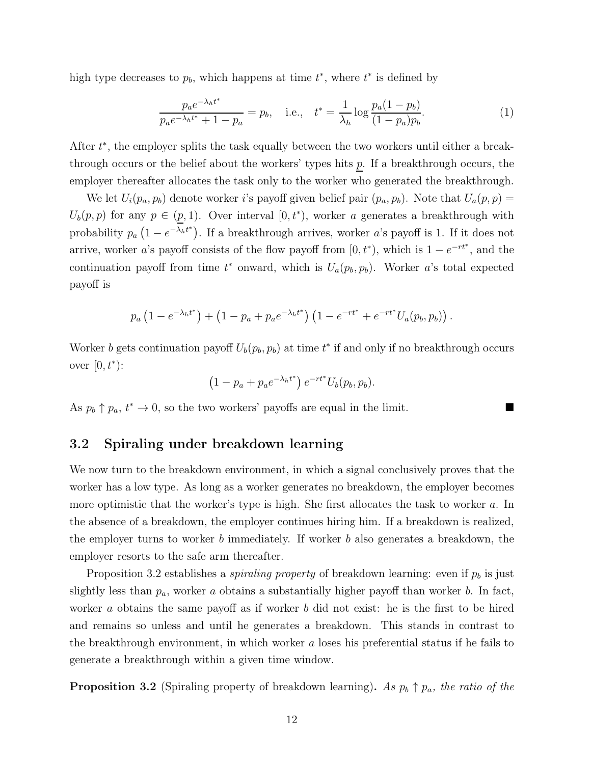high type decreases to  $p<sub>b</sub>$ , which happens at time  $t^*$ , where  $t^*$  is defined by

<span id="page-11-2"></span>
$$
\frac{p_a e^{-\lambda_h t^*}}{p_a e^{-\lambda_h t^*} + 1 - p_a} = p_b, \quad \text{i.e.,} \quad t^* = \frac{1}{\lambda_h} \log \frac{p_a (1 - p_b)}{(1 - p_a) p_b}.\tag{1}
$$

After  $t^*$ , the employer splits the task equally between the two workers until either a breakthrough occurs or the belief about the workers' types hits  $p$ . If a breakthrough occurs, the employer thereafter allocates the task only to the worker who generated the breakthrough.

We let  $U_i(p_a, p_b)$  denote worker *i*'s payoff given belief pair  $(p_a, p_b)$ . Note that  $U_a(p, p)$  =  $U_b(p, p)$  for any  $p \in (p, 1)$ . Over interval  $[0, t^*),$  worker a generates a breakthrough with probability  $p_a(1 - e^{-\lambda_h t^*})$ . If a breakthrough arrives, worker a's payoff is 1. If it does not arrive, worker a's payoff consists of the flow payoff from  $[0, t^*$ , which is  $1 - e^{-rt^*}$ , and the continuation payoff from time  $t^*$  onward, which is  $U_a(p_b, p_b)$ . Worker a's total expected payoff is

$$
p_a (1 - e^{-\lambda_h t^*}) + (1 - p_a + p_a e^{-\lambda_h t^*}) (1 - e^{-rt^*} + e^{-rt^*} U_a(p_b, p_b)).
$$

Worker b gets continuation payoff  $U_b(p_b, p_b)$  at time  $t^*$  if and only if no breakthrough occurs over  $[0, t^*$ :

$$
(1-p_a+p_a e^{-\lambda_h t^*}) e^{-rt^*} U_b(p_b, p_b).
$$

<span id="page-11-0"></span>As  $p_b \uparrow p_a$ ,  $t^* \to 0$ , so the two workers' payoffs are equal in the limit.

### 3.2 Spiraling under breakdown learning

We now turn to the breakdown environment, in which a signal conclusively proves that the worker has a low type. As long as a worker generates no breakdown, the employer becomes more optimistic that the worker's type is high. She first allocates the task to worker a. In the absence of a breakdown, the employer continues hiring him. If a breakdown is realized, the employer turns to worker b immediately. If worker b also generates a breakdown, the employer resorts to the safe arm thereafter.

Proposition [3.2](#page-11-1) establishes a *spiraling property* of breakdown learning: even if  $p_b$  is just slightly less than  $p_a$ , worker a obtains a substantially higher payoff than worker b. In fact, worker a obtains the same payoff as if worker b did not exist: he is the first to be hired and remains so unless and until he generates a breakdown. This stands in contrast to the breakthrough environment, in which worker  $\alpha$  loses his preferential status if he fails to generate a breakthrough within a given time window.

<span id="page-11-1"></span>**Proposition 3.2** (Spiraling property of breakdown learning). As  $p_b \uparrow p_a$ , the ratio of the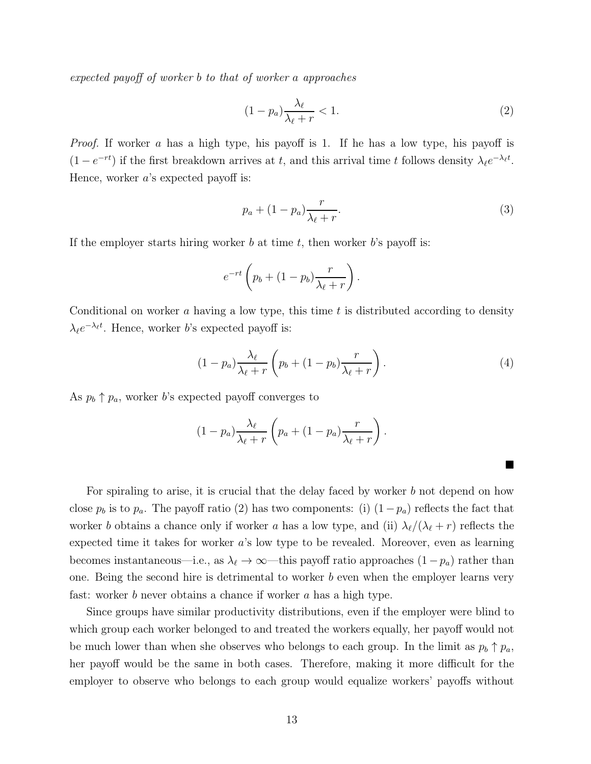expected payoff of worker b to that of worker a approaches

<span id="page-12-0"></span>
$$
(1 - p_a) \frac{\lambda_\ell}{\lambda_\ell + r} < 1. \tag{2}
$$

*Proof.* If worker a has a high type, his payoff is 1. If he has a low type, his payoff is  $(1 - e^{-rt})$  if the first breakdown arrives at t, and this arrival time t follows density  $\lambda_{\ell}e^{-\lambda_{\ell}t}$ . Hence, worker  $a$ 's expected payoff is:

<span id="page-12-1"></span>
$$
p_a + (1 - p_a) \frac{r}{\lambda_\ell + r}.\tag{3}
$$

If the employer starts hiring worker b at time t, then worker b's payoff is:

$$
e^{-rt}\left(p_b+(1-p_b)\frac{r}{\lambda_{\ell}+r}\right).
$$

Conditional on worker  $a$  having a low type, this time  $t$  is distributed according to density  $\lambda_{\ell}e^{-\lambda_{\ell}t}$ . Hence, worker *b*'s expected payoff is:

<span id="page-12-2"></span>
$$
(1 - p_a) \frac{\lambda_\ell}{\lambda_\ell + r} \left( p_b + (1 - p_b) \frac{r}{\lambda_\ell + r} \right). \tag{4}
$$

■

As  $p_b \uparrow p_a$ , worker b's expected payoff converges to

$$
(1-p_a)\frac{\lambda_\ell}{\lambda_\ell+r}\left(p_a+(1-p_a)\frac{r}{\lambda_\ell+r}\right).
$$

For spiraling to arise, it is crucial that the delay faced by worker b not depend on how close  $p_b$  is to  $p_a$ . The payoff ratio [\(2\)](#page-12-0) has two components: (i)  $(1-p_a)$  reflects the fact that worker b obtains a chance only if worker a has a low type, and (ii)  $\lambda_{\ell}/(\lambda_{\ell}+r)$  reflects the expected time it takes for worker a's low type to be revealed. Moreover, even as learning becomes instantaneous—i.e., as  $\lambda_{\ell} \to \infty$ —this payoff ratio approaches  $(1-p_a)$  rather than one. Being the second hire is detrimental to worker  $b$  even when the employer learns very fast: worker b never obtains a chance if worker a has a high type.

Since groups have similar productivity distributions, even if the employer were blind to which group each worker belonged to and treated the workers equally, her payoff would not be much lower than when she observes who belongs to each group. In the limit as  $p_b \uparrow p_a$ , her payoff would be the same in both cases. Therefore, making it more difficult for the employer to observe who belongs to each group would equalize workers' payoffs without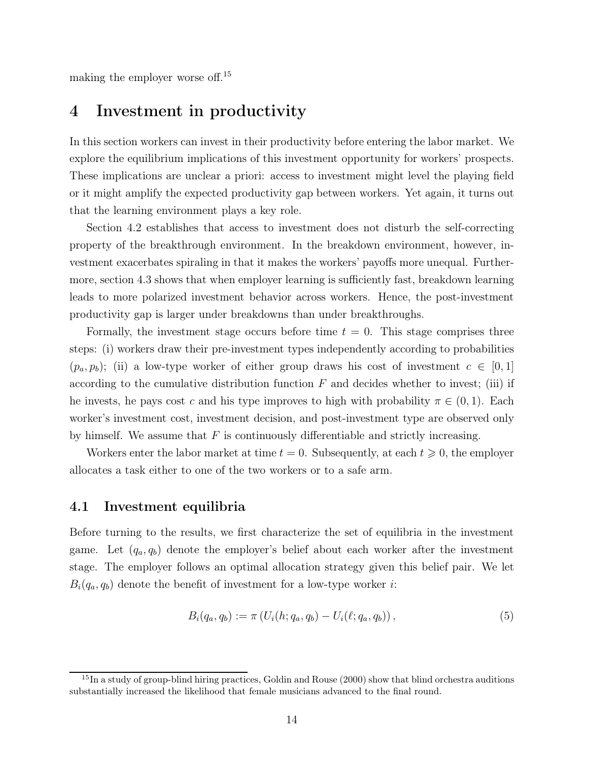<span id="page-13-0"></span>making the employer worse off.[15](#page-13-1)

## 4 Investment in productivity

In this section workers can invest in their productivity before entering the labor market. We explore the equilibrium implications of this investment opportunity for workers' prospects. These implications are unclear a priori: access to investment might level the playing field or it might amplify the expected productivity gap between workers. Yet again, it turns out that the learning environment plays a key role.

Section [4.2](#page-15-0) establishes that access to investment does not disturb the self-correcting property of the breakthrough environment. In the breakdown environment, however, investment exacerbates spiraling in that it makes the workers' payoffs more unequal. Furthermore, section [4.3](#page-17-0) shows that when employer learning is sufficiently fast, breakdown learning leads to more polarized investment behavior across workers. Hence, the post-investment productivity gap is larger under breakdowns than under breakthroughs.

Formally, the investment stage occurs before time  $t = 0$ . This stage comprises three steps: (i) workers draw their pre-investment types independently according to probabilities  $(p_a, p_b)$ ; (ii) a low-type worker of either group draws his cost of investment  $c \in [0,1]$ according to the cumulative distribution function  $F$  and decides whether to invest; (iii) if he invests, he pays cost c and his type improves to high with probability  $\pi \in (0,1)$ . Each worker's investment cost, investment decision, and post-investment type are observed only by himself. We assume that  $F$  is continuously differentiable and strictly increasing.

Workers enter the labor market at time  $t = 0$ . Subsequently, at each  $t \geq 0$ , the employer allocates a task either to one of the two workers or to a safe arm.

#### 4.1 Investment equilibria

Before turning to the results, we first characterize the set of equilibria in the investment game. Let  $(q_a, q_b)$  denote the employer's belief about each worker after the investment stage. The employer follows an optimal allocation strategy given this belief pair. We let  $B_i(q_a, q_b)$  denote the benefit of investment for a low-type worker *i*:

<span id="page-13-2"></span>
$$
B_i(q_a, q_b) := \pi \left( U_i(h; q_a, q_b) - U_i(\ell; q_a, q_b) \right), \tag{5}
$$

<span id="page-13-1"></span> $15$ In a study of group-blind hiring practices, [Goldin and Rouse](#page-30-0) [\(2000\)](#page-30-0) show that blind orchestra auditions substantially increased the likelihood that female musicians advanced to the final round.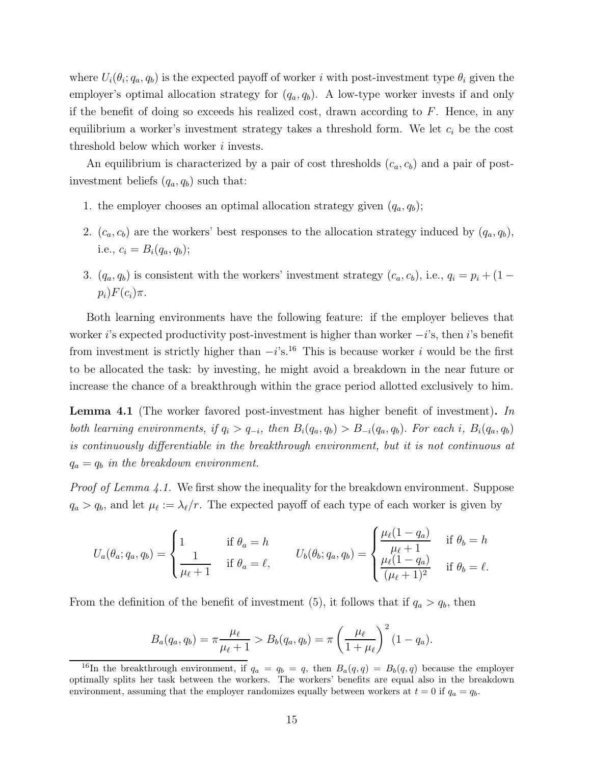where  $U_i(\theta_i; q_a, q_b)$  is the expected payoff of worker i with post-investment type  $\theta_i$  given the employer's optimal allocation strategy for  $(q_a, q_b)$ . A low-type worker invests if and only if the benefit of doing so exceeds his realized cost, drawn according to  $F$ . Hence, in any equilibrium a worker's investment strategy takes a threshold form. We let  $c_i$  be the cost threshold below which worker  $i$  invests.

An equilibrium is characterized by a pair of cost thresholds  $(c_a, c_b)$  and a pair of postinvestment beliefs  $(q_a, q_b)$  such that:

- 1. the employer chooses an optimal allocation strategy given  $(q_a, q_b)$ ;
- 2.  $(c_a, c_b)$  are the workers' best responses to the allocation strategy induced by  $(q_a, q_b)$ , i.e.,  $c_i = B_i(q_a, q_b);$
- 3.  $(q_a, q_b)$  is consistent with the workers' investment strategy  $(c_a, c_b)$ , i.e.,  $q_i = p_i + (1$  $p_i)F(c_i)\pi$ .

Both learning environments have the following feature: if the employer believes that worker i's expected productivity post-investment is higher than worker  $-i$ 's, then i's benefit from investment is strictly higher than  $-i$ 's.<sup>[16](#page-14-0)</sup> This is because worker *i* would be the first to be allocated the task: by investing, he might avoid a breakdown in the near future or increase the chance of a breakthrough within the grace period allotted exclusively to him.

<span id="page-14-1"></span>Lemma 4.1 (The worker favored post-investment has higher benefit of investment). In both learning environments, if  $q_i > q_{-i}$ , then  $B_i(q_a, q_b) > B_{-i}(q_a, q_b)$ . For each i,  $B_i(q_a, q_b)$ is continuously differentiable in the breakthrough environment, but it is not continuous at  $q_a = q_b$  in the breakdown environment.

*Proof of Lemma [4.1.](#page-14-1)* We first show the inequality for the breakdown environment. Suppose  $q_a > q_b$ , and let  $\mu_\ell := \lambda_\ell/r$ . The expected payoff of each type of each worker is given by

$$
U_a(\theta_a; q_a, q_b) = \begin{cases} 1 & \text{if } \theta_a = h \\ \frac{1}{\mu_{\ell} + 1} & \text{if } \theta_a = \ell, \end{cases} \qquad U_b(\theta_b; q_a, q_b) = \begin{cases} \frac{\mu_{\ell}(1 - q_a)}{\mu_{\ell} + 1} & \text{if } \theta_b = h \\ \frac{\mu_{\ell}(1 - q_a)}{(\mu_{\ell} + 1)^2} & \text{if } \theta_b = \ell. \end{cases}
$$

From the definition of the benefit of investment [\(5\)](#page-13-2), it follows that if  $q_a > q_b$ , then

$$
B_a(q_a, q_b) = \pi \frac{\mu_\ell}{\mu_\ell + 1} > B_b(q_a, q_b) = \pi \left(\frac{\mu_\ell}{1 + \mu_\ell}\right)^2 (1 - q_a).
$$

<span id="page-14-0"></span><sup>&</sup>lt;sup>16</sup>In the breakthrough environment, if  $q_a = q_b = q$ , then  $B_a(q,q) = B_b(q,q)$  because the employer optimally splits her task between the workers. The workers' benefits are equal also in the breakdown environment, assuming that the employer randomizes equally between workers at  $t = 0$  if  $q_a = q_b$ .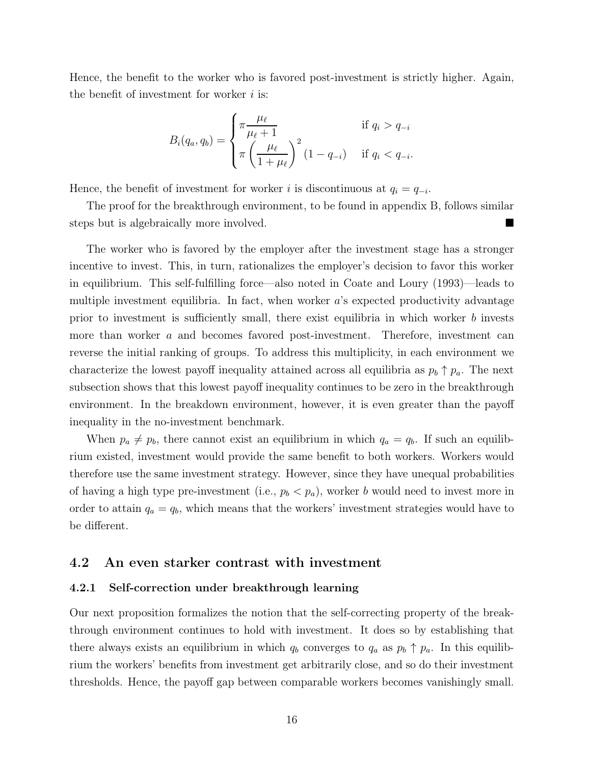Hence, the benefit to the worker who is favored post-investment is strictly higher. Again, the benefit of investment for worker  $i$  is:

$$
B_i(q_a, q_b) = \begin{cases} \pi \frac{\mu_\ell}{\mu_\ell + 1} & \text{if } q_i > q_{-i} \\ \pi \left( \frac{\mu_\ell}{1 + \mu_\ell} \right)^2 (1 - q_{-i}) & \text{if } q_i < q_{-i} . \end{cases}
$$

Hence, the benefit of investment for worker i is discontinuous at  $q_i = q_{-i}$ .

The proof for the breakthrough environment, to be found in appendix [B,](#page-34-0) follows similar steps but is algebraically more involved.

The worker who is favored by the employer after the investment stage has a stronger incentive to invest. This, in turn, rationalizes the employer's decision to favor this worker in equilibrium. This self-fulfilling force—also noted in [Coate and Loury \(1993](#page-29-3))—leads to multiple investment equilibria. In fact, when worker  $a$ 's expected productivity advantage prior to investment is sufficiently small, there exist equilibria in which worker b invests more than worker a and becomes favored post-investment. Therefore, investment can reverse the initial ranking of groups. To address this multiplicity, in each environment we characterize the lowest payoff inequality attained across all equilibria as  $p_b \uparrow p_a$ . The next subsection shows that this lowest payoff inequality continues to be zero in the breakthrough environment. In the breakdown environment, however, it is even greater than the payoff inequality in the no-investment benchmark.

When  $p_a \neq p_b$ , there cannot exist an equilibrium in which  $q_a = q_b$ . If such an equilibrium existed, investment would provide the same benefit to both workers. Workers would therefore use the same investment strategy. However, since they have unequal probabilities of having a high type pre-investment (i.e.,  $p_b < p_a$ ), worker b would need to invest more in order to attain  $q_a = q_b$ , which means that the workers' investment strategies would have to be different.

### <span id="page-15-0"></span>4.2 An even starker contrast with investment

#### 4.2.1 Self-correction under breakthrough learning

Our next proposition formalizes the notion that the self-correcting property of the breakthrough environment continues to hold with investment. It does so by establishing that there always exists an equilibrium in which  $q_b$  converges to  $q_a$  as  $p_b \uparrow p_a$ . In this equilibrium the workers' benefits from investment get arbitrarily close, and so do their investment thresholds. Hence, the payoff gap between comparable workers becomes vanishingly small.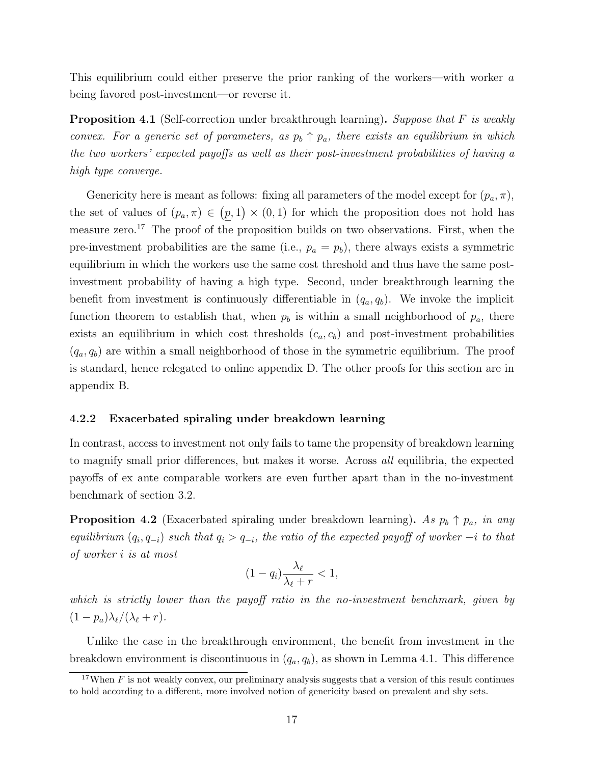This equilibrium could either preserve the prior ranking of the workers—with worker a being favored post-investment—or reverse it.

<span id="page-16-1"></span>**Proposition 4.1** (Self-correction under breakthrough learning). Suppose that F is weakly convex. For a generic set of parameters, as  $p_b \uparrow p_a$ , there exists an equilibrium in which the two workers' expected payoffs as well as their post-investment probabilities of having a high type converge.

Genericity here is meant as follows: fixing all parameters of the model except for  $(p_a, \pi)$ , the set of values of  $(p_a, \pi) \in (p, 1) \times (0, 1)$  for which the proposition does not hold has measure zero.[17](#page-16-0) The proof of the proposition builds on two observations. First, when the pre-investment probabilities are the same (i.e.,  $p_a = p_b$ ), there always exists a symmetric equilibrium in which the workers use the same cost threshold and thus have the same postinvestment probability of having a high type. Second, under breakthrough learning the benefit from investment is continuously differentiable in  $(q_a, q_b)$ . We invoke the implicit function theorem to establish that, when  $p_b$  is within a small neighborhood of  $p_a$ , there exists an equilibrium in which cost thresholds  $(c_a, c_b)$  and post-investment probabilities  $(q_a, q_b)$  are within a small neighborhood of those in the symmetric equilibrium. The proof is standard, hence relegated to online appendix [D.](#page-41-0) The other proofs for this section are in appendix [B.](#page-34-0)

#### 4.2.2 Exacerbated spiraling under breakdown learning

In contrast, access to investment not only fails to tame the propensity of breakdown learning to magnify small prior differences, but makes it worse. Across all equilibria, the expected payoffs of ex ante comparable workers are even further apart than in the no-investment benchmark of section [3.2.](#page-11-0)

<span id="page-16-2"></span>**Proposition 4.2** (Exacerbated spiraling under breakdown learning). As  $p_b \uparrow p_a$ , in any equilibrium  $(q_i, q_{-i})$  such that  $q_i > q_{-i}$ , the ratio of the expected payoff of worker  $-i$  to that of worker i is at most

$$
(1-q_i)\frac{\lambda_\ell}{\lambda_\ell+r} < 1,
$$

which is strictly lower than the payoff ratio in the no-investment benchmark, given by  $(1-p_a)\lambda_{\ell}/(\lambda_{\ell}+r).$ 

Unlike the case in the breakthrough environment, the benefit from investment in the breakdown environment is discontinuous in  $(q_a, q_b)$ , as shown in Lemma [4.1.](#page-14-1) This difference

<span id="page-16-0"></span><sup>&</sup>lt;sup>17</sup>When F is not weakly convex, our preliminary analysis suggests that a version of this result continues to hold according to a different, more involved notion of genericity based on prevalent and shy sets.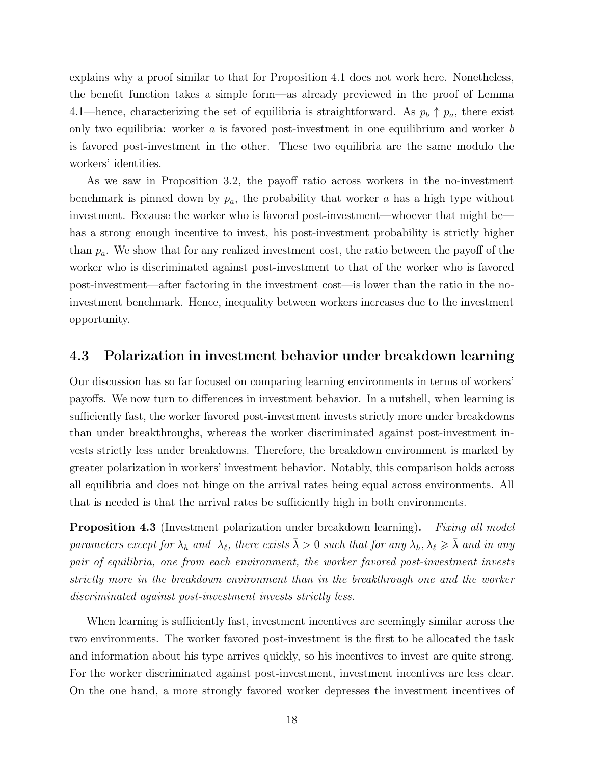explains why a proof similar to that for Proposition [4.1](#page-16-1) does not work here. Nonetheless, the benefit function takes a simple form—as already previewed in the proof of Lemma [4.1—](#page-14-1)hence, characterizing the set of equilibria is straightforward. As  $p_b \uparrow p_a$ , there exist only two equilibria: worker  $\alpha$  is favored post-investment in one equilibrium and worker  $\beta$ is favored post-investment in the other. These two equilibria are the same modulo the workers' identities.

As we saw in Proposition [3.2,](#page-11-1) the payoff ratio across workers in the no-investment benchmark is pinned down by  $p_a$ , the probability that worker a has a high type without investment. Because the worker who is favored post-investment—whoever that might be has a strong enough incentive to invest, his post-investment probability is strictly higher than  $p_a$ . We show that for any realized investment cost, the ratio between the payoff of the worker who is discriminated against post-investment to that of the worker who is favored post-investment—after factoring in the investment cost—is lower than the ratio in the noinvestment benchmark. Hence, inequality between workers increases due to the investment opportunity.

### <span id="page-17-0"></span>4.3 Polarization in investment behavior under breakdown learning

Our discussion has so far focused on comparing learning environments in terms of workers' payoffs. We now turn to differences in investment behavior. In a nutshell, when learning is sufficiently fast, the worker favored post-investment invests strictly more under breakdowns than under breakthroughs, whereas the worker discriminated against post-investment invests strictly less under breakdowns. Therefore, the breakdown environment is marked by greater polarization in workers' investment behavior. Notably, this comparison holds across all equilibria and does not hinge on the arrival rates being equal across environments. All that is needed is that the arrival rates be sufficiently high in both environments.

<span id="page-17-1"></span>**Proposition 4.3** (Investment polarization under breakdown learning). Fixing all model parameters except for  $\lambda_h$  and  $\lambda_\ell$ , there exists  $\bar{\lambda} > 0$  such that for any  $\lambda_h, \lambda_\ell \geqslant \bar{\lambda}$  and in any pair of equilibria, one from each environment, the worker favored post-investment invests strictly more in the breakdown environment than in the breakthrough one and the worker discriminated against post-investment invests strictly less.

When learning is sufficiently fast, investment incentives are seemingly similar across the two environments. The worker favored post-investment is the first to be allocated the task and information about his type arrives quickly, so his incentives to invest are quite strong. For the worker discriminated against post-investment, investment incentives are less clear. On the one hand, a more strongly favored worker depresses the investment incentives of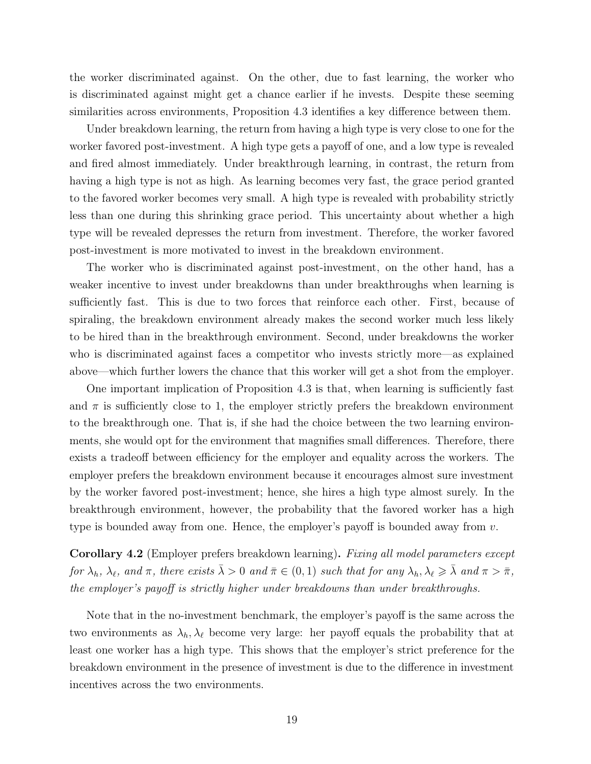the worker discriminated against. On the other, due to fast learning, the worker who is discriminated against might get a chance earlier if he invests. Despite these seeming similarities across environments, Proposition [4.3](#page-17-1) identifies a key difference between them.

Under breakdown learning, the return from having a high type is very close to one for the worker favored post-investment. A high type gets a payoff of one, and a low type is revealed and fired almost immediately. Under breakthrough learning, in contrast, the return from having a high type is not as high. As learning becomes very fast, the grace period granted to the favored worker becomes very small. A high type is revealed with probability strictly less than one during this shrinking grace period. This uncertainty about whether a high type will be revealed depresses the return from investment. Therefore, the worker favored post-investment is more motivated to invest in the breakdown environment.

The worker who is discriminated against post-investment, on the other hand, has a weaker incentive to invest under breakdowns than under breakthroughs when learning is sufficiently fast. This is due to two forces that reinforce each other. First, because of spiraling, the breakdown environment already makes the second worker much less likely to be hired than in the breakthrough environment. Second, under breakdowns the worker who is discriminated against faces a competitor who invests strictly more—as explained above—which further lowers the chance that this worker will get a shot from the employer.

One important implication of Proposition [4.3](#page-17-1) is that, when learning is sufficiently fast and  $\pi$  is sufficiently close to 1, the employer strictly prefers the breakdown environment to the breakthrough one. That is, if she had the choice between the two learning environments, she would opt for the environment that magnifies small differences. Therefore, there exists a tradeoff between efficiency for the employer and equality across the workers. The employer prefers the breakdown environment because it encourages almost sure investment by the worker favored post-investment; hence, she hires a high type almost surely. In the breakthrough environment, however, the probability that the favored worker has a high type is bounded away from one. Hence, the employer's payoff is bounded away from  $v$ .

<span id="page-18-0"></span>Corollary 4.2 (Employer prefers breakdown learning). Fixing all model parameters except for  $\lambda_h$ ,  $\lambda_\ell$ , and  $\pi$ , there exists  $\bar{\lambda} > 0$  and  $\bar{\pi} \in (0, 1)$  such that for any  $\lambda_h$ ,  $\lambda_\ell \geqslant \bar{\lambda}$  and  $\pi > \bar{\pi}$ , the employer's payoff is strictly higher under breakdowns than under breakthroughs.

Note that in the no-investment benchmark, the employer's payoff is the same across the two environments as  $\lambda_h, \lambda_\ell$  become very large: her payoff equals the probability that at least one worker has a high type. This shows that the employer's strict preference for the breakdown environment in the presence of investment is due to the difference in investment incentives across the two environments.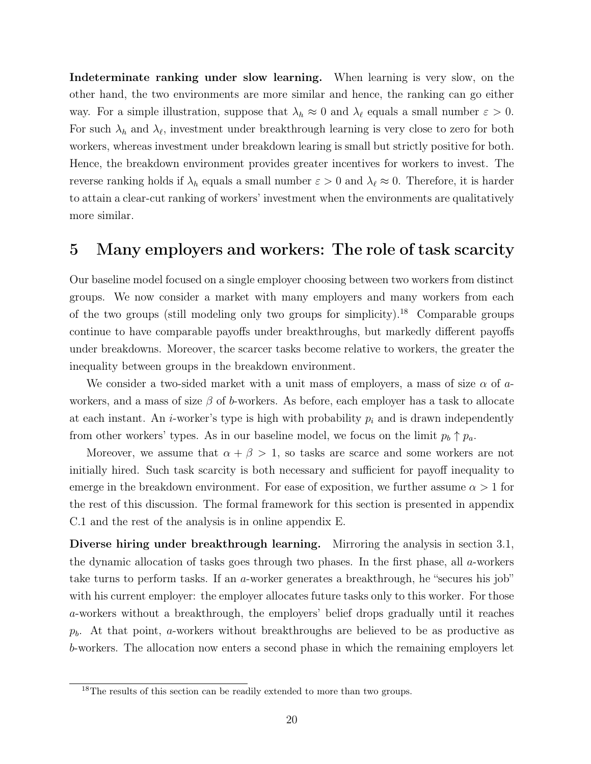Indeterminate ranking under slow learning. When learning is very slow, on the other hand, the two environments are more similar and hence, the ranking can go either way. For a simple illustration, suppose that  $\lambda_h \approx 0$  and  $\lambda_{\ell}$  equals a small number  $\varepsilon > 0$ . For such  $\lambda_h$  and  $\lambda_{\ell}$ , investment under breakthrough learning is very close to zero for both workers, whereas investment under breakdown learing is small but strictly positive for both. Hence, the breakdown environment provides greater incentives for workers to invest. The reverse ranking holds if  $\lambda_h$  equals a small number  $\varepsilon > 0$  and  $\lambda_\ell \approx 0$ . Therefore, it is harder to attain a clear-cut ranking of workers' investment when the environments are qualitatively more similar.

## <span id="page-19-0"></span>5 Many employers and workers: The role of task scarcity

Our baseline model focused on a single employer choosing between two workers from distinct groups. We now consider a market with many employers and many workers from each of the two groups (still modeling only two groups for simplicity).[18](#page-19-1) Comparable groups continue to have comparable payoffs under breakthroughs, but markedly different payoffs under breakdowns. Moreover, the scarcer tasks become relative to workers, the greater the inequality between groups in the breakdown environment.

We consider a two-sided market with a unit mass of employers, a mass of size  $\alpha$  of aworkers, and a mass of size  $\beta$  of b-workers. As before, each employer has a task to allocate at each instant. An *i*-worker's type is high with probability  $p_i$  and is drawn independently from other workers' types. As in our baseline model, we focus on the limit  $p_b \uparrow p_a$ .

Moreover, we assume that  $\alpha + \beta > 1$ , so tasks are scarce and some workers are not initially hired. Such task scarcity is both necessary and sufficient for payoff inequality to emerge in the breakdown environment. For ease of exposition, we further assume  $\alpha > 1$  for the rest of this discussion. The formal framework for this section is presented in appendix [C.1](#page-37-0) and the rest of the analysis is in online appendix [E.](#page-44-0)

Diverse hiring under breakthrough learning. Mirroring the analysis in section [3.1,](#page-10-1) the dynamic allocation of tasks goes through two phases. In the first phase, all a-workers take turns to perform tasks. If an a-worker generates a breakthrough, he "secures his job" with his current employer: the employer allocates future tasks only to this worker. For those a-workers without a breakthrough, the employers' belief drops gradually until it reaches  $p<sub>b</sub>$ . At that point, a-workers without breakthroughs are believed to be as productive as b-workers. The allocation now enters a second phase in which the remaining employers let

<span id="page-19-1"></span><sup>&</sup>lt;sup>18</sup>The results of this section can be readily extended to more than two groups.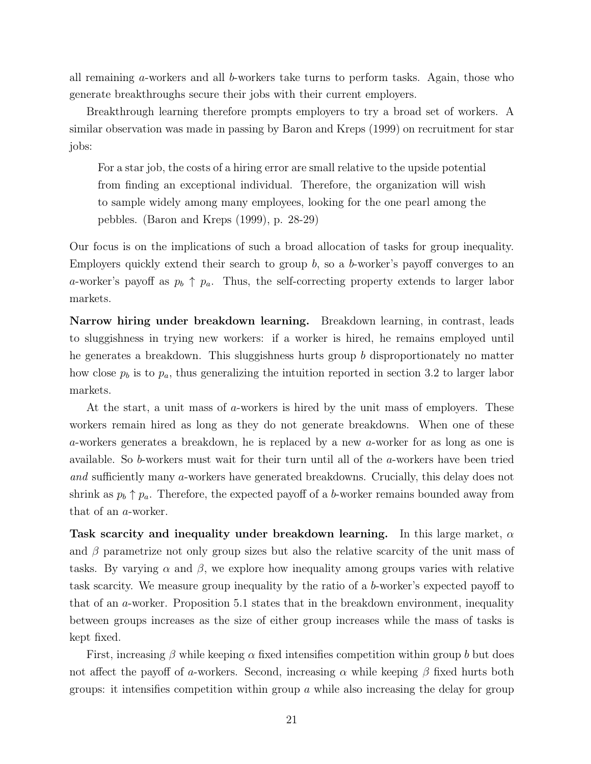all remaining a-workers and all b-workers take turns to perform tasks. Again, those who generate breakthroughs secure their jobs with their current employers.

Breakthrough learning therefore prompts employers to try a broad set of workers. A similar observation was made in passing by [Baron and Kreps](#page-28-2) [\(1999](#page-28-2)) on recruitment for star jobs:

For a star job, the costs of a hiring error are small relative to the upside potential from finding an exceptional individual. Therefore, the organization will wish to sample widely among many employees, looking for the one pearl among the pebbles. [\(Baron and Kreps](#page-28-2) [\(1999](#page-28-2)), p. 28-29)

Our focus is on the implications of such a broad allocation of tasks for group inequality. Employers quickly extend their search to group  $b$ , so a  $b$ -worker's payoff converges to an a-worker's payoff as  $p_b \uparrow p_a$ . Thus, the self-correcting property extends to larger labor markets.

Narrow hiring under breakdown learning. Breakdown learning, in contrast, leads to sluggishness in trying new workers: if a worker is hired, he remains employed until he generates a breakdown. This sluggishness hurts group b disproportionately no matter how close  $p_b$  is to  $p_a$ , thus generalizing the intuition reported in section [3.2](#page-11-0) to larger labor markets.

At the start, a unit mass of a-workers is hired by the unit mass of employers. These workers remain hired as long as they do not generate breakdowns. When one of these a-workers generates a breakdown, he is replaced by a new a-worker for as long as one is available. So b-workers must wait for their turn until all of the a-workers have been tried and sufficiently many a-workers have generated breakdowns. Crucially, this delay does not shrink as  $p_b \uparrow p_a$ . Therefore, the expected payoff of a b-worker remains bounded away from that of an a-worker.

Task scarcity and inequality under breakdown learning. In this large market,  $\alpha$ and  $\beta$  parametrize not only group sizes but also the relative scarcity of the unit mass of tasks. By varying  $\alpha$  and  $\beta$ , we explore how inequality among groups varies with relative task scarcity. We measure group inequality by the ratio of a b-worker's expected payoff to that of an a-worker. Proposition [5.1](#page-21-1) states that in the breakdown environment, inequality between groups increases as the size of either group increases while the mass of tasks is kept fixed.

First, increasing  $\beta$  while keeping  $\alpha$  fixed intensifies competition within group b but does not affect the payoff of a-workers. Second, increasing  $\alpha$  while keeping  $\beta$  fixed hurts both groups: it intensifies competition within group  $\alpha$  while also increasing the delay for group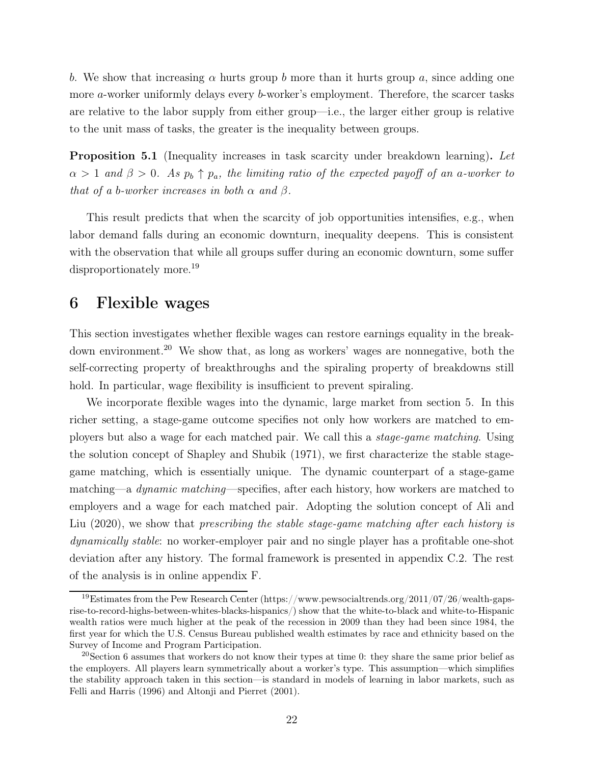b. We show that increasing  $\alpha$  hurts group b more than it hurts group a, since adding one more *a*-worker uniformly delays every *b*-worker's employment. Therefore, the scarcer tasks are relative to the labor supply from either group—i.e., the larger either group is relative to the unit mass of tasks, the greater is the inequality between groups.

<span id="page-21-1"></span>Proposition 5.1 (Inequality increases in task scarcity under breakdown learning). Let  $\alpha > 1$  and  $\beta > 0$ . As  $p_b \uparrow p_a$ , the limiting ratio of the expected payoff of an a-worker to that of a b-worker increases in both  $\alpha$  and  $\beta$ .

This result predicts that when the scarcity of job opportunities intensifies, e.g., when labor demand falls during an economic downturn, inequality deepens. This is consistent with the observation that while all groups suffer during an economic downturn, some suffer disproportionately more.<sup>[19](#page-21-2)</sup>

## <span id="page-21-0"></span>6 Flexible wages

This section investigates whether flexible wages can restore earnings equality in the break-down environment.<sup>[20](#page-21-3)</sup> We show that, as long as workers' wages are nonnegative, both the self-correcting property of breakthroughs and the spiraling property of breakdowns still hold. In particular, wage flexibility is insufficient to prevent spiraling.

We incorporate flexible wages into the dynamic, large market from section [5.](#page-19-0) In this richer setting, a stage-game outcome specifies not only how workers are matched to employers but also a wage for each matched pair. We call this a stage-game matching. Using the solution concept of [Shapley and Shubik \(1971\)](#page-32-7), we first characterize the stable stagegame matching, which is essentially unique. The dynamic counterpart of a stage-game matching—a dynamic matching—specifies, after each history, how workers are matched to em[ployers and a wage for each matched pair. Adopting the solution concept of](#page-27-1) Ali and Liu [\(2020](#page-27-1)), we show that *prescribing the stable stage-game matching after each history is* dynamically stable: no worker-employer pair and no single player has a profitable one-shot deviation after any history. The formal framework is presented in appendix [C.2.](#page-38-0) The rest of the analysis is in online appendix [F.](#page-47-0)

<span id="page-21-2"></span><sup>&</sup>lt;sup>19</sup>Estimates from [the Pew Research Center](https://www.pewsocialtrends.org/2011/07/26/wealth-gaps-rise-to-record-highs-between-whites-blacks-hispanics/) (https://www.pewsocialtrends.org/2011/07/26/wealth-gapsrise-to-record-highs-between-whites-blacks-hispanics/) show that the white-to-black and white-to-Hispanic wealth ratios were much higher at the peak of the recession in 2009 than they had been since 1984, the first year for which the U.S. Census Bureau published wealth estimates by race and ethnicity based on the Survey of Income and Program Participation.

<span id="page-21-3"></span><sup>20</sup>Section [6](#page-21-0) assumes that workers do not know their types at time 0: they share the same prior belief as the employers. All players learn symmetrically about a worker's type. This assumption—which simplifies the stability approach taken in this section—is standard in models of learning in labor markets, such as [Felli and Harris \(1996](#page-29-7)) and [Altonji and Pierret \(2001](#page-28-8)).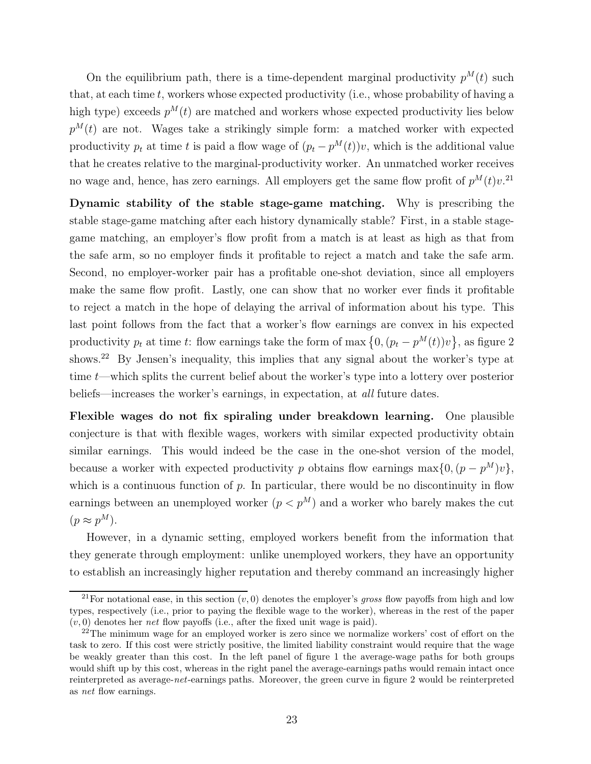On the equilibrium path, there is a time-dependent marginal productivity  $p^{M}(t)$  such that, at each time  $t$ , workers whose expected productivity (i.e., whose probability of having a high type) exceeds  $p^{M}(t)$  are matched and workers whose expected productivity lies below  $p^{M}(t)$  are not. Wages take a strikingly simple form: a matched worker with expected productivity  $p_t$  at time t is paid a flow wage of  $(p_t - p^M(t))v$ , which is the additional value that he creates relative to the marginal-productivity worker. An unmatched worker receives no wage and, hence, has zero earnings. All employers get the same flow profit of  $p^{M}(t)v^{21}$  $p^{M}(t)v^{21}$  $p^{M}(t)v^{21}$ 

Dynamic stability of the stable stage-game matching. Why is prescribing the stable stage-game matching after each history dynamically stable? First, in a stable stagegame matching, an employer's flow profit from a match is at least as high as that from the safe arm, so no employer finds it profitable to reject a match and take the safe arm. Second, no employer-worker pair has a profitable one-shot deviation, since all employers make the same flow profit. Lastly, one can show that no worker ever finds it profitable to reject a match in the hope of delaying the arrival of information about his type. This last point follows from the fact that a worker's flow earnings are convex in his expected productivity  $p_t$  at time t: flow earnings take the form of max  $\{0, (p_t - p^M(t))v\}$ , as figure [2](#page-23-0) shows.<sup>[22](#page-22-1)</sup> By Jensen's inequality, this implies that any signal about the worker's type at time t—which splits the current belief about the worker's type into a lottery over posterior beliefs—increases the worker's earnings, in expectation, at all future dates.

Flexible wages do not fix spiraling under breakdown learning. One plausible conjecture is that with flexible wages, workers with similar expected productivity obtain similar earnings. This would indeed be the case in the one-shot version of the model, because a worker with expected productivity p obtains flow earnings  $\max\{0, (p - p^M)v\},\$ which is a continuous function of  $p$ . In particular, there would be no discontinuity in flow earnings between an unemployed worker  $(p < p<sup>M</sup>)$  and a worker who barely makes the cut  $(p \approx p^M).$ 

However, in a dynamic setting, employed workers benefit from the information that they generate through employment: unlike unemployed workers, they have an opportunity to establish an increasingly higher reputation and thereby command an increasingly higher

<span id="page-22-0"></span><sup>&</sup>lt;sup>21</sup>For notational ease, in this section  $(v, 0)$  denotes the employer's gross flow payoffs from high and low types, respectively (i.e., prior to paying the flexible wage to the worker), whereas in the rest of the paper  $(v, 0)$  denotes her *net* flow payoffs (i.e., after the fixed unit wage is paid).

<span id="page-22-1"></span> $^{22}$ The minimum wage for an employed worker is zero since we normalize workers' cost of effort on the task to zero. If this cost were strictly positive, the limited liability constraint would require that the wage be weakly greater than this cost. In the left panel of figure [1](#page-5-0) the average-wage paths for both groups would shift up by this cost, whereas in the right panel the average-earnings paths would remain intact once reinterpreted as average-net-earnings paths. Moreover, the green curve in figure [2](#page-23-0) would be reinterpreted as net flow earnings.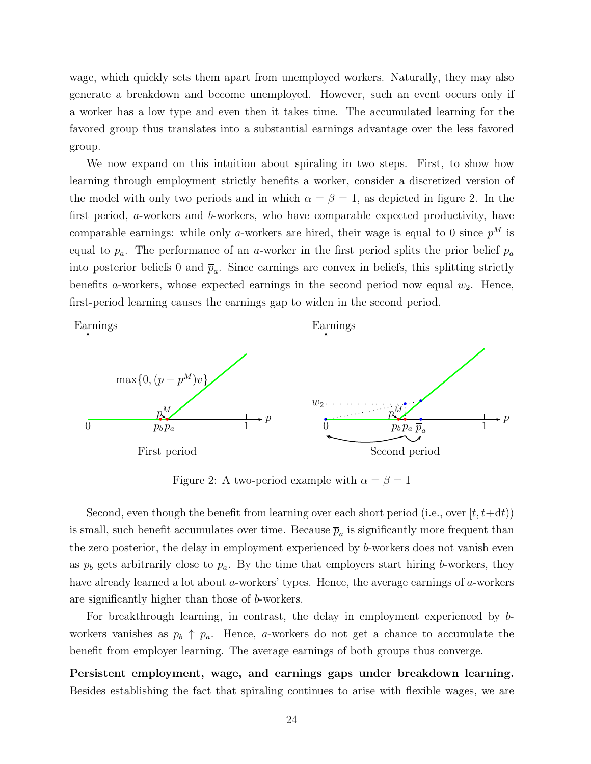wage, which quickly sets them apart from unemployed workers. Naturally, they may also generate a breakdown and become unemployed. However, such an event occurs only if a worker has a low type and even then it takes time. The accumulated learning for the favored group thus translates into a substantial earnings advantage over the less favored group.

We now expand on this intuition about spiraling in two steps. First, to show how learning through employment strictly benefits a worker, consider a discretized version of the model with only two periods and in which  $\alpha = \beta = 1$ , as depicted in figure [2.](#page-23-0) In the first period, a-workers and b-workers, who have comparable expected productivity, have comparable earnings: while only a-workers are hired, their wage is equal to 0 since  $p^M$  is equal to  $p_a$ . The performance of an a-worker in the first period splits the prior belief  $p_a$ into posterior beliefs 0 and  $\bar{p}_a$ . Since earnings are convex in beliefs, this splitting strictly benefits *a*-workers, whose expected earnings in the second period now equal  $w_2$ . Hence, first-period learning causes the earnings gap to widen in the second period.

<span id="page-23-0"></span>![](_page_23_Figure_2.jpeg)

Figure 2: A two-period example with  $\alpha = \beta = 1$ 

Second, even though the benefit from learning over each short period (i.e., over  $|t, t+\mathrm{d}t)$ ) is small, such benefit accumulates over time. Because  $\overline{p}_a$  is significantly more frequent than the zero posterior, the delay in employment experienced by b-workers does not vanish even as  $p_b$  gets arbitrarily close to  $p_a$ . By the time that employers start hiring b-workers, they have already learned a lot about a-workers' types. Hence, the average earnings of a-workers are significantly higher than those of b-workers.

For breakthrough learning, in contrast, the delay in employment experienced by bworkers vanishes as  $p_b \uparrow p_a$ . Hence, a-workers do not get a chance to accumulate the benefit from employer learning. The average earnings of both groups thus converge.

Persistent employment, wage, and earnings gaps under breakdown learning. Besides establishing the fact that spiraling continues to arise with flexible wages, we are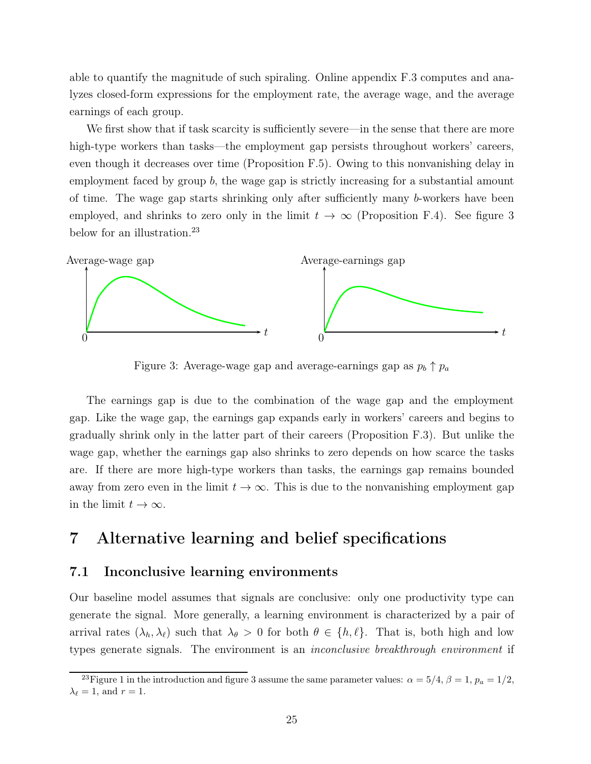able to quantify the magnitude of such spiraling. Online appendix [F.3](#page-54-0) computes and analyzes closed-form expressions for the employment rate, the average wage, and the average earnings of each group.

We first show that if task scarcity is sufficiently severe—in the sense that there are more high-type workers than tasks—the employment gap persists throughout workers' careers, even though it decreases over time (Proposition [F.5\)](#page-58-0). Owing to this nonvanishing delay in employment faced by group  $b$ , the wage gap is strictly increasing for a substantial amount of time. The wage gap starts shrinking only after sufficiently many b-workers have been employed, and shrinks to zero only in the limit  $t \to \infty$  (Proposition [F.4\)](#page-57-0). See figure [3](#page-24-2) below for an illustration.<sup>[23](#page-24-3)</sup>

<span id="page-24-2"></span>![](_page_24_Figure_2.jpeg)

Figure 3: Average-wage gap and average-earnings gap as  $p_b \uparrow p_a$ 

The earnings gap is due to the combination of the wage gap and the employment gap. Like the wage gap, the earnings gap expands early in workers' careers and begins to gradually shrink only in the latter part of their careers (Proposition [F.3\)](#page-55-0). But unlike the wage gap, whether the earnings gap also shrinks to zero depends on how scarce the tasks are. If there are more high-type workers than tasks, the earnings gap remains bounded away from zero even in the limit  $t \to \infty$ . This is due to the nonvanishing employment gap in the limit  $t \to \infty$ .

## <span id="page-24-1"></span><span id="page-24-0"></span>7 Alternative learning and belief specifications

### 7.1 Inconclusive learning environments

Our baseline model assumes that signals are conclusive: only one productivity type can generate the signal. More generally, a learning environment is characterized by a pair of arrival rates  $(\lambda_h, \lambda_\ell)$  such that  $\lambda_\theta > 0$  for both  $\theta \in \{h, \ell\}$ . That is, both high and low types generate signals. The environment is an inconclusive breakthrough environment if

<span id="page-24-3"></span><sup>&</sup>lt;sup>23</sup>Figure [1](#page-5-0) in the introduction and figure [3](#page-24-2) assume the same parameter values:  $\alpha = 5/4$ ,  $\beta = 1$ ,  $p_a = 1/2$ ,  $\lambda_{\ell}=1$ , and  $r=1$ .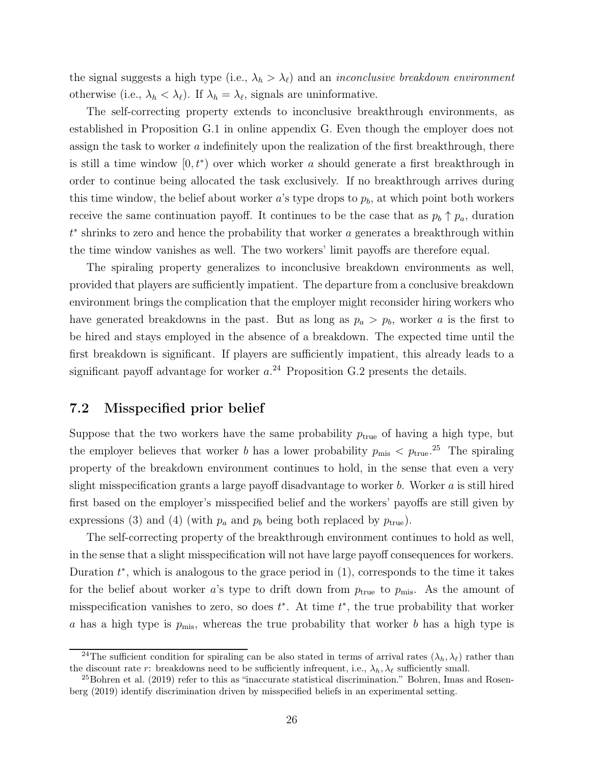the signal suggests a high type (i.e.,  $\lambda_h > \lambda_{\ell}$ ) and an *inconclusive breakdown environment* otherwise (i.e.,  $\lambda_h < \lambda_{\ell}$ ). If  $\lambda_h = \lambda_{\ell}$ , signals are uninformative.

The self-correcting property extends to inconclusive breakthrough environments, as established in Proposition [G.1](#page-59-0) in online appendix [G.](#page-59-1) Even though the employer does not assign the task to worker a indefinitely upon the realization of the first breakthrough, there is still a time window  $[0, t^*)$  over which worker a should generate a first breakthrough in order to continue being allocated the task exclusively. If no breakthrough arrives during this time window, the belief about worker  $a$ 's type drops to  $p<sub>b</sub>$ , at which point both workers receive the same continuation payoff. It continues to be the case that as  $p_b \uparrow p_a$ , duration  $t^*$  shrinks to zero and hence the probability that worker  $a$  generates a breakthrough within the time window vanishes as well. The two workers' limit payoffs are therefore equal.

The spiraling property generalizes to inconclusive breakdown environments as well, provided that players are sufficiently impatient. The departure from a conclusive breakdown environment brings the complication that the employer might reconsider hiring workers who have generated breakdowns in the past. But as long as  $p_a > p_b$ , worker a is the first to be hired and stays employed in the absence of a breakdown. The expected time until the first breakdown is significant. If players are sufficiently impatient, this already leads to a significant payoff advantage for worker  $a^{24}$  $a^{24}$  $a^{24}$  Proposition [G.2](#page-60-0) presents the details.

### <span id="page-25-0"></span>7.2 Misspecified prior belief

Suppose that the two workers have the same probability  $p_{true}$  of having a high type, but the employer believes that worker b has a lower probability  $p_{\text{mis}} < p_{\text{true}}^{25}$  $p_{\text{mis}} < p_{\text{true}}^{25}$  $p_{\text{mis}} < p_{\text{true}}^{25}$ . The spiraling property of the breakdown environment continues to hold, in the sense that even a very slight misspecification grants a large payoff disadvantage to worker b. Worker a is still hired first based on the employer's misspecified belief and the workers' payoffs are still given by expressions [\(3\)](#page-12-1) and [\(4\)](#page-12-2) (with  $p_a$  and  $p_b$  being both replaced by  $p_{true}$ ).

The self-correcting property of the breakthrough environment continues to hold as well, in the sense that a slight misspecification will not have large payoff consequences for workers. Duration  $t^*$ , which is analogous to the grace period in  $(1)$ , corresponds to the time it takes for the belief about worker a's type to drift down from  $p_{true}$  to  $p_{mis}$ . As the amount of misspecification vanishes to zero, so does  $t^*$ . At time  $t^*$ , the true probability that worker a has a high type is  $p_{\text{mis}}$ , whereas the true probability that worker b has a high type is

<span id="page-25-1"></span><sup>&</sup>lt;sup>24</sup>The sufficient condition for spiraling can be also stated in terms of arrival rates  $(\lambda_h, \lambda_\ell)$  rather than the discount rate r: breakdowns need to be sufficiently infrequent, i.e.,  $\lambda_h$ ,  $\lambda_\ell$  sufficiently small.

<span id="page-25-2"></span> $^{25}$ [Bohren et al. \(2019](#page-29-11)[\) refer to this as "inaccurate statistical discrimination."](#page-29-12) Bohren, Imas and Rosenberg [\(2019](#page-29-12)) identify discrimination driven by misspecified beliefs in an experimental setting.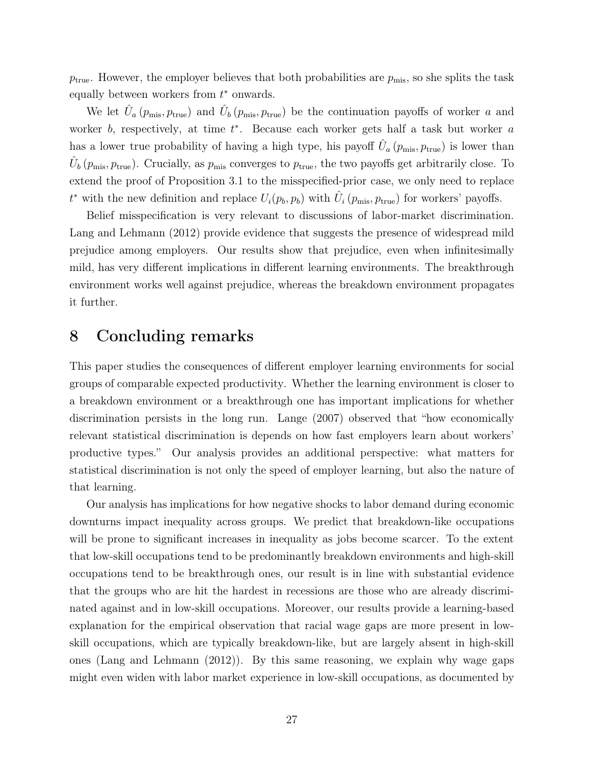$p_{\text{true}}$ . However, the employer believes that both probabilities are  $p_{\text{mis}}$ , so she splits the task equally between workers from  $t^*$  onwards.

We let  $\hat{U}_a(p_{\text{mis}}, p_{\text{true}})$  and  $\hat{U}_b(p_{\text{mis}}, p_{\text{true}})$  be the continuation payoffs of worker a and worker  $b$ , respectively, at time  $t^*$ . Because each worker gets half a task but worker  $a$ has a lower true probability of having a high type, his payoff  $\hat{U}_a(p_{\rm mis}, p_{\rm true})$  is lower than  $\hat{U}_b(p_{\text{mis}}, p_{\text{true}})$ . Crucially, as  $p_{\text{mis}}$  converges to  $p_{\text{true}}$ , the two payoffs get arbitrarily close. To extend the proof of Proposition [3.1](#page-10-2) to the misspecified-prior case, we only need to replace  $t^*$  with the new definition and replace  $U_i(p_b, p_b)$  with  $\hat{U}_i(p_{\text{mis}}, p_{\text{true}})$  for workers' payoffs.

Belief misspecification is very relevant to discussions of labor-market discrimination. [Lang and Lehmann](#page-31-1) [\(2012](#page-31-1)) provide evidence that suggests the presence of widespread mild prejudice among employers. Our results show that prejudice, even when infinitesimally mild, has very different implications in different learning environments. The breakthrough environment works well against prejudice, whereas the breakdown environment propagates it further.

## <span id="page-26-0"></span>8 Concluding remarks

This paper studies the consequences of different employer learning environments for social groups of comparable expected productivity. Whether the learning environment is closer to a breakdown environment or a breakthrough one has important implications for whether discrimination persists in the long run. [Lange \(2007\)](#page-31-4) observed that "how economically relevant statistical discrimination is depends on how fast employers learn about workers' productive types." Our analysis provides an additional perspective: what matters for statistical discrimination is not only the speed of employer learning, but also the nature of that learning.

Our analysis has implications for how negative shocks to labor demand during economic downturns impact inequality across groups. We predict that breakdown-like occupations will be prone to significant increases in inequality as jobs become scarcer. To the extent that low-skill occupations tend to be predominantly breakdown environments and high-skill occupations tend to be breakthrough ones, our result is in line with substantial evidence that the groups who are hit the hardest in recessions are those who are already discriminated against and in low-skill occupations. Moreover, our results provide a learning-based explanation for the empirical observation that racial wage gaps are more present in lowskill occupations, which are typically breakdown-like, but are largely absent in high-skill ones [\(Lang and Lehmann \(2012\)](#page-31-1)). By this same reasoning, we explain why wage gaps might even widen with labor market experience in low-skill occupations, as documented by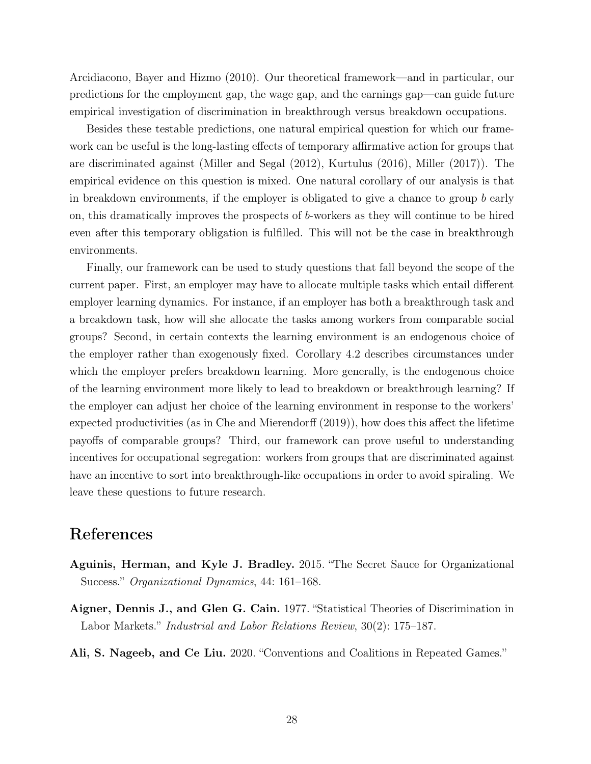[Arcidiacono, Bayer and Hizmo \(2010](#page-28-5)). Our theoretical framework—and in particular, our predictions for the employment gap, the wage gap, and the earnings gap—can guide future empirical investigation of discrimination in breakthrough versus breakdown occupations.

Besides these testable predictions, one natural empirical question for which our framework can be useful is the long-lasting effects of temporary affirmative action for groups that are discriminated against [\(Miller and Segal \(2012](#page-31-10)), [Kurtulus \(2016\)](#page-31-11), [Miller \(2017\)](#page-31-12)). The empirical evidence on this question is mixed. One natural corollary of our analysis is that in breakdown environments, if the employer is obligated to give a chance to group b early on, this dramatically improves the prospects of b-workers as they will continue to be hired even after this temporary obligation is fulfilled. This will not be the case in breakthrough environments.

Finally, our framework can be used to study questions that fall beyond the scope of the current paper. First, an employer may have to allocate multiple tasks which entail different employer learning dynamics. For instance, if an employer has both a breakthrough task and a breakdown task, how will she allocate the tasks among workers from comparable social groups? Second, in certain contexts the learning environment is an endogenous choice of the employer rather than exogenously fixed. Corollary [4.2](#page-18-0) describes circumstances under which the employer prefers breakdown learning. More generally, is the endogenous choice of the learning environment more likely to lead to breakdown or breakthrough learning? If the employer can adjust her choice of the learning environment in response to the workers' expected productivities (as in [Che and Mierendorff \(2019\)](#page-29-13)), how does this affect the lifetime payoffs of comparable groups? Third, our framework can prove useful to understanding incentives for occupational segregation: workers from groups that are discriminated against have an incentive to sort into breakthrough-like occupations in order to avoid spiraling. We leave these questions to future research.

# References

- <span id="page-27-0"></span>Aguinis, Herman, and Kyle J. Bradley. 2015. "The Secret Sauce for Organizational Success." Organizational Dynamics, 44: 161–168.
- <span id="page-27-2"></span>Aigner, Dennis J., and Glen G. Cain. 1977. "Statistical Theories of Discrimination in Labor Markets." Industrial and Labor Relations Review, 30(2): 175–187.
- <span id="page-27-1"></span>Ali, S. Nageeb, and Ce Liu. 2020. "Conventions and Coalitions in Repeated Games."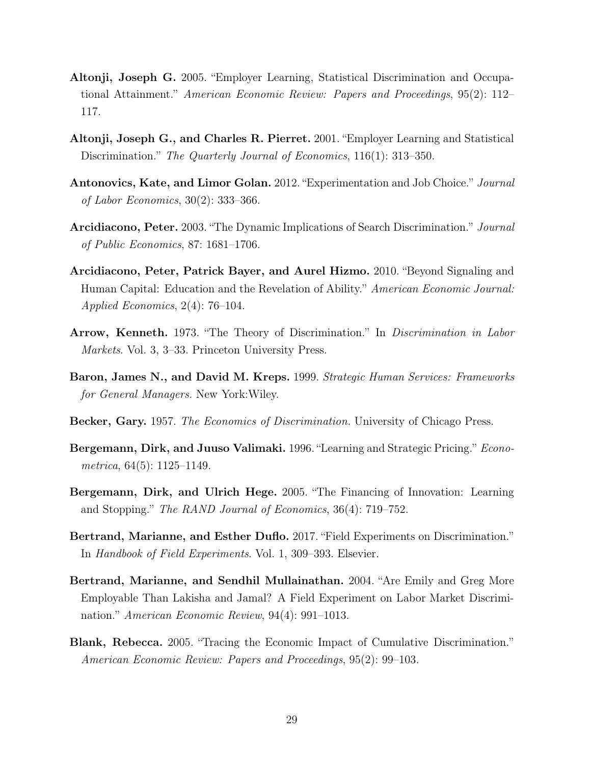- <span id="page-28-9"></span>Altonji, Joseph G. 2005. "Employer Learning, Statistical Discrimination and Occupational Attainment." American Economic Review: Papers and Proceedings, 95(2): 112– 117.
- <span id="page-28-8"></span>Altonji, Joseph G., and Charles R. Pierret. 2001. "Employer Learning and Statistical Discrimination." The Quarterly Journal of Economics, 116(1): 313–350.
- <span id="page-28-10"></span>Antonovics, Kate, and Limor Golan. 2012. "Experimentation and Job Choice." Journal of Labor Economics, 30(2): 333–366.
- <span id="page-28-4"></span>Arcidiacono, Peter. 2003. "The Dynamic Implications of Search Discrimination." Journal of Public Economics, 87: 1681–1706.
- <span id="page-28-5"></span>Arcidiacono, Peter, Patrick Bayer, and Aurel Hizmo. 2010. "Beyond Signaling and Human Capital: Education and the Revelation of Ability." American Economic Journal: Applied Economics, 2(4): 76–104.
- <span id="page-28-6"></span>Arrow, Kenneth. 1973. "The Theory of Discrimination." In Discrimination in Labor Markets. Vol. 3, 3–33. Princeton University Press.
- <span id="page-28-2"></span>Baron, James N., and David M. Kreps. 1999. Strategic Human Services: Frameworks for General Managers. New York:Wiley.
- <span id="page-28-3"></span>Becker, Gary. 1957. The Economics of Discrimination. University of Chicago Press.
- <span id="page-28-11"></span>Bergemann, Dirk, and Juuso Valimaki. 1996. "Learning and Strategic Pricing." Econometrica,  $64(5)$ : 1125–1149.
- <span id="page-28-12"></span>Bergemann, Dirk, and Ulrich Hege. 2005. "The Financing of Innovation: Learning and Stopping." The RAND Journal of Economics, 36(4): 719–752.
- <span id="page-28-1"></span>Bertrand, Marianne, and Esther Duflo. 2017. "Field Experiments on Discrimination." In Handbook of Field Experiments. Vol. 1, 309–393. Elsevier.
- <span id="page-28-0"></span>Bertrand, Marianne, and Sendhil Mullainathan. 2004. "Are Emily and Greg More Employable Than Lakisha and Jamal? A Field Experiment on Labor Market Discrimination." American Economic Review, 94(4): 991–1013.
- <span id="page-28-7"></span>Blank, Rebecca. 2005. "Tracing the Economic Impact of Cumulative Discrimination." American Economic Review: Papers and Proceedings, 95(2): 99–103.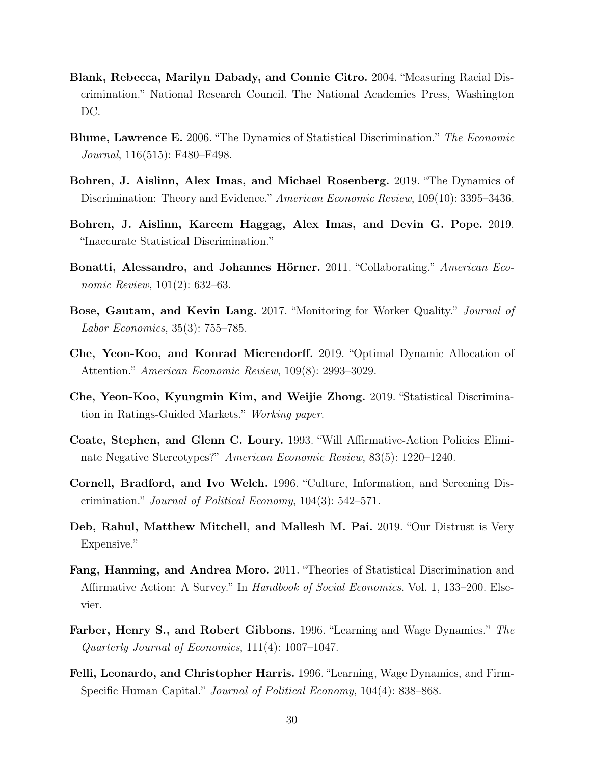- <span id="page-29-5"></span>Blank, Rebecca, Marilyn Dabady, and Connie Citro. 2004. "Measuring Racial Discrimination." National Research Council. The National Academies Press, Washington DC.
- <span id="page-29-4"></span>Blume, Lawrence E. 2006. "The Dynamics of Statistical Discrimination." The Economic Journal, 116(515): F480–F498.
- <span id="page-29-12"></span>Bohren, J. Aislinn, Alex Imas, and Michael Rosenberg. 2019. "The Dynamics of Discrimination: Theory and Evidence." American Economic Review, 109(10): 3395–3436.
- <span id="page-29-11"></span>Bohren, J. Aislinn, Kareem Haggag, Alex Imas, and Devin G. Pope. 2019. "Inaccurate Statistical Discrimination."
- <span id="page-29-9"></span>Bonatti, Alessandro, and Johannes Hörner. 2011. "Collaborating." American Economic Review, 101(2): 632–63.
- <span id="page-29-0"></span>Bose, Gautam, and Kevin Lang. 2017. "Monitoring for Worker Quality." Journal of Labor Economics, 35(3): 755–785.
- <span id="page-29-13"></span>Che, Yeon-Koo, and Konrad Mierendorff. 2019. "Optimal Dynamic Allocation of Attention." American Economic Review, 109(8): 2993–3029.
- <span id="page-29-10"></span>Che, Yeon-Koo, Kyungmin Kim, and Weijie Zhong. 2019. "Statistical Discrimination in Ratings-Guided Markets." Working paper.
- <span id="page-29-3"></span>Coate, Stephen, and Glenn C. Loury. 1993. "Will Affirmative-Action Policies Eliminate Negative Stereotypes?" American Economic Review, 83(5): 1220–1240.
- <span id="page-29-2"></span>Cornell, Bradford, and Ivo Welch. 1996. "Culture, Information, and Screening Discrimination." Journal of Political Economy, 104(3): 542–571.
- <span id="page-29-8"></span>Deb, Rahul, Matthew Mitchell, and Mallesh M. Pai. 2019. "Our Distrust is Very Expensive."
- <span id="page-29-1"></span>Fang, Hanming, and Andrea Moro. 2011. "Theories of Statistical Discrimination and Affirmative Action: A Survey." In *Handbook of Social Economics*. Vol. 1, 133–200. Elsevier.
- <span id="page-29-6"></span>Farber, Henry S., and Robert Gibbons. 1996. "Learning and Wage Dynamics." The Quarterly Journal of Economics, 111(4): 1007–1047.
- <span id="page-29-7"></span>Felli, Leonardo, and Christopher Harris. 1996. "Learning, Wage Dynamics, and Firm-Specific Human Capital." Journal of Political Economy, 104(4): 838–868.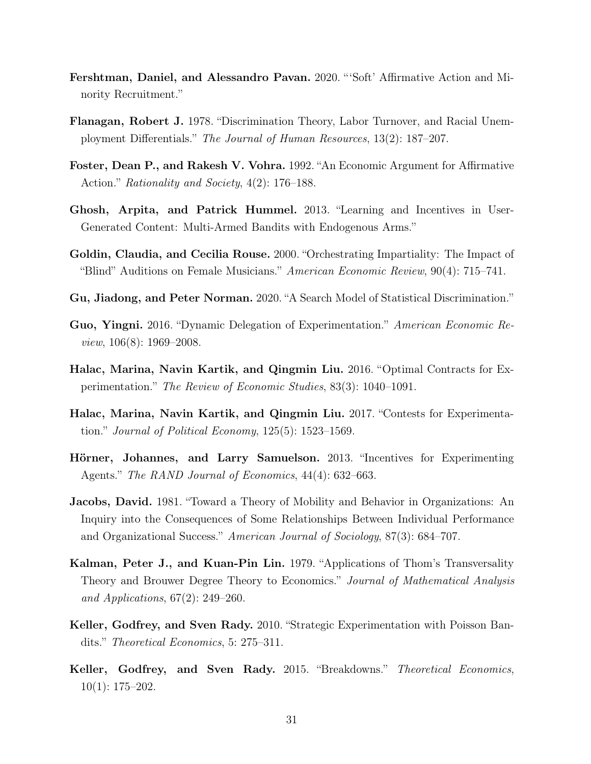- <span id="page-30-3"></span>Fershtman, Daniel, and Alessandro Pavan. 2020. "'Soft' Affirmative Action and Minority Recruitment."
- <span id="page-30-2"></span>Flanagan, Robert J. 1978. "Discrimination Theory, Labor Turnover, and Racial Unemployment Differentials." The Journal of Human Resources, 13(2): 187–207.
- <span id="page-30-4"></span>Foster, Dean P., and Rakesh V. Vohra. 1992. "An Economic Argument for Affirmative Action." Rationality and Society, 4(2): 176–188.
- <span id="page-30-8"></span>Ghosh, Arpita, and Patrick Hummel. 2013. "Learning and Incentives in User-Generated Content: Multi-Armed Bandits with Endogenous Arms."
- <span id="page-30-0"></span>Goldin, Claudia, and Cecilia Rouse. 2000. "Orchestrating Impartiality: The Impact of "Blind" Auditions on Female Musicians." American Economic Review,  $90(4)$ : 715–741.
- <span id="page-30-5"></span>Gu, Jiadong, and Peter Norman. 2020. "A Search Model of Statistical Discrimination."
- <span id="page-30-11"></span>Guo, Yingni. 2016. "Dynamic Delegation of Experimentation." American Economic Review, 106(8): 1969–2008.
- <span id="page-30-10"></span>Halac, Marina, Navin Kartik, and Qingmin Liu. 2016. "Optimal Contracts for Experimentation." The Review of Economic Studies, 83(3): 1040–1091.
- <span id="page-30-12"></span>Halac, Marina, Navin Kartik, and Qingmin Liu. 2017. "Contests for Experimentation." Journal of Political Economy,  $125(5)$ : 1523–1569.
- <span id="page-30-9"></span>Hörner, Johannes, and Larry Samuelson. 2013. "Incentives for Experimenting Agents." The RAND Journal of Economics, 44(4): 632–663.
- <span id="page-30-1"></span>Jacobs, David. 1981. "Toward a Theory of Mobility and Behavior in Organizations: An Inquiry into the Consequences of Some Relationships Between Individual Performance and Organizational Success." American Journal of Sociology, 87(3): 684–707.
- <span id="page-30-13"></span>Kalman, Peter J., and Kuan-Pin Lin. 1979. "Applications of Thom's Transversality Theory and Brouwer Degree Theory to Economics." Journal of Mathematical Analysis and Applications, 67(2): 249–260.
- <span id="page-30-6"></span>Keller, Godfrey, and Sven Rady. 2010. "Strategic Experimentation with Poisson Bandits." Theoretical Economics, 5: 275–311.
- <span id="page-30-7"></span>Keller, Godfrey, and Sven Rady. 2015. "Breakdowns." Theoretical Economics, 10(1): 175–202.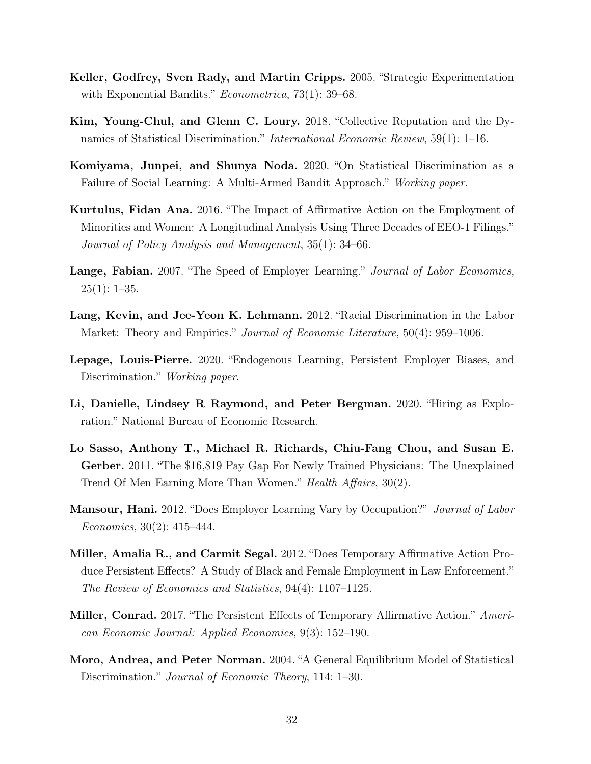- <span id="page-31-6"></span>Keller, Godfrey, Sven Rady, and Martin Cripps. 2005. "Strategic Experimentation with Exponential Bandits." *Econometrica*, 73(1): 39–68.
- <span id="page-31-3"></span>Kim, Young-Chul, and Glenn C. Loury. 2018. "Collective Reputation and the Dynamics of Statistical Discrimination." International Economic Review, 59(1): 1–16.
- <span id="page-31-9"></span>Komiyama, Junpei, and Shunya Noda. 2020. "On Statistical Discrimination as a Failure of Social Learning: A Multi-Armed Bandit Approach." Working paper.
- <span id="page-31-11"></span>Kurtulus, Fidan Ana. 2016. "The Impact of Affirmative Action on the Employment of Minorities and Women: A Longitudinal Analysis Using Three Decades of EEO-1 Filings." Journal of Policy Analysis and Management, 35(1): 34–66.
- <span id="page-31-4"></span>Lange, Fabian. 2007. "The Speed of Employer Learning." Journal of Labor Economics,  $25(1): 1-35.$
- <span id="page-31-1"></span>Lang, Kevin, and Jee-Yeon K. Lehmann. 2012. "Racial Discrimination in the Labor Market: Theory and Empirics." *Journal of Economic Literature*, 50(4): 959–1006.
- <span id="page-31-8"></span>Lepage, Louis-Pierre. 2020. "Endogenous Learning, Persistent Employer Biases, and Discrimination." *Working paper.*
- <span id="page-31-7"></span>Li, Danielle, Lindsey R Raymond, and Peter Bergman. 2020. "Hiring as Exploration." National Bureau of Economic Research.
- <span id="page-31-0"></span>Lo Sasso, Anthony T., Michael R. Richards, Chiu-Fang Chou, and Susan E. Gerber. 2011. "The \$16,819 Pay Gap For Newly Trained Physicians: The Unexplained Trend Of Men Earning More Than Women." Health Affairs, 30(2).
- <span id="page-31-5"></span>**Mansour, Hani.** 2012. "Does Employer Learning Vary by Occupation?" *Journal of Labor* Economics, 30(2): 415–444.
- <span id="page-31-10"></span>Miller, Amalia R., and Carmit Segal. 2012. "Does Temporary Affirmative Action Produce Persistent Effects? A Study of Black and Female Employment in Law Enforcement." The Review of Economics and Statistics, 94(4): 1107–1125.
- <span id="page-31-12"></span>**Miller, Conrad.** 2017. "The Persistent Effects of Temporary Affirmative Action." American Economic Journal: Applied Economics, 9(3): 152–190.
- <span id="page-31-2"></span>Moro, Andrea, and Peter Norman. 2004. "A General Equilibrium Model of Statistical Discrimination." Journal of Economic Theory, 114: 1–30.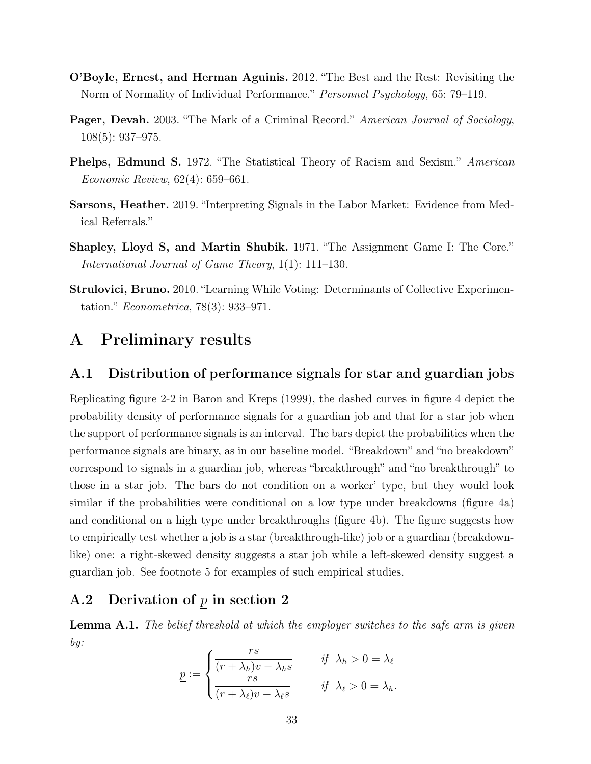- <span id="page-32-3"></span>O'Boyle, Ernest, and Herman Aguinis. 2012. "The Best and the Rest: Revisiting the Norm of Normality of Individual Performance." Personnel Psychology, 65: 79–119.
- <span id="page-32-0"></span>**Pager, Devah.** 2003. "The Mark of a Criminal Record." American Journal of Sociology, 108(5): 937–975.
- <span id="page-32-4"></span>Phelps, Edmund S. 1972. "The Statistical Theory of Racism and Sexism." American Economic Review, 62(4): 659–661.
- <span id="page-32-1"></span>Sarsons, Heather. 2019. "Interpreting Signals in the Labor Market: Evidence from Medical Referrals."
- <span id="page-32-7"></span>Shapley, Lloyd S, and Martin Shubik. 1971. "The Assignment Game I: The Core." International Journal of Game Theory, 1(1): 111–130.
- <span id="page-32-5"></span>Strulovici, Bruno. 2010. "Learning While Voting: Determinants of Collective Experimentation." Econometrica, 78(3): 933–971.

## <span id="page-32-2"></span>A Preliminary results

### A.1 Distribution of performance signals for star and guardian jobs

Replicating figure 2-2 in [Baron and Kreps](#page-28-2) [\(1999](#page-28-2)), the dashed curves in figure [4](#page-33-0) depict the probability density of performance signals for a guardian job and that for a star job when the support of performance signals is an interval. The bars depict the probabilities when the performance signals are binary, as in our baseline model. "Breakdown" and "no breakdown" correspond to signals in a guardian job, whereas "breakthrough" and "no breakthrough" to those in a star job. The bars do not condition on a worker' type, but they would look similar if the probabilities were conditional on a low type under breakdowns (figure [4a\)](#page-33-0) and conditional on a high type under breakthroughs (figure [4b\)](#page-33-0). The figure suggests how to empirically test whether a job is a star (breakthrough-like) job or a guardian (breakdownlike) one: a right-skewed density suggests a star job while a left-skewed density suggest a guardian job. See footnote [5](#page-3-0) for examples of such empirical studies.

### <span id="page-32-6"></span>A.2 Derivation of  $p$  in section [2](#page-8-0)

**Lemma A.1.** The belief threshold at which the employer switches to the safe arm is given by:

$$
\underline{p} := \begin{cases}\n\frac{rs}{(r + \lambda_h)v - \lambda_h s} & \text{if } \lambda_h > 0 = \lambda_\ell \\
\frac{rs}{(r + \lambda_\ell)v - \lambda_\ell s} & \text{if } \lambda_\ell > 0 = \lambda_h.\n\end{cases}
$$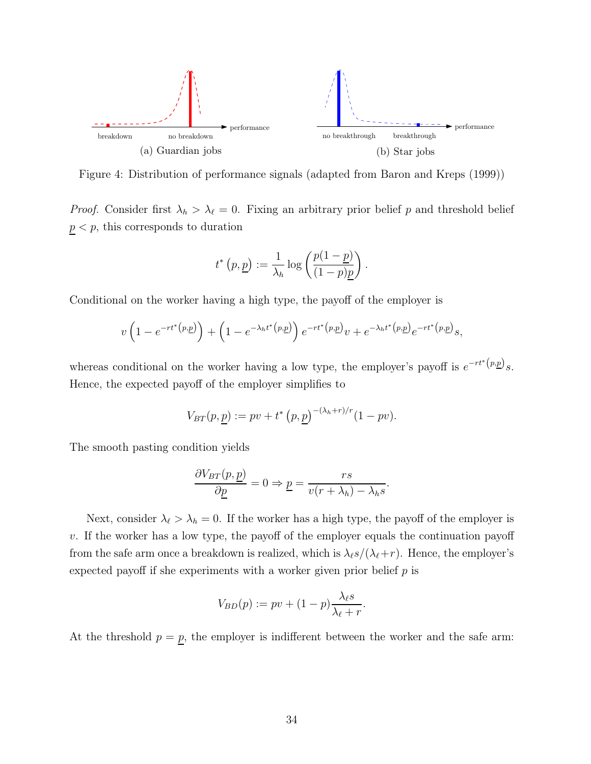<span id="page-33-0"></span>![](_page_33_Figure_0.jpeg)

Figure 4: Distribution of performance signals (adapted from [Baron and Kreps](#page-28-2) [\(1999](#page-28-2)))

*Proof.* Consider first  $\lambda_h > \lambda_{\ell} = 0$ . Fixing an arbitrary prior belief p and threshold belief  $p < p$ , this corresponds to duration

$$
t^*\left(p,\underline{p}\right) := \frac{1}{\lambda_h} \log \left(\frac{p(1-\underline{p})}{(1-p)\underline{p}}\right).
$$

Conditional on the worker having a high type, the payoff of the employer is

$$
v\left(1 - e^{-rt^* (p,\underline{p})}\right) + \left(1 - e^{-\lambda_h t^* (p,\underline{p})}\right) e^{-rt^* (p,\underline{p})} v + e^{-\lambda_h t^* (p,\underline{p})} e^{-rt^* (p,\underline{p})} s,
$$

whereas conditional on the worker having a low type, the employer's payoff is  $e^{-rt^*(p,\underline{p})} s$ . Hence, the expected payoff of the employer simplifies to

$$
V_{BT}(p, \underline{p}) := pv + t^* (p, \underline{p})^{-(\lambda_h + r)/r} (1 - pv).
$$

The smooth pasting condition yields

$$
\frac{\partial V_{BT}(p, \underline{p})}{\partial \underline{p}} = 0 \Rightarrow \underline{p} = \frac{rs}{v(r + \lambda_h) - \lambda_h s}.
$$

Next, consider  $\lambda_{\ell} > \lambda_h = 0$ . If the worker has a high type, the payoff of the employer is v. If the worker has a low type, the payoff of the employer equals the continuation payoff from the safe arm once a breakdown is realized, which is  $\lambda_{\ell} s/(\lambda_{\ell}+r)$ . Hence, the employer's expected payoff if she experiments with a worker given prior belief  $p$  is

$$
V_{BD}(p) := pv + (1-p)\frac{\lambda_{\ell}s}{\lambda_{\ell} + r}.
$$

At the threshold  $p = p$ , the employer is indifferent between the worker and the safe arm: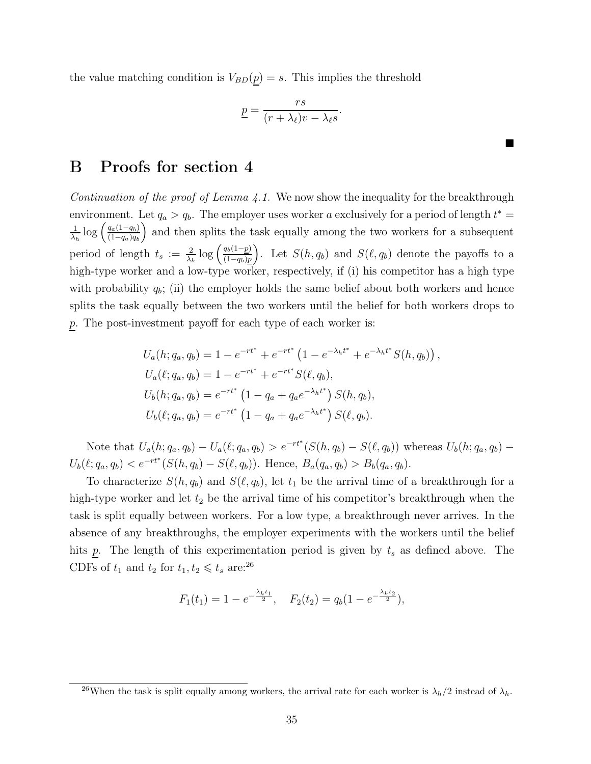the value matching condition is  $V_{BD}(p) = s$ . This implies the threshold

$$
\underline{p} = \frac{rs}{(r + \lambda_{\ell})v - \lambda_{\ell}s}.
$$

п

## <span id="page-34-0"></span>B Proofs for section [4](#page-13-0)

Continuation of the proof of Lemma  $4.1$ . We now show the inequality for the breakthrough environment. Let  $q_a > q_b$ . The employer uses worker a exclusively for a period of length  $t^* =$ 1  $\frac{1}{\lambda_h} \log \left( \frac{q_a(1-q_b)}{(1-q_a)q_b} \right)$  $(1-q_a)q_b$  and then splits the task equally among the two workers for a subsequent period of length  $t_s := \frac{2}{\lambda_h} \log \left( \frac{q_b(1-p)}{(1-q_b)p} \right)$  $(1-q_b)p$ ). Let  $S(h, q_b)$  and  $S(\ell, q_b)$  denote the payoffs to a high-type worker and a low-type worker, respectively, if (i) his competitor has a high type with probability  $q_b$ ; (ii) the employer holds the same belief about both workers and hence splits the task equally between the two workers until the belief for both workers drops to p. The post-investment payoff for each type of each worker is:

$$
U_a(h; q_a, q_b) = 1 - e^{-rt^*} + e^{-rt^*} \left( 1 - e^{-\lambda_h t^*} + e^{-\lambda_h t^*} S(h, q_b) \right),
$$
  
\n
$$
U_a(\ell; q_a, q_b) = 1 - e^{-rt^*} + e^{-rt^*} S(\ell, q_b),
$$
  
\n
$$
U_b(h; q_a, q_b) = e^{-rt^*} \left( 1 - q_a + q_a e^{-\lambda_h t^*} \right) S(h, q_b),
$$
  
\n
$$
U_b(\ell; q_a, q_b) = e^{-rt^*} \left( 1 - q_a + q_a e^{-\lambda_h t^*} \right) S(\ell, q_b).
$$

Note that  $U_a(h; q_a, q_b) - U_a(\ell; q_a, q_b) > e^{-rt^*}(S(h, q_b) - S(\ell, q_b))$  whereas  $U_b(h; q_a, q_b) - U_a(\ell; q_a, q_b)$  $U_b(\ell; q_a, q_b) < e^{-rt^*}(S(h, q_b) - S(\ell, q_b))$ . Hence,  $B_a(q_a, q_b) > B_b(q_a, q_b)$ .

To characterize  $S(h, q_b)$  and  $S(\ell, q_b)$ , let  $t_1$  be the arrival time of a breakthrough for a high-type worker and let  $t_2$  be the arrival time of his competitor's breakthrough when the task is split equally between workers. For a low type, a breakthrough never arrives. In the absence of any breakthroughs, the employer experiments with the workers until the belief hits p. The length of this experimentation period is given by  $t_s$  as defined above. The CDFs of  $t_1$  and  $t_2$  for  $t_1, t_2 \leq t_s$  are:<sup>[26](#page-34-1)</sup>

$$
F_1(t_1) = 1 - e^{-\frac{\lambda_h t_1}{2}}, \quad F_2(t_2) = q_b(1 - e^{-\frac{\lambda_h t_2}{2}}),
$$

<span id="page-34-1"></span><sup>&</sup>lt;sup>26</sup>When the task is split equally among workers, the arrival rate for each worker is  $\lambda_h/2$  instead of  $\lambda_h$ .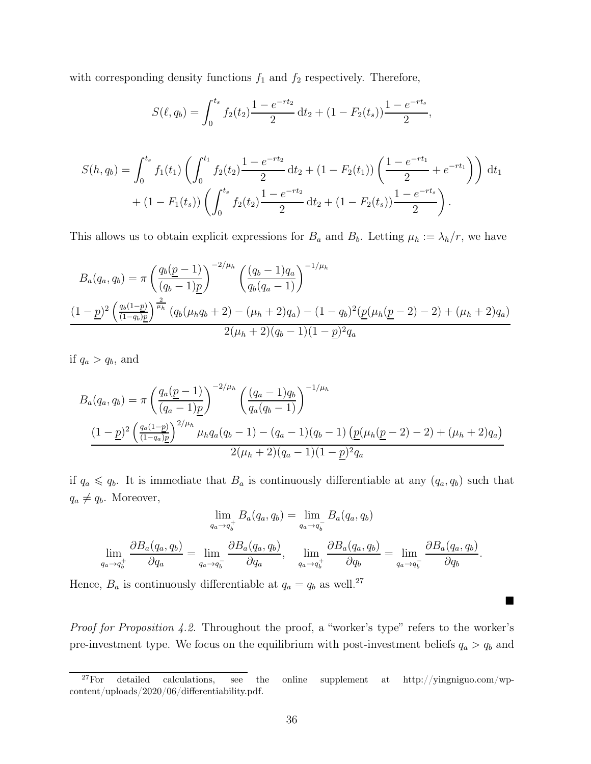with corresponding density functions  $f_1$  and  $f_2$  respectively. Therefore,

$$
S(\ell, q_b) = \int_0^{t_s} f_2(t_2) \frac{1 - e^{-rt_2}}{2} dt_2 + (1 - F_2(t_s)) \frac{1 - e^{-rt_s}}{2},
$$

$$
S(h, q_b) = \int_0^{t_s} f_1(t_1) \left( \int_0^{t_1} f_2(t_2) \frac{1 - e^{-rt_2}}{2} dt_2 + (1 - F_2(t_1)) \left( \frac{1 - e^{-rt_1}}{2} + e^{-rt_1} \right) \right) dt_1
$$
  
+ 
$$
(1 - F_1(t_s)) \left( \int_0^{t_s} f_2(t_2) \frac{1 - e^{-rt_2}}{2} dt_2 + (1 - F_2(t_s)) \frac{1 - e^{-rt_s}}{2} \right).
$$

This allows us to obtain explicit expressions for  $B_a$  and  $B_b$ . Letting  $\mu_h := \lambda_h/r$ , we have

$$
B_a(q_a, q_b) = \pi \left(\frac{q_b(\underline{p} - 1)}{(q_b - 1)\underline{p}}\right)^{-2/\mu_h} \left(\frac{(q_b - 1)q_a}{q_b(q_a - 1)}\right)^{-1/\mu_h}
$$
  

$$
\frac{(1 - \underline{p})^2 \left(\frac{q_b(1 - \underline{p})}{(1 - q_b)\underline{p}}\right)^{\frac{2}{\mu_h}} (q_b(\mu_h q_b + 2) - (\mu_h + 2)q_a) - (1 - q_b)^2 (\underline{p}(\mu_h (\underline{p} - 2) - 2) + (\mu_h + 2)q_a)}{2(\mu_h + 2)(q_b - 1)(1 - \underline{p})^2 q_a}
$$

if  $q_a > q_b$ , and

$$
B_a(q_a, q_b) = \pi \left(\frac{q_a(\underline{p} - 1)}{(q_a - 1)\underline{p}}\right)^{-2/\mu_h} \left(\frac{(q_a - 1)q_b}{q_a(q_b - 1)}\right)^{-1/\mu_h}
$$

$$
\frac{(1 - \underline{p})^2 \left(\frac{q_a(1 - \underline{p})}{(1 - q_a)\underline{p}}\right)^{2/\mu_h} \mu_h q_a(q_b - 1) - (q_a - 1)(q_b - 1) \left(\underline{p}(\mu_h(\underline{p} - 2) - 2) + (\mu_h + 2)q_a\right)}{2(\mu_h + 2)(q_a - 1)(1 - \underline{p})^2 q_a}
$$

if  $q_a \leq q_b$ . It is immediate that  $B_a$  is continuously differentiable at any  $(q_a, q_b)$  such that  $q_a \neq q_b$ . Moreover,

$$
\lim_{q_a \to q_b^+} B_a(q_a, q_b) = \lim_{q_a \to q_b^-} B_a(q_a, q_b)
$$

$$
\lim_{q_a \to q_b^+} \frac{\partial B_a(q_a, q_b)}{\partial q_a} = \lim_{q_a \to q_b^-} \frac{\partial B_a(q_a, q_b)}{\partial q_a}, \quad \lim_{q_a \to q_b^+} \frac{\partial B_a(q_a, q_b)}{\partial q_b} = \lim_{q_a \to q_b^-} \frac{\partial B_a(q_a, q_b)}{\partial q_b}.
$$

Hence,  $B_a$  is continuously differentiable at  $q_a = q_b$  as well.<sup>[27](#page-35-0)</sup>

Proof for Proposition [4.2.](#page-16-2) Throughout the proof, a "worker's type" refers to the worker's pre-investment type. We focus on the equilibrium with post-investment beliefs  $q_a > q_b$  and

 $\blacksquare$ 

<span id="page-35-0"></span><sup>&</sup>lt;sup>27</sup>For detailed calculations, see the [online supplement](http://yingniguo.com/wp-content/uploads/2020/06/differentiability.pdf) at http://yingniguo.com/wpcontent/uploads/2020/06/differentiability.pdf.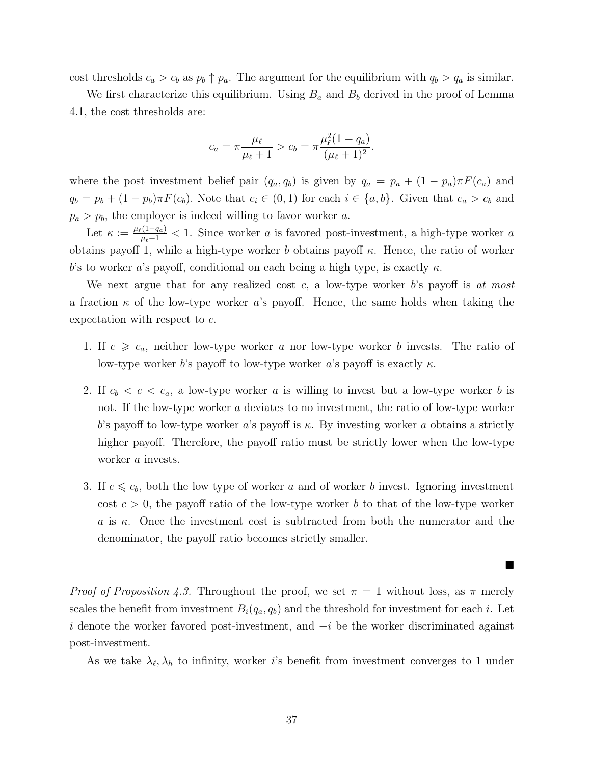cost thresholds  $c_a > c_b$  as  $p_b \uparrow p_a$ . The argument for the equilibrium with  $q_b > q_a$  is similar.

We first characterize this equilibrium. Using  $B_a$  and  $B_b$  derived in the proof of Lemma [4.1,](#page-14-1) the cost thresholds are:

$$
c_a = \pi \frac{\mu_\ell}{\mu_\ell + 1} > c_b = \pi \frac{\mu_\ell^2 (1 - q_a)}{(\mu_\ell + 1)^2}.
$$

where the post investment belief pair  $(q_a, q_b)$  is given by  $q_a = p_a + (1 - p_a)\pi F(c_a)$  and  $q_b = p_b + (1 - p_b)\pi F(c_b)$ . Note that  $c_i \in (0, 1)$  for each  $i \in \{a, b\}$ . Given that  $c_a > c_b$  and  $p_a > p_b$ , the employer is indeed willing to favor worker a.

Let  $\kappa := \frac{\mu_{\ell}(1-q_a)}{\mu_{\ell}+1} < 1$ . Since worker a is favored post-investment, a high-type worker a obtains payoff 1, while a high-type worker b obtains payoff  $\kappa$ . Hence, the ratio of worker b's to worker a's payoff, conditional on each being a high type, is exactly  $\kappa$ .

We next argue that for any realized cost  $c$ , a low-type worker  $b$ 's payoff is at most a fraction  $\kappa$  of the low-type worker a's payoff. Hence, the same holds when taking the expectation with respect to c.

- 1. If  $c \geqslant c_a$ , neither low-type worker a nor low-type worker b invests. The ratio of low-type worker b's payoff to low-type worker a's payoff is exactly  $\kappa$ .
- 2. If  $c_b < c < c_a$ , a low-type worker a is willing to invest but a low-type worker b is not. If the low-type worker a deviates to no investment, the ratio of low-type worker b's payoff to low-type worker a's payoff is  $\kappa$ . By investing worker a obtains a strictly higher payoff. Therefore, the payoff ratio must be strictly lower when the low-type worker *a* invests.
- 3. If  $c \leq c_b$ , both the low type of worker a and of worker b invest. Ignoring investment cost  $c > 0$ , the payoff ratio of the low-type worker b to that of the low-type worker a is  $\kappa$ . Once the investment cost is subtracted from both the numerator and the denominator, the payoff ratio becomes strictly smaller.

ш

*Proof of Proposition [4.3.](#page-17-1)* Throughout the proof, we set  $\pi = 1$  without loss, as  $\pi$  merely scales the benefit from investment  $B_i(q_a, q_b)$  and the threshold for investment for each i. Let i denote the worker favored post-investment, and  $-i$  be the worker discriminated against post-investment.

As we take  $\lambda_{\ell}, \lambda_{h}$  to infinity, worker *i*'s benefit from investment converges to 1 under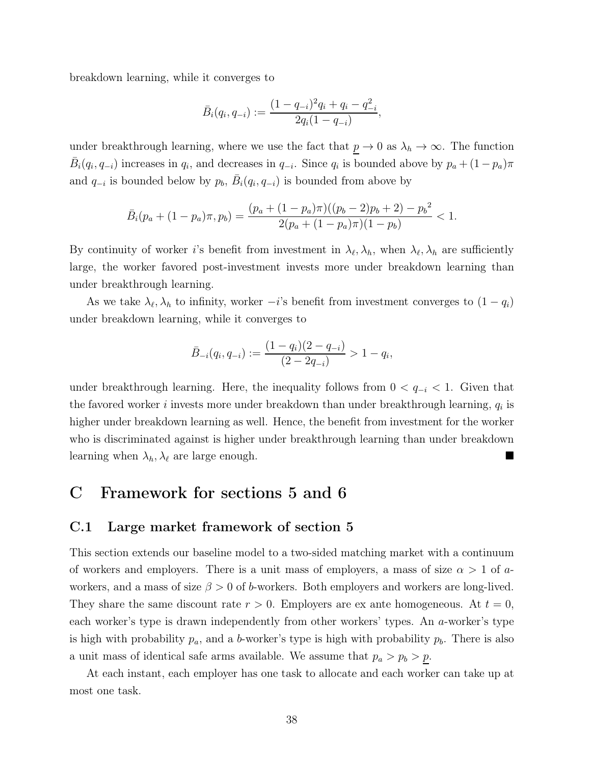breakdown learning, while it converges to

$$
\bar{B}_i(q_i, q_{-i}) := \frac{(1 - q_{-i})^2 q_i + q_i - q_{-i}^2}{2q_i(1 - q_{-i})},
$$

under breakthrough learning, where we use the fact that  $p \to 0$  as  $\lambda_h \to \infty$ . The function  $\bar{B}_i(q_i, q_{-i})$  increases in  $q_i$ , and decreases in  $q_{-i}$ . Since  $q_i$  is bounded above by  $p_a + (1 - p_a)\pi$ and  $q_{-i}$  is bounded below by  $p_b$ ,  $\overline{B}_i(q_i, q_{-i})$  is bounded from above by

$$
\bar{B}_i(p_a + (1-p_a)\pi, p_b) = \frac{(p_a + (1-p_a)\pi)((p_b - 2)p_b + 2) - p_b^2}{2(p_a + (1-p_a)\pi)(1-p_b)} < 1.
$$

By continuity of worker *i*'s benefit from investment in  $\lambda_{\ell}, \lambda_h$ , when  $\lambda_{\ell}, \lambda_h$  are sufficiently large, the worker favored post-investment invests more under breakdown learning than under breakthrough learning.

As we take  $\lambda_{\ell}, \lambda_h$  to infinity, worker  $-i$ 's benefit from investment converges to  $(1 - q_i)$ under breakdown learning, while it converges to

$$
\bar{B}_{-i}(q_i, q_{-i}) := \frac{(1 - q_i)(2 - q_{-i})}{(2 - 2q_{-i})} > 1 - q_i,
$$

under breakthrough learning. Here, the inequality follows from  $0 < q_{-i} < 1$ . Given that the favored worker *i* invests more under breakdown than under breakthrough learning,  $q_i$  is higher under breakdown learning as well. Hence, the benefit from investment for the worker who is discriminated against is higher under breakthrough learning than under breakdown learning when  $\lambda_h, \lambda_\ell$  are large enough.

## <span id="page-37-0"></span>C Framework for sections [5](#page-19-0) and [6](#page-21-0)

### C.1 Large market framework of section [5](#page-19-0)

This section extends our baseline model to a two-sided matching market with a continuum of workers and employers. There is a unit mass of employers, a mass of size  $\alpha > 1$  of aworkers, and a mass of size  $\beta > 0$  of b-workers. Both employers and workers are long-lived. They share the same discount rate  $r > 0$ . Employers are ex ante homogeneous. At  $t = 0$ , each worker's type is drawn independently from other workers' types. An a-worker's type is high with probability  $p_a$ , and a b-worker's type is high with probability  $p_b$ . There is also a unit mass of identical safe arms available. We assume that  $p_a > p_b > p$ .

At each instant, each employer has one task to allocate and each worker can take up at most one task.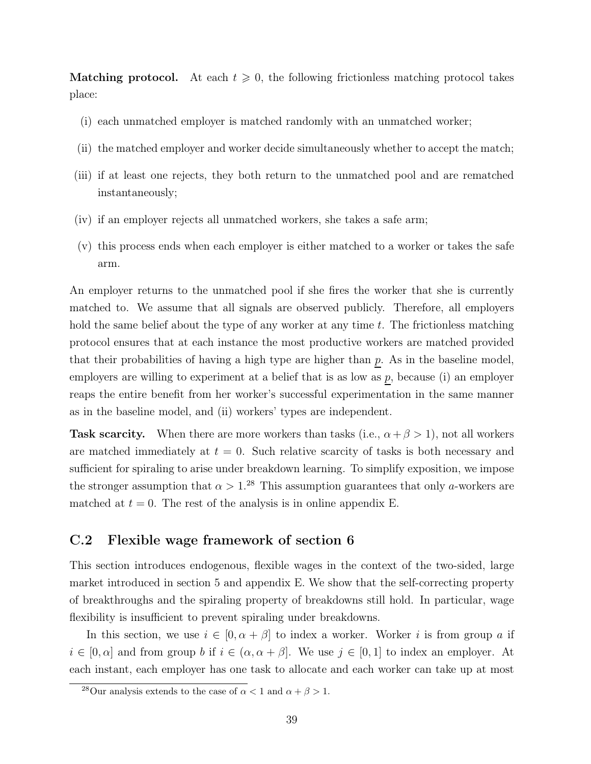**Matching protocol.** At each  $t \geq 0$ , the following frictionless matching protocol takes place:

- (i) each unmatched employer is matched randomly with an unmatched worker;
- (ii) the matched employer and worker decide simultaneously whether to accept the match;
- (iii) if at least one rejects, they both return to the unmatched pool and are rematched instantaneously;
- (iv) if an employer rejects all unmatched workers, she takes a safe arm;
- (v) this process ends when each employer is either matched to a worker or takes the safe arm.

An employer returns to the unmatched pool if she fires the worker that she is currently matched to. We assume that all signals are observed publicly. Therefore, all employers hold the same belief about the type of any worker at any time  $t$ . The frictionless matching protocol ensures that at each instance the most productive workers are matched provided that their probabilities of having a high type are higher than  $p$ . As in the baseline model, employers are willing to experiment at a belief that is as low as  $p$ , because (i) an employer reaps the entire benefit from her worker's successful experimentation in the same manner as in the baseline model, and (ii) workers' types are independent.

**Task scarcity.** When there are more workers than tasks (i.e.,  $\alpha + \beta > 1$ ), not all workers are matched immediately at  $t = 0$ . Such relative scarcity of tasks is both necessary and sufficient for spiraling to arise under breakdown learning. To simplify exposition, we impose the stronger assumption that  $\alpha > 1$ .<sup>[28](#page-38-1)</sup> This assumption guarantees that only a-workers are matched at  $t = 0$ . The rest of the analysis is in online appendix [E.](#page-44-0)

### <span id="page-38-0"></span>C.2 Flexible wage framework of section [6](#page-21-0)

This section introduces endogenous, flexible wages in the context of the two-sided, large market introduced in section [5](#page-19-0) and appendix [E.](#page-44-0) We show that the self-correcting property of breakthroughs and the spiraling property of breakdowns still hold. In particular, wage flexibility is insufficient to prevent spiraling under breakdowns.

In this section, we use  $i \in [0, \alpha + \beta]$  to index a worker. Worker i is from group a if  $i \in [0, \alpha]$  and from group b if  $i \in (\alpha, \alpha + \beta]$ . We use  $j \in [0, 1]$  to index an employer. At each instant, each employer has one task to allocate and each worker can take up at most

<span id="page-38-1"></span><sup>&</sup>lt;sup>28</sup>Our analysis extends to the case of  $\alpha < 1$  and  $\alpha + \beta > 1$ .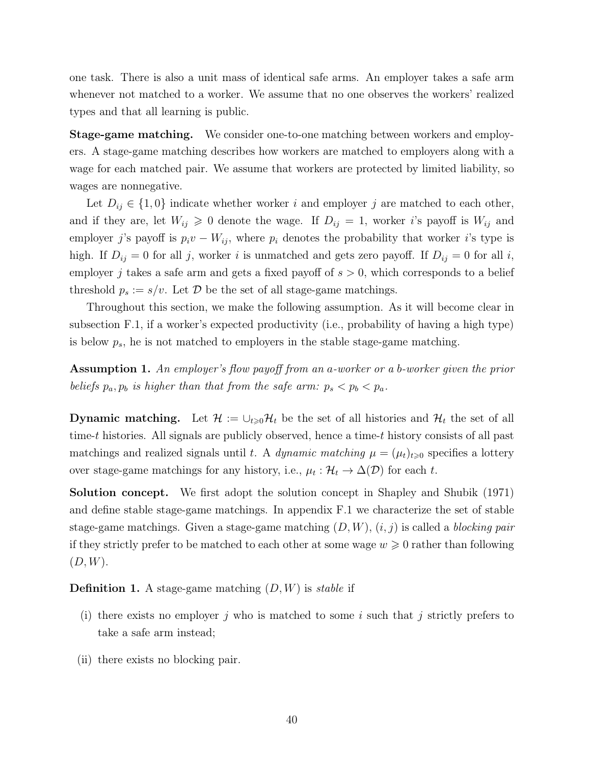one task. There is also a unit mass of identical safe arms. An employer takes a safe arm whenever not matched to a worker. We assume that no one observes the workers' realized types and that all learning is public.

Stage-game matching. We consider one-to-one matching between workers and employers. A stage-game matching describes how workers are matched to employers along with a wage for each matched pair. We assume that workers are protected by limited liability, so wages are nonnegative.

Let  $D_{ij} \in \{1,0\}$  indicate whether worker i and employer j are matched to each other, and if they are, let  $W_{ij} \geq 0$  denote the wage. If  $D_{ij} = 1$ , worker i's payoff is  $W_{ij}$  and employer j's payoff is  $p_i v - W_{ij}$ , where  $p_i$  denotes the probability that worker i's type is high. If  $D_{ij} = 0$  for all j, worker i is unmatched and gets zero payoff. If  $D_{ij} = 0$  for all i, employer j takes a safe arm and gets a fixed payoff of  $s > 0$ , which corresponds to a belief threshold  $p_s := s/v$ . Let  $\mathcal D$  be the set of all stage-game matchings.

Throughout this section, we make the following assumption. As it will become clear in subsection [F.1,](#page-47-1) if a worker's expected productivity (i.e., probability of having a high type) is below  $p_s$ , he is not matched to employers in the stable stage-game matching.

Assumption 1. An employer's flow payoff from an a-worker or a b-worker given the prior beliefs  $p_a, p_b$  is higher than that from the safe arm:  $p_s < p_b < p_a$ .

**Dynamic matching.** Let  $\mathcal{H} := \bigcup_{t \geq 0} \mathcal{H}_t$  be the set of all histories and  $\mathcal{H}_t$  the set of all time-t histories. All signals are publicly observed, hence a time-t history consists of all past matchings and realized signals until t. A dynamic matching  $\mu = (\mu_t)_{t\geq 0}$  specifies a lottery over stage-game matchings for any history, i.e.,  $\mu_t : \mathcal{H}_t \to \Delta(\mathcal{D})$  for each t.

Solution concept. We first adopt the solution concept in [Shapley and Shubik \(1971](#page-32-7)) and define stable stage-game matchings. In appendix [F.1](#page-47-1) we characterize the set of stable stage-game matchings. Given a stage-game matching  $(D, W)$ ,  $(i, j)$  is called a blocking pair if they strictly prefer to be matched to each other at some wage  $w \geq 0$  rather than following  $(D, W)$ .

**Definition 1.** A stage-game matching  $(D, W)$  is *stable* if

- (i) there exists no employer j who is matched to some i such that j strictly prefers to take a safe arm instead;
- (ii) there exists no blocking pair.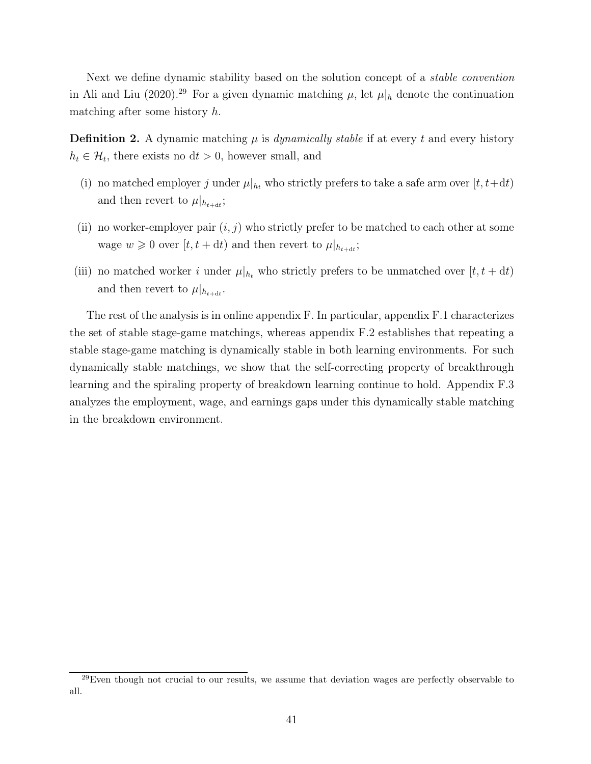Next we define dynamic stability based on the solution concept of a *stable convention* in [Ali and Liu \(2020](#page-27-1)).<sup>[29](#page-40-0)</sup> For a given dynamic matching  $\mu$ , let  $\mu|_h$  denote the continuation matching after some history h.

<span id="page-40-1"></span>**Definition 2.** A dynamic matching  $\mu$  is *dynamically stable* if at every t and every history  $h_t \in \mathcal{H}_t$ , there exists no  $dt > 0$ , however small, and

- (i) no matched employer j under  $\mu|_{h_t}$  who strictly prefers to take a safe arm over  $[t, t+dt)$ and then revert to  $\mu|_{h_{t+\text{d}t}}$ ;
- (ii) no worker-employer pair  $(i, j)$  who strictly prefer to be matched to each other at some wage  $w \geq 0$  over  $[t, t + dt)$  and then revert to  $\mu|_{h_{t+dt}}$ ;
- (iii) no matched worker i under  $\mu|_{h_t}$  who strictly prefers to be unmatched over  $[t, t + dt)$ and then revert to  $\mu|_{h_{t+dt}}$ .

The rest of the analysis is in online appendix [F.](#page-47-0) In particular, appendix [F.1](#page-47-1) characterizes the set of stable stage-game matchings, whereas appendix [F.2](#page-51-0) establishes that repeating a stable stage-game matching is dynamically stable in both learning environments. For such dynamically stable matchings, we show that the self-correcting property of breakthrough learning and the spiraling property of breakdown learning continue to hold. Appendix [F.3](#page-54-0) analyzes the employment, wage, and earnings gaps under this dynamically stable matching in the breakdown environment.

<span id="page-40-0"></span> $^{29}$ Even though not crucial to our results, we assume that deviation wages are perfectly observable to all.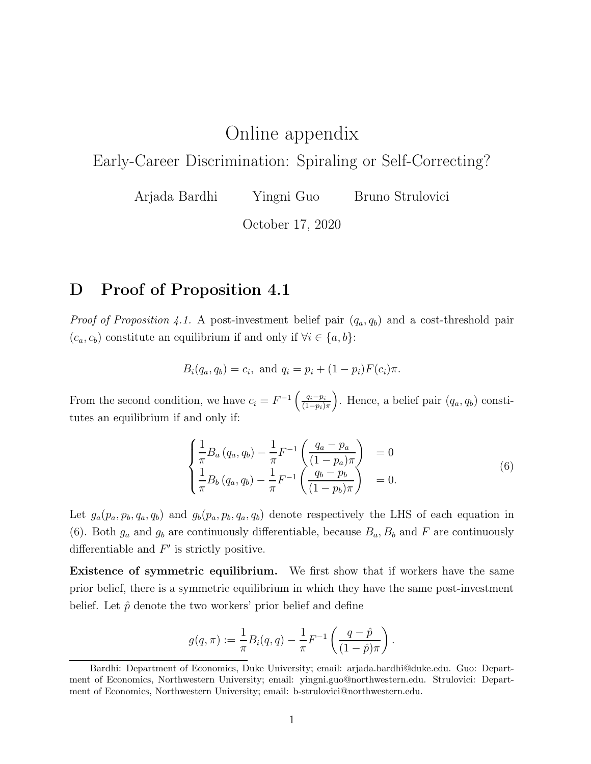# Online appendix

Early-Career Discrimination: Spiraling or Self-Correcting?

Arjada Bardhi Yingni Guo Bruno Strulovici

October 17, 2020

# <span id="page-41-0"></span>D Proof of Proposition [4.1](#page-16-1)

*Proof of Proposition [4.1.](#page-16-1)* A post-investment belief pair  $(q_a, q_b)$  and a cost-threshold pair  $(c_a, c_b)$  constitute an equilibrium if and only if  $\forall i \in \{a, b\}$ :

$$
B_i(q_a, q_b) = c_i
$$
, and  $q_i = p_i + (1 - p_i)F(c_i)\pi$ .

From the second condition, we have  $c_i = F^{-1} \left( \frac{q_i - p_i}{(1 - n_i)} \right)$  $(1-p_i)\pi$ ). Hence, a belief pair  $(q_a, q_b)$  constitutes an equilibrium if and only if:

<span id="page-41-1"></span>
$$
\begin{cases}\n\frac{1}{\pi}B_a(q_a, q_b) - \frac{1}{\pi}F^{-1}\left(\frac{q_a - p_a}{(1 - p_a)\pi}\right) &= 0\\ \n\frac{1}{\pi}B_b(q_a, q_b) - \frac{1}{\pi}F^{-1}\left(\frac{q_b - p_b}{(1 - p_b)\pi}\right) &= 0.\n\end{cases}
$$
\n(6)

.

Let  $g_a(p_a, p_b, q_a, q_b)$  and  $g_b(p_a, p_b, q_a, q_b)$  denote respectively the LHS of each equation in [\(6\)](#page-41-1). Both  $g_a$  and  $g_b$  are continuously differentiable, because  $B_a$ ,  $B_b$  and F are continuously differentiable and  $F'$  is strictly positive.

Existence of symmetric equilibrium. We first show that if workers have the same prior belief, there is a symmetric equilibrium in which they have the same post-investment belief. Let  $\hat{p}$  denote the two workers' prior belief and define

$$
g(q,\pi) := \frac{1}{\pi} B_i(q,q) - \frac{1}{\pi} F^{-1} \left( \frac{q - \hat{p}}{(1 - \hat{p})\pi} \right)
$$

Bardhi: Department of Economics, Duke University; email: [arjada.bardhi@duke.edu.](mailto:arjada.bardhi@duke.edu) Guo: Department of Economics, Northwestern University; email: [yingni.guo@northwestern.edu.](mailto:yingni.guo@northwestern.edu) Strulovici: Department of Economics, Northwestern University; email: [b-strulovici@northwestern.edu.](mailto:b-strulovici@northwestern.edu)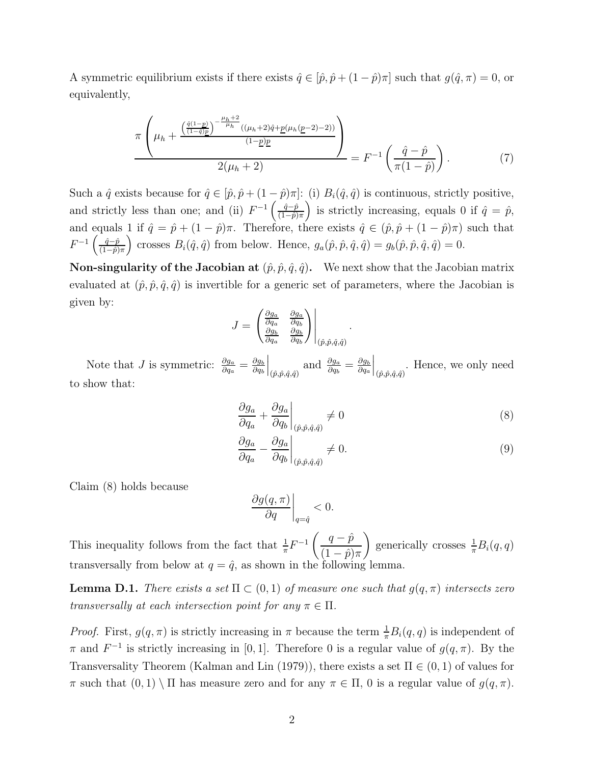A symmetric equilibrium exists if there exists  $\hat{q} \in [\hat{p}, \hat{p} + (1 - \hat{p})\pi]$  such that  $g(\hat{q}, \pi) = 0$ , or equivalently,

<span id="page-42-2"></span>
$$
\frac{\pi \left(\mu_h + \frac{\left(\frac{\hat{q}(1-p)}{(1-\hat{q})\underline{p}}\right)^{-\frac{\mu_h+2}{\mu_h}}((\mu_h+2)\hat{q}+\underline{p}(\mu_h(\underline{p}-2)-2))}{(1-\underline{p})\underline{p}}\right)}{2(\mu_h+2)} = F^{-1}\left(\frac{\hat{q}-\hat{p}}{\pi(1-\hat{p})}\right). \tag{7}
$$

Such a  $\hat{q}$  exists because for  $\hat{q} \in [\hat{p}, \hat{p} + (1 - \hat{p})\pi]$ : (i)  $B_i(\hat{q}, \hat{q})$  is continuous, strictly positive, and strictly less than one; and (ii)  $F^{-1} \left( \frac{\hat{q}-\hat{p}}{(1-\hat{p})} \right)$  $\left(\frac{\hat{q}-\hat{p}}{(1-\hat{p})\pi}\right)$  is strictly increasing, equals 0 if  $\hat{q}=\hat{p}$ , and equals 1 if  $\hat{q} = \hat{p} + (1 - \hat{p})\pi$ . Therefore, there exists  $\hat{q} \in (\hat{p}, \hat{p} + (1 - \hat{p})\pi)$  such that  $F^{-1}\left(\frac{\hat{q}-\hat{p}}{(1-\hat{n})}\right)$  $\frac{\hat{q}-\hat{p}}{(1-\hat{p})\pi}$  crosses  $B_i(\hat{q},\hat{q})$  from below. Hence,  $g_a(\hat{p},\hat{p},\hat{q},\hat{q}) = g_b(\hat{p},\hat{p},\hat{q},\hat{q}) = 0$ .

**Non-singularity of the Jacobian at**  $(\hat{p}, \hat{p}, \hat{q}, \hat{q})$ . We next show that the Jacobian matrix evaluated at  $(\hat{p}, \hat{p}, \hat{q}, \hat{q})$  is invertible for a generic set of parameters, where the Jacobian is given by:

$$
J = \begin{pmatrix} \frac{\partial g_a}{\partial q_a} & \frac{\partial g_a}{\partial q_b} \\ \frac{\partial g_b}{\partial q_a} & \frac{\partial g_b}{\partial q_b} \end{pmatrix} \Big|_{(\hat{p}, \hat{p}, \hat{q}, \hat{q})}.
$$

Note that *J* is symmetric:  $\frac{\partial g_a}{\partial q_a} = \frac{\partial g_b}{\partial q_b}$  $\partial q_b$  $\Big|_{(\hat{p}, \hat{p}, \hat{q}, \hat{q})}$  and  $\frac{\partial g_a}{\partial q_b} = \frac{\partial g_b}{\partial q_a}$  $\partial q_a$  $\Big|_{(\hat{p}, \hat{p}, \hat{q}, \hat{q})}$ . Hence, we only need to show that:

<span id="page-42-0"></span>
$$
\left. \frac{\partial g_a}{\partial q_a} + \frac{\partial g_a}{\partial q_b} \right|_{(\hat{p}, \hat{p}, \hat{q}, \hat{q})} \neq 0 \tag{8}
$$

$$
\left. \frac{\partial g_a}{\partial q_a} - \frac{\partial g_a}{\partial q_b} \right|_{(\hat{p}, \hat{p}, \hat{q}, \hat{q})} \neq 0. \tag{9}
$$

Claim [\(8\)](#page-42-0) holds because

<span id="page-42-1"></span>
$$
\left. \frac{\partial g(q,\pi)}{\partial q} \right|_{q=\hat{q}} < 0.
$$

This inequality follows from the fact that  $\frac{1}{\pi}F^{-1}\left(\frac{q-\hat{p}}{(1-\hat{p})}\right)$  $(1-\hat p)\pi$ ) generically crosses  $\frac{1}{\pi}B_i(q,q)$ transversally from below at  $q = \hat{q}$ , as shown in the following lemma.

**Lemma D.1.** There exists a set  $\Pi \subset (0,1)$  of measure one such that  $g(q,\pi)$  intersects zero transversally at each intersection point for any  $\pi \in \Pi$ .

*Proof.* First,  $g(q, \pi)$  is strictly increasing in  $\pi$  because the term  $\frac{1}{\pi}B_i(q, q)$  is independent of  $\pi$  and  $F^{-1}$  is strictly increasing in [0, 1]. Therefore 0 is a regular value of  $g(q, \pi)$ . By the Transversality Theorem [\(Kalman and Lin](#page-30-13) [\(1979](#page-30-13))), there exists a set  $\Pi \in (0,1)$  of values for π such that  $(0, 1) \setminus \Pi$  has measure zero and for any  $\pi \in \Pi$ , 0 is a regular value of  $g(q, \pi)$ .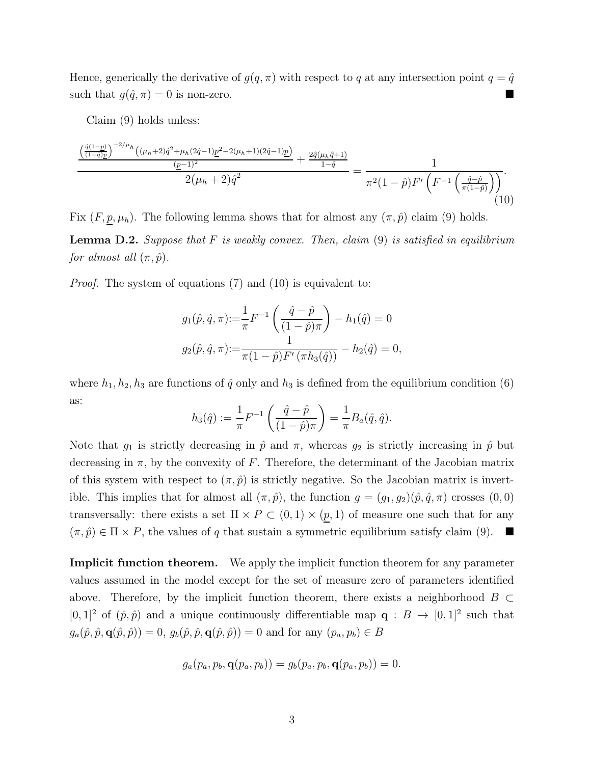Hence, generically the derivative of  $g(q, \pi)$  with respect to q at any intersection point  $q = \hat{q}$ such that  $g(\hat{q}, \pi) = 0$  is non-zero.

Claim [\(9\)](#page-42-1) holds unless:

<span id="page-43-0"></span>
$$
\frac{\left(\frac{\hat{q}(1-p)}{(1-\hat{q})p}\right)^{-2/\mu_{h}}\left((\mu_{h}+2)\hat{q}^{2}+\mu_{h}(2\hat{q}-1)\underline{p}^{2}-2(\mu_{h}+1)(2\hat{q}-1)\underline{p}}{(\underline{p}-1)^{2}}+\frac{2\hat{q}(\mu_{h}\hat{q}+1)}{1-\hat{q}}}{2(\mu_{h}+2)\hat{q}^{2}}=\frac{1}{\pi^{2}(1-\hat{p})F'\left(F^{-1}\left(\frac{\hat{q}-\hat{p}}{\pi(1-\hat{p})}\right)\right)}.\tag{10}
$$

Fix  $(F, p, \mu_h)$ . The following lemma shows that for almost any  $(\pi, \hat{p})$  claim [\(9\)](#page-42-1) holds.

**Lemma D.2.** Suppose that  $F$  is weakly convex. Then, claim  $(9)$  is satisfied in equilibrium for almost all  $(\pi, \hat{p})$ .

Proof. The system of equations [\(7\)](#page-42-2) and [\(10\)](#page-43-0) is equivalent to:

$$
g_1(\hat{p}, \hat{q}, \pi) := \frac{1}{\pi} F^{-1} \left( \frac{\hat{q} - \hat{p}}{(1 - \hat{p})\pi} \right) - h_1(\hat{q}) = 0
$$
  

$$
g_2(\hat{p}, \hat{q}, \pi) := \frac{1}{\pi (1 - \hat{p}) F' (\pi h_3(\hat{q}))} - h_2(\hat{q}) = 0,
$$

where  $h_1, h_2, h_3$  are functions of  $\hat{q}$  only and  $h_3$  is defined from the equilibrium condition [\(6\)](#page-41-1) as:

$$
h_3(\hat{q}) := \frac{1}{\pi} F^{-1} \left( \frac{\hat{q} - \hat{p}}{(1 - \hat{p})\pi} \right) = \frac{1}{\pi} B_a(\hat{q}, \hat{q}).
$$

Note that  $g_1$  is strictly decreasing in  $\hat{p}$  and  $\pi$ , whereas  $g_2$  is strictly increasing in  $\hat{p}$  but decreasing in  $\pi$ , by the convexity of F. Therefore, the determinant of the Jacobian matrix of this system with respect to  $(\pi, \hat{p})$  is strictly negative. So the Jacobian matrix is invertible. This implies that for almost all  $(\pi, \hat{p})$ , the function  $g = (g_1, g_2)(\hat{p}, \hat{q}, \pi)$  crosses  $(0, 0)$ transversally: there exists a set  $\Pi \times P \subset (0,1) \times (p,1)$  of measure one such that for any  $(\pi, \hat{p}) \in \Pi \times P$ , the values of q that sustain a symmetric equilibrium satisfy claim [\(9\)](#page-42-1).

Implicit function theorem. We apply the implicit function theorem for any parameter values assumed in the model except for the set of measure zero of parameters identified above. Therefore, by the implicit function theorem, there exists a neighborhood  $B \subset$  $[0,1]^2$  of  $(\hat{p},\hat{p})$  and a unique continuously differentiable map  $\mathbf{q}: B \to [0,1]^2$  such that  $g_a(\hat{p}, \hat{p}, \mathbf{q}(\hat{p}, \hat{p})) = 0$ ,  $g_b(\hat{p}, \hat{p}, \mathbf{q}(\hat{p}, \hat{p})) = 0$  and for any  $(p_a, p_b) \in B$ 

$$
g_a(p_a, p_b, \mathbf{q}(p_a, p_b)) = g_b(p_a, p_b, \mathbf{q}(p_a, p_b)) = 0.
$$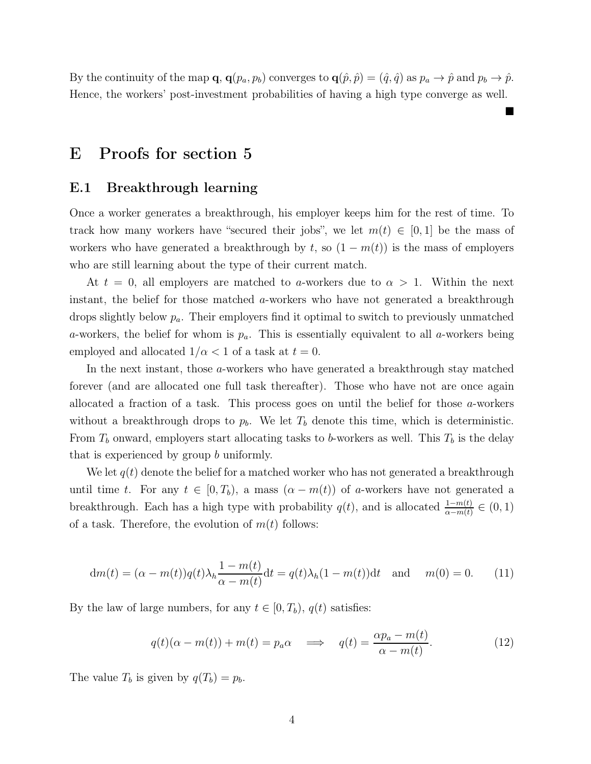By the continuity of the map  $\mathbf{q}, \mathbf{q}(p_a, p_b)$  converges to  $\mathbf{q}(\hat{p}, \hat{p}) = (\hat{q}, \hat{q})$  as  $p_a \to \hat{p}$  and  $p_b \to \hat{p}$ . Hence, the workers' post-investment probabilities of having a high type converge as well.

## <span id="page-44-0"></span>E Proofs for section [5](#page-19-0)

### E.1 Breakthrough learning

Once a worker generates a breakthrough, his employer keeps him for the rest of time. To track how many workers have "secured their jobs", we let  $m(t) \in [0,1]$  be the mass of workers who have generated a breakthrough by t, so  $(1 - m(t))$  is the mass of employers who are still learning about the type of their current match.

At  $t = 0$ , all employers are matched to a-workers due to  $\alpha > 1$ . Within the next instant, the belief for those matched a-workers who have not generated a breakthrough drops slightly below  $p_a$ . Their employers find it optimal to switch to previously unmatched a-workers, the belief for whom is  $p_a$ . This is essentially equivalent to all a-workers being employed and allocated  $1/\alpha < 1$  of a task at  $t = 0$ .

In the next instant, those a-workers who have generated a breakthrough stay matched forever (and are allocated one full task thereafter). Those who have not are once again allocated a fraction of a task. This process goes on until the belief for those  $a$ -workers without a breakthrough drops to  $p<sub>b</sub>$ . We let  $T<sub>b</sub>$  denote this time, which is deterministic. From  $T_b$  onward, employers start allocating tasks to b-workers as well. This  $T_b$  is the delay that is experienced by group b uniformly.

We let  $q(t)$  denote the belief for a matched worker who has not generated a breakthrough until time t. For any  $t \in [0, T_b)$ , a mass  $(\alpha - m(t))$  of a-workers have not generated a breakthrough. Each has a high type with probability  $q(t)$ , and is allocated  $\frac{1-m(t)}{\alpha-m(t)} \in (0,1)$ of a task. Therefore, the evolution of  $m(t)$  follows:

<span id="page-44-1"></span>
$$
dm(t) = (\alpha - m(t))q(t)\lambda_h \frac{1 - m(t)}{\alpha - m(t)}dt = q(t)\lambda_h(1 - m(t))dt \text{ and } m(0) = 0.
$$
 (11)

By the law of large numbers, for any  $t \in [0, T_b)$ ,  $q(t)$  satisfies:

<span id="page-44-2"></span>
$$
q(t)(\alpha - m(t)) + m(t) = p_a \alpha \implies q(t) = \frac{\alpha p_a - m(t)}{\alpha - m(t)}.
$$
\n(12)

The value  $T_b$  is given by  $q(T_b) = p_b$ .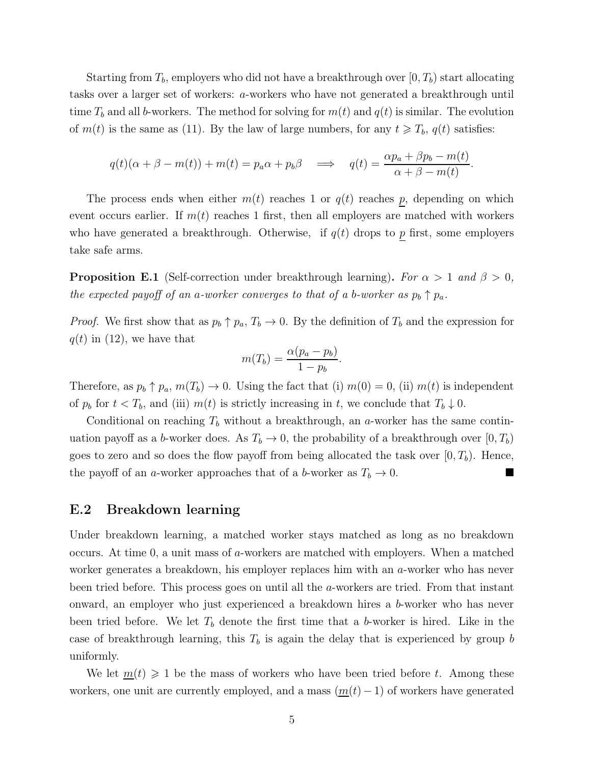Starting from  $T_b$ , employers who did not have a breakthrough over  $(0, T_b)$  start allocating tasks over a larger set of workers: a-workers who have not generated a breakthrough until time  $T_b$  and all b-workers. The method for solving for  $m(t)$  and  $q(t)$  is similar. The evolution of  $m(t)$  is the same as [\(11\)](#page-44-1). By the law of large numbers, for any  $t \geq T_b$ ,  $q(t)$  satisfies:

$$
q(t)(\alpha + \beta - m(t)) + m(t) = p_a \alpha + p_b \beta \implies q(t) = \frac{\alpha p_a + \beta p_b - m(t)}{\alpha + \beta - m(t)}.
$$

The process ends when either  $m(t)$  reaches 1 or  $q(t)$  reaches  $p$ , depending on which event occurs earlier. If  $m(t)$  reaches 1 first, then all employers are matched with workers who have generated a breakthrough. Otherwise, if  $q(t)$  drops to p first, some employers take safe arms.

**Proposition E.1** (Self-correction under breakthrough learning). For  $\alpha > 1$  and  $\beta > 0$ , the expected payoff of an a-worker converges to that of a b-worker as  $p_b \uparrow p_a$ .

*Proof.* We first show that as  $p_b \uparrow p_a, T_b \to 0$ . By the definition of  $T_b$  and the expression for  $q(t)$  in [\(12\)](#page-44-2), we have that

$$
m(T_b) = \frac{\alpha (p_a - p_b)}{1 - p_b}.
$$

Therefore, as  $p_b \uparrow p_a$ ,  $m(T_b) \to 0$ . Using the fact that (i)  $m(0) = 0$ , (ii)  $m(t)$  is independent of  $p_b$  for  $t < T_b$ , and (iii)  $m(t)$  is strictly increasing in t, we conclude that  $T_b \downarrow 0$ .

Conditional on reaching  $T_b$  without a breakthrough, an a-worker has the same continuation payoff as a b-worker does. As  $T_b \to 0$ , the probability of a breakthrough over  $[0, T_b)$ goes to zero and so does the flow payoff from being allocated the task over  $[0, T_b)$ . Hence, the payoff of an a-worker approaches that of a b-worker as  $T_b \to 0$ .

### <span id="page-45-0"></span>E.2 Breakdown learning

Under breakdown learning, a matched worker stays matched as long as no breakdown occurs. At time 0, a unit mass of a-workers are matched with employers. When a matched worker generates a breakdown, his employer replaces him with an a-worker who has never been tried before. This process goes on until all the a-workers are tried. From that instant onward, an employer who just experienced a breakdown hires a b-worker who has never been tried before. We let  $T<sub>b</sub>$  denote the first time that a b-worker is hired. Like in the case of breakthrough learning, this  $T_b$  is again the delay that is experienced by group b uniformly.

We let  $m(t) \geq 1$  be the mass of workers who have been tried before t. Among these workers, one unit are currently employed, and a mass  $(m(t) - 1)$  of workers have generated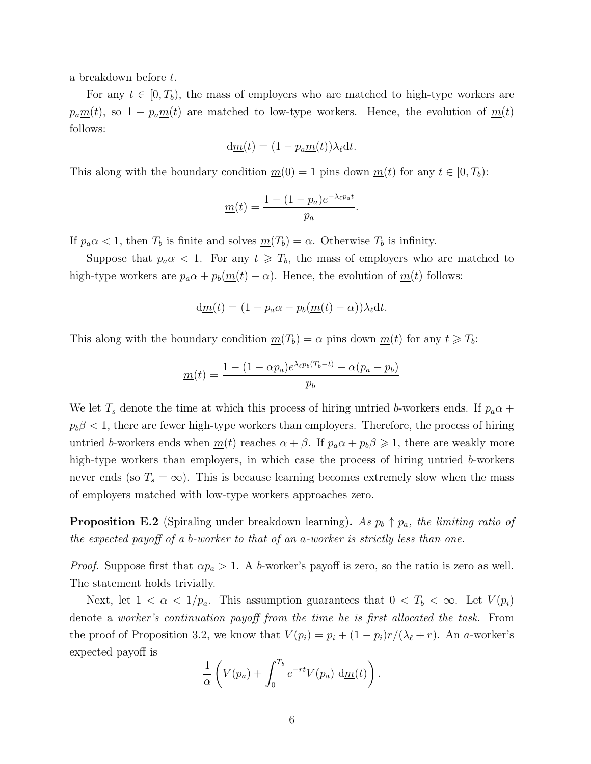a breakdown before t.

For any  $t \in [0, T_b)$ , the mass of employers who are matched to high-type workers are  $p_a \underline{m}(t)$ , so  $1 - p_a \underline{m}(t)$  are matched to low-type workers. Hence, the evolution of  $\underline{m}(t)$ follows:

$$
\mathrm{d}\underline{m}(t) = (1 - p_a \underline{m}(t))\lambda_\ell \mathrm{d}t.
$$

This along with the boundary condition  $m(0) = 1$  pins down  $m(t)$  for any  $t \in [0, T_b)$ :

$$
\underline{m}(t) = \frac{1 - (1 - p_a)e^{-\lambda_{\ell}p_a t}}{p_a}.
$$

If  $p_a \alpha < 1$ , then  $T_b$  is finite and solves  $m(T_b) = \alpha$ . Otherwise  $T_b$  is infinity.

Suppose that  $p_a \alpha < 1$ . For any  $t \geqslant T_b$ , the mass of employers who are matched to high-type workers are  $p_a \alpha + p_b(m(t) - \alpha)$ . Hence, the evolution of  $m(t)$  follows:

$$
d\underline{m}(t) = (1 - p_a \alpha - p_b(\underline{m}(t) - \alpha))\lambda_\ell dt.
$$

This along with the boundary condition  $m(T_b) = \alpha$  pins down  $m(t)$  for any  $t \geq T_b$ :

$$
\underline{m}(t) = \frac{1 - (1 - \alpha p_a)e^{\lambda_\ell p_b(T_b - t)} - \alpha(p_a - p_b)}{p_b}
$$

We let  $T_s$  denote the time at which this process of hiring untried b-workers ends. If  $p_a\alpha +$  $p_b\beta < 1$ , there are fewer high-type workers than employers. Therefore, the process of hiring untried b-workers ends when  $\underline{m}(t)$  reaches  $\alpha + \beta$ . If  $p_a \alpha + p_b \beta \geq 1$ , there are weakly more high-type workers than employers, in which case the process of hiring untried b-workers never ends (so  $T_s = \infty$ ). This is because learning becomes extremely slow when the mass of employers matched with low-type workers approaches zero.

**Proposition E.2** (Spiraling under breakdown learning). As  $p_b \uparrow p_a$ , the limiting ratio of the expected payoff of a b-worker to that of an a-worker is strictly less than one.

*Proof.* Suppose first that  $\alpha p_a > 1$ . A b-worker's payoff is zero, so the ratio is zero as well. The statement holds trivially.

Next, let  $1 < \alpha < 1/p_a$ . This assumption guarantees that  $0 < T_b < \infty$ . Let  $V(p_i)$ denote a worker's continuation payoff from the time he is first allocated the task. From the proof of Proposition [3.2,](#page-11-1) we know that  $V(p_i) = p_i + (1 - p_i)r/(\lambda_\ell + r)$ . An a-worker's expected payoff is

$$
\frac{1}{\alpha}\left(V(p_a)+\int_0^{T_b}e^{-rt}V(p_a)\,\mathrm{d}\underline{m}(t)\right).
$$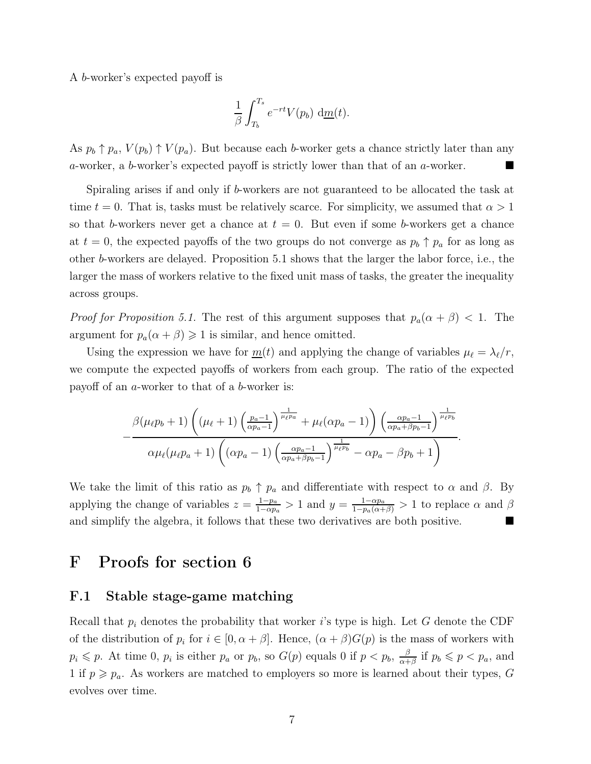A b-worker's expected payoff is

$$
\frac{1}{\beta} \int_{T_b}^{T_s} e^{-rt} V(p_b) \, d\underline{m}(t).
$$

As  $p_b \uparrow p_a$ ,  $V(p_b) \uparrow V(p_a)$ . But because each b-worker gets a chance strictly later than any a-worker, a b-worker's expected payoff is strictly lower than that of an a-worker.

Spiraling arises if and only if b-workers are not guaranteed to be allocated the task at time  $t = 0$ . That is, tasks must be relatively scarce. For simplicity, we assumed that  $\alpha > 1$ so that b-workers never get a chance at  $t = 0$ . But even if some b-workers get a chance at  $t = 0$ , the expected payoffs of the two groups do not converge as  $p_b \uparrow p_a$  for as long as other b-workers are delayed. Proposition [5.1](#page-21-1) shows that the larger the labor force, i.e., the larger the mass of workers relative to the fixed unit mass of tasks, the greater the inequality across groups.

*Proof for Proposition [5.1.](#page-21-1)* The rest of this argument supposes that  $p_a(\alpha + \beta) < 1$ . The argument for  $p_a(\alpha + \beta) \geq 1$  is similar, and hence omitted.

Using the expression we have for  $m(t)$  and applying the change of variables  $\mu_{\ell} = \lambda_{\ell}/r$ , we compute the expected payoffs of workers from each group. The ratio of the expected payoff of an a-worker to that of a b-worker is:

$$
-\frac{\beta(\mu_{\ell}p_b+1)\left((\mu_{\ell}+1)\left(\frac{p_a-1}{\alpha p_a-1}\right)^{\frac{1}{\mu_{\ell}p_a}}+\mu_{\ell}(\alpha p_a-1)\right)\left(\frac{\alpha p_a-1}{\alpha p_a+\beta p_b-1}\right)^{\frac{1}{\mu_{\ell}p_b}}}{\alpha\mu_{\ell}(\mu_{\ell}p_a+1)\left((\alpha p_a-1)\left(\frac{\alpha p_a-1}{\alpha p_a+\beta p_b-1}\right)^{\frac{1}{\mu_{\ell}p_b}}-\alpha p_a-\beta p_b+1\right)}.
$$

We take the limit of this ratio as  $p_b \uparrow p_a$  and differentiate with respect to  $\alpha$  and  $\beta$ . By applying the change of variables  $z = \frac{1-p_a}{1-\alpha n}$  $\frac{1-p_a}{1-\alpha p_a} > 1$  and  $y = \frac{1-\alpha p_a}{1-p_a(\alpha+\beta)} > 1$  to replace  $\alpha$  and  $\beta$ and simplify the algebra, it follows that these two derivatives are both positive.

## <span id="page-47-1"></span><span id="page-47-0"></span>F Proofs for section [6](#page-21-0)

### F.1 Stable stage-game matching

Recall that  $p_i$  denotes the probability that worker is type is high. Let G denote the CDF of the distribution of  $p_i$  for  $i \in [0, \alpha + \beta]$ . Hence,  $(\alpha + \beta)G(p)$  is the mass of workers with  $p_i \leqslant p$ . At time 0,  $p_i$  is either  $p_a$  or  $p_b$ , so  $G(p)$  equals 0 if  $p < p_b$ ,  $\frac{\beta}{\alpha + 1}$  $\frac{\beta}{\alpha+\beta}$  if  $p_b \leqslant p < p_a$ , and 1 if  $p \geq p_a$ . As workers are matched to employers so more is learned about their types, G evolves over time.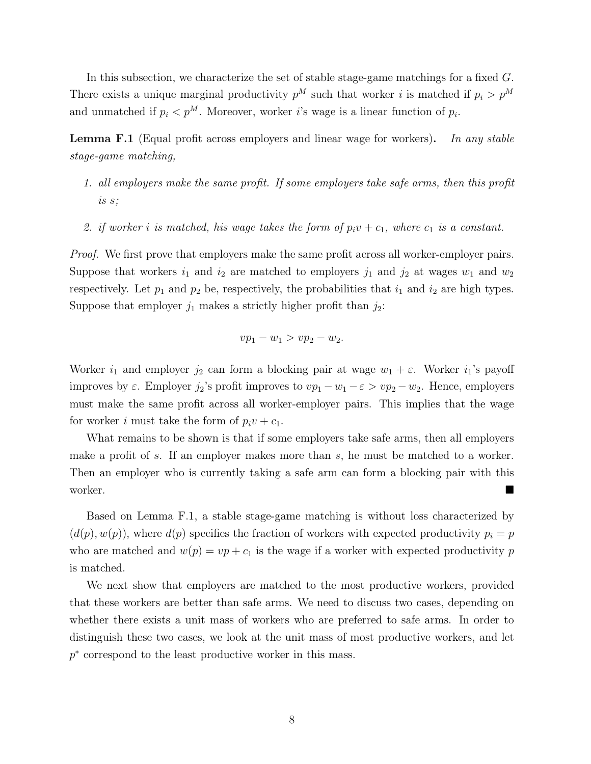In this subsection, we characterize the set of stable stage-game matchings for a fixed G. There exists a unique marginal productivity  $p^M$  such that worker i is matched if  $p_i > p^M$ and unmatched if  $p_i < p^M$ . Moreover, worker *i*'s wage is a linear function of  $p_i$ .

<span id="page-48-0"></span>**Lemma F.1** (Equal profit across employers and linear wage for workers). In any stable stage-game matching,

- 1. all employers make the same profit. If some employers take safe arms, then this profit is s;
- 2. if worker i is matched, his wage takes the form of  $p_i v + c_1$ , where  $c_1$  is a constant.

Proof. We first prove that employers make the same profit across all worker-employer pairs. Suppose that workers  $i_1$  and  $i_2$  are matched to employers  $j_1$  and  $j_2$  at wages  $w_1$  and  $w_2$ respectively. Let  $p_1$  and  $p_2$  be, respectively, the probabilities that  $i_1$  and  $i_2$  are high types. Suppose that employer  $j_1$  makes a strictly higher profit than  $j_2$ :

$$
vp_1 - w_1 > vp_2 - w_2.
$$

Worker  $i_1$  and employer  $j_2$  can form a blocking pair at wage  $w_1 + \varepsilon$ . Worker  $i_1$ 's payoff improves by  $\varepsilon$ . Employer  $j_2$ 's profit improves to  $vp_1 - w_1 - \varepsilon > vp_2 - w_2$ . Hence, employers must make the same profit across all worker-employer pairs. This implies that the wage for worker i must take the form of  $p_i v + c_1$ .

What remains to be shown is that if some employers take safe arms, then all employers make a profit of s. If an employer makes more than s, he must be matched to a worker. Then an employer who is currently taking a safe arm can form a blocking pair with this worker.

Based on Lemma [F.1,](#page-48-0) a stable stage-game matching is without loss characterized by  $(d(p), w(p))$ , where  $d(p)$  specifies the fraction of workers with expected productivity  $p_i = p$ who are matched and  $w(p) = vp + c_1$  is the wage if a worker with expected productivity p is matched.

We next show that employers are matched to the most productive workers, provided that these workers are better than safe arms. We need to discuss two cases, depending on whether there exists a unit mass of workers who are preferred to safe arms. In order to distinguish these two cases, we look at the unit mass of most productive workers, and let p ∗ correspond to the least productive worker in this mass.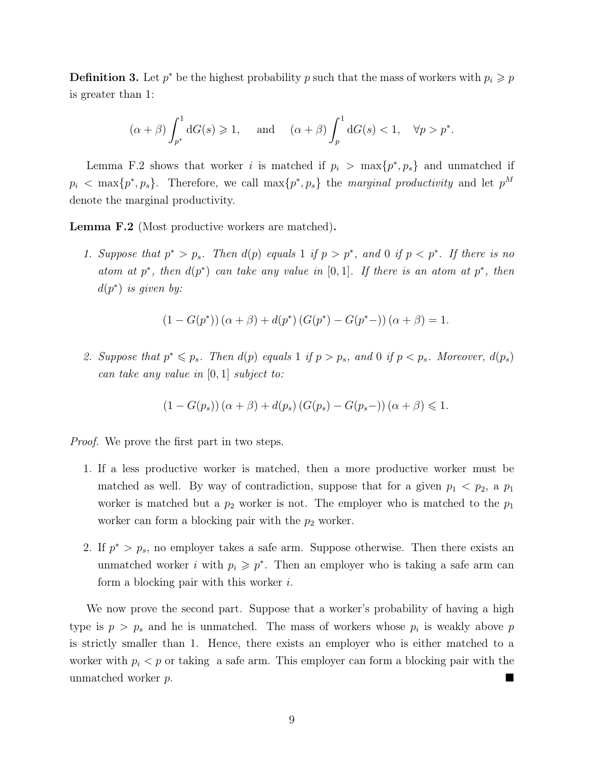**Definition 3.** Let  $p^*$  be the highest probability p such that the mass of workers with  $p_i \geqslant p$ is greater than 1:

$$
(\alpha + \beta) \int_{p^*}^1 dG(s) \ge 1
$$
, and  $(\alpha + \beta) \int_p^1 dG(s) < 1$ ,  $\forall p > p^*$ .

Lemma [F.2](#page-49-0) shows that worker i is matched if  $p_i > \max\{p^*, p_s\}$  and unmatched if  $p_i$  < max $\{p^*, p_s\}$ . Therefore, we call max $\{p^*, p_s\}$  the marginal productivity and let  $p^M$ denote the marginal productivity.

<span id="page-49-0"></span>Lemma F.2 (Most productive workers are matched).

1. Suppose that  $p^* > p_s$ . Then  $d(p)$  equals 1 if  $p > p^*$ , and 0 if  $p < p^*$ . If there is no atom at p<sup>\*</sup>, then  $d(p^*)$  can take any value in [0, 1]. If there is an atom at p<sup>\*</sup>, then  $d(p^*)$  is given by:

$$
(1 - G(p^*)) (\alpha + \beta) + d(p^*) (G(p^*) - G(p^* -)) (\alpha + \beta) = 1.
$$

2. Suppose that  $p^* \leq p_s$ . Then  $d(p)$  equals 1 if  $p > p_s$ , and 0 if  $p < p_s$ . Moreover,  $d(p_s)$ can take any value in [0, 1] subject to:

$$
(1 - G(p_s))(\alpha + \beta) + d(p_s) (G(p_s) - G(p_s-)) (\alpha + \beta) \leq 1.
$$

*Proof.* We prove the first part in two steps.

- 1. If a less productive worker is matched, then a more productive worker must be matched as well. By way of contradiction, suppose that for a given  $p_1 < p_2$ , a  $p_1$ worker is matched but a  $p_2$  worker is not. The employer who is matched to the  $p_1$ worker can form a blocking pair with the  $p_2$  worker.
- 2. If  $p^* > p_s$ , no employer takes a safe arm. Suppose otherwise. Then there exists an unmatched worker *i* with  $p_i \geqslant p^*$ . Then an employer who is taking a safe arm can form a blocking pair with this worker i.

We now prove the second part. Suppose that a worker's probability of having a high type is  $p > p_s$  and he is unmatched. The mass of workers whose  $p_i$  is weakly above p is strictly smaller than 1. Hence, there exists an employer who is either matched to a worker with  $p_i < p$  or taking a safe arm. This employer can form a blocking pair with the unmatched worker p.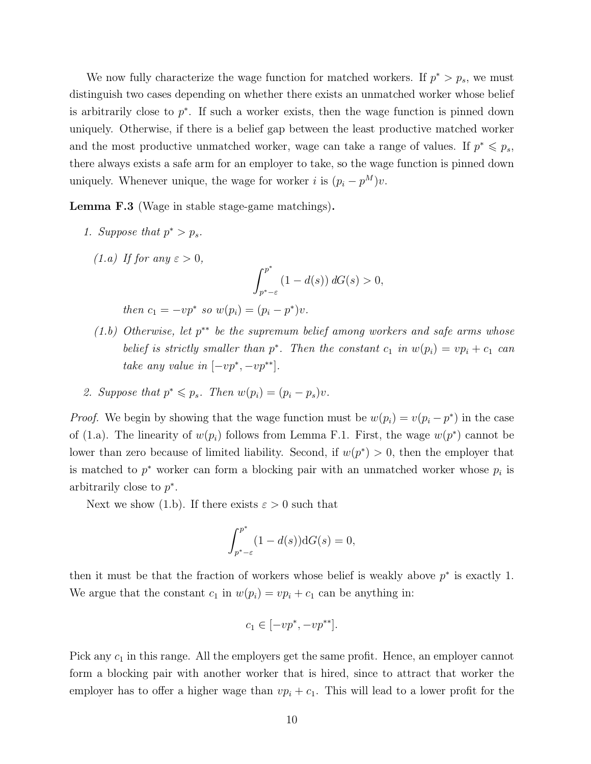We now fully characterize the wage function for matched workers. If  $p^* > p_s$ , we must distinguish two cases depending on whether there exists an unmatched worker whose belief is arbitrarily close to  $p^*$ . If such a worker exists, then the wage function is pinned down uniquely. Otherwise, if there is a belief gap between the least productive matched worker and the most productive unmatched worker, wage can take a range of values. If  $p^* \leq p_s$ , there always exists a safe arm for an employer to take, so the wage function is pinned down uniquely. Whenever unique, the wage for worker *i* is  $(p_i - p^M)v$ .

<span id="page-50-0"></span>Lemma F.3 (Wage in stable stage-game matchings).

1. Suppose that  $p^* > p_s$ .

(1.a) If for any 
$$
\varepsilon > 0
$$
,  

$$
\int_{p^*-\varepsilon}^{p^*} (1-d(s)) dG(s) > 0,
$$

then  $c_1 = -vp^*$  so  $w(p_i) = (p_i - p^*)v$ .

- $(1.b)$  Otherwise, let  $p^{**}$  be the supremum belief among workers and safe arms whose belief is strictly smaller than  $p^*$ . Then the constant  $c_1$  in  $w(p_i) = vp_i + c_1$  can take any value in  $[-vp^*, -vp^{**}].$
- 2. Suppose that  $p^* \leq p_s$ . Then  $w(p_i) = (p_i p_s)v$ .

*Proof.* We begin by showing that the wage function must be  $w(p_i) = v(p_i - p^*)$  in the case of (1.a). The linearity of  $w(p_i)$  follows from Lemma [F.1.](#page-48-0) First, the wage  $w(p^*)$  cannot be lower than zero because of limited liability. Second, if  $w(p^*) > 0$ , then the employer that is matched to  $p^*$  worker can form a blocking pair with an unmatched worker whose  $p_i$  is arbitrarily close to  $p^*$ .

Next we show (1.b). If there exists  $\varepsilon > 0$  such that

$$
\int_{p^*-\varepsilon}^{p^*} (1-d(s)) \mathrm{d}G(s) = 0,
$$

then it must be that the fraction of workers whose belief is weakly above  $p^*$  is exactly 1. We argue that the constant  $c_1$  in  $w(p_i) = vp_i + c_1$  can be anything in:

$$
c_1 \in [-vp^*, -vp^{**}].
$$

Pick any  $c_1$  in this range. All the employers get the same profit. Hence, an employer cannot form a blocking pair with another worker that is hired, since to attract that worker the employer has to offer a higher wage than  $vp_i + c_1$ . This will lead to a lower profit for the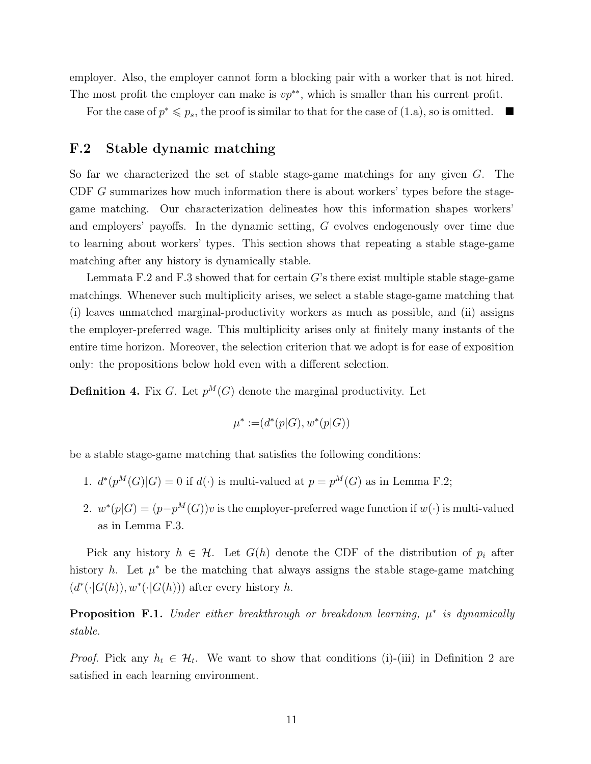employer. Also, the employer cannot form a blocking pair with a worker that is not hired. The most profit the employer can make is  $vp^{**}$ , which is smaller than his current profit.

<span id="page-51-0"></span>For the case of  $p^* \leq p_s$ , the proof is similar to that for the case of (1.a), so is omitted.

### F.2 Stable dynamic matching

So far we characterized the set of stable stage-game matchings for any given G. The CDF G summarizes how much information there is about workers' types before the stagegame matching. Our characterization delineates how this information shapes workers' and employers' payoffs. In the dynamic setting, G evolves endogenously over time due to learning about workers' types. This section shows that repeating a stable stage-game matching after any history is dynamically stable.

Lemmata [F.2](#page-49-0) and [F.3](#page-50-0) showed that for certain  $G$ 's there exist multiple stable stage-game matchings. Whenever such multiplicity arises, we select a stable stage-game matching that (i) leaves unmatched marginal-productivity workers as much as possible, and (ii) assigns the employer-preferred wage. This multiplicity arises only at finitely many instants of the entire time horizon. Moreover, the selection criterion that we adopt is for ease of exposition only: the propositions below hold even with a different selection.

**Definition 4.** Fix G. Let  $p^{M}(G)$  denote the marginal productivity. Let

$$
\mu^* := (d^*(p|G), w^*(p|G))
$$

be a stable stage-game matching that satisfies the following conditions:

- 1.  $d^*(p^M(G)|G) = 0$  if  $d(\cdot)$  is multi-valued at  $p = p^M(G)$  as in Lemma [F.2;](#page-49-0)
- 2.  $w^*(p|G) = (p-p^M(G))v$  is the employer-preferred wage function if  $w(\cdot)$  is multi-valued as in Lemma [F.3.](#page-50-0)

Pick any history  $h \in \mathcal{H}$ . Let  $G(h)$  denote the CDF of the distribution of  $p_i$  after history h. Let  $\mu^*$  be the matching that always assigns the stable stage-game matching  $(d^*(\cdot | G(h)), w^*(\cdot | G(h)))$  after every history h.

<span id="page-51-1"></span>**Proposition F.1.** Under either breakthrough or breakdown learning,  $\mu^*$  is dynamically stable.

*Proof.* Pick any  $h_t \in \mathcal{H}_t$ . We want to show that conditions (i)-(iii) in Definition [2](#page-40-1) are satisfied in each learning environment.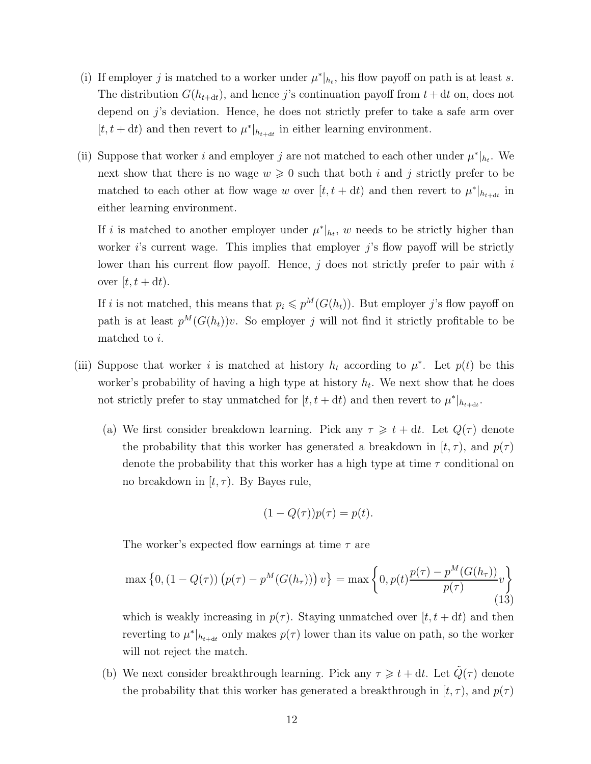- (i) If employer j is matched to a worker under  $\mu^*|_{h_t}$ , his flow payoff on path is at least s. The distribution  $G(h_{t+dt})$ , and hence j's continuation payoff from  $t + dt$  on, does not depend on j's deviation. Hence, he does not strictly prefer to take a safe arm over  $[t, t + dt)$  and then revert to  $\mu^*|_{h_{t+dt}}$  in either learning environment.
- (ii) Suppose that worker i and employer j are not matched to each other under  $\mu^*|_{h_t}$ . We next show that there is no wage  $w \geq 0$  such that both i and j strictly prefer to be matched to each other at flow wage w over  $[t, t + dt)$  and then revert to  $\mu^*|_{h_{t+dt}}$  in either learning environment.

If i is matched to another employer under  $\mu^*|_{h_t}$ , w needs to be strictly higher than worker  $i$ 's current wage. This implies that employer  $j$ 's flow payoff will be strictly lower than his current flow payoff. Hence,  $j$  does not strictly prefer to pair with  $i$ over  $[t, t + dt)$ .

If i is not matched, this means that  $p_i \leq p^M(G(h_t))$ . But employer j's flow payoff on path is at least  $p^M(G(h_t))v$ . So employer j will not find it strictly profitable to be matched to i.

- (iii) Suppose that worker i is matched at history  $h_t$  according to  $\mu^*$ . Let  $p(t)$  be this worker's probability of having a high type at history  $h_t$ . We next show that he does not strictly prefer to stay unmatched for  $[t, t + dt)$  and then revert to  $\mu^*|_{h_{t+dt}}$ .
	- (a) We first consider breakdown learning. Pick any  $\tau \geq t + dt$ . Let  $Q(\tau)$  denote the probability that this worker has generated a breakdown in  $[t, \tau)$ , and  $p(\tau)$ denote the probability that this worker has a high type at time  $\tau$  conditional on no breakdown in  $(t, \tau)$ . By Bayes rule,

$$
(1 - Q(\tau))p(\tau) = p(t).
$$

The worker's expected flow earnings at time  $\tau$  are

<span id="page-52-0"></span>
$$
\max\left\{0, (1 - Q(\tau))\left(p(\tau) - p^M(G(h_{\tau}))\right)v\right\} = \max\left\{0, p(t)\frac{p(\tau) - p^M(G(h_{\tau}))}{p(\tau)}v\right\}
$$
\n(13)

which is weakly increasing in  $p(\tau)$ . Staying unmatched over  $[t, t + dt)$  and then reverting to  $\mu^*|_{h_{t+dt}}$  only makes  $p(\tau)$  lower than its value on path, so the worker will not reject the match.

(b) We next consider breakthrough learning. Pick any  $\tau \geq t + dt$ . Let  $\tilde{Q}(\tau)$  denote the probability that this worker has generated a breakthrough in  $[t, \tau)$ , and  $p(\tau)$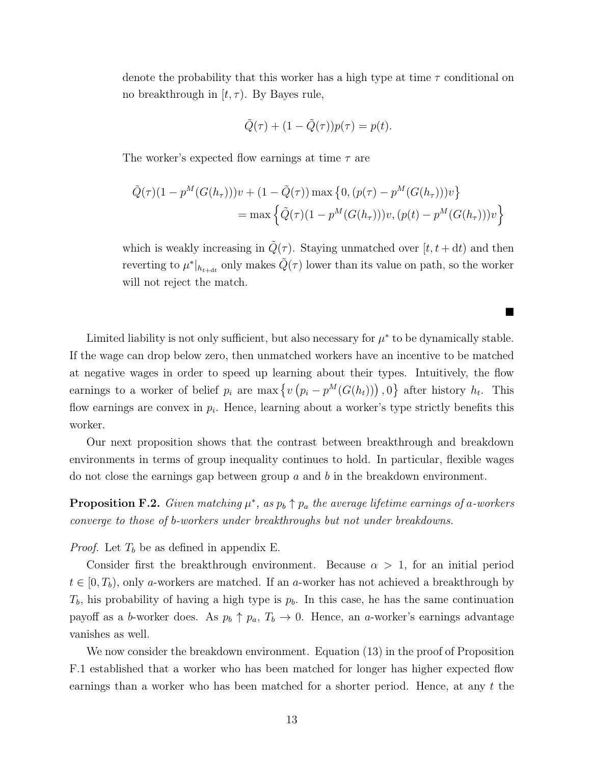denote the probability that this worker has a high type at time  $\tau$  conditional on no breakthrough in  $[t, \tau)$ . By Bayes rule,

$$
\tilde{Q}(\tau) + (1 - \tilde{Q}(\tau))p(\tau) = p(t).
$$

The worker's expected flow earnings at time  $\tau$  are

$$
\tilde{Q}(\tau)(1 - p^{M}(G(h_{\tau})))v + (1 - \tilde{Q}(\tau)) \max \{0, (p(\tau) - p^{M}(G(h_{\tau})))v\}
$$
\n
$$
= \max \left\{\tilde{Q}(\tau)(1 - p^{M}(G(h_{\tau})))v, (p(t) - p^{M}(G(h_{\tau})))v\right\}
$$

which is weakly increasing in  $\tilde{Q}(\tau)$ . Staying unmatched over  $[t, t + dt)$  and then reverting to  $\mu^*|_{h_{t+dt}}$  only makes  $\tilde{Q}(\tau)$  lower than its value on path, so the worker will not reject the match.

п

Limited liability is not only sufficient, but also necessary for  $\mu^*$  to be dynamically stable. If the wage can drop below zero, then unmatched workers have an incentive to be matched at negative wages in order to speed up learning about their types. Intuitively, the flow earnings to a worker of belief  $p_i$  are max  $\{v(p_i - p^M(G(h_i)))\},0\}$  after history  $h_t$ . This flow earnings are convex in  $p_i$ . Hence, learning about a worker's type strictly benefits this worker.

Our next proposition shows that the contrast between breakthrough and breakdown environments in terms of group inequality continues to hold. In particular, flexible wages do not close the earnings gap between group  $a$  and  $b$  in the breakdown environment.

**Proposition F.2.** Given matching  $\mu^*$ , as  $p_b \uparrow p_a$  the average lifetime earnings of a-workers converge to those of b-workers under breakthroughs but not under breakdowns.

*Proof.* Let  $T_b$  be as defined in appendix [E.](#page-44-0)

Consider first the breakthrough environment. Because  $\alpha > 1$ , for an initial period  $t \in [0, T_b)$ , only a-workers are matched. If an a-worker has not achieved a breakthrough by  $T_b$ , his probability of having a high type is  $p_b$ . In this case, he has the same continuation payoff as a b-worker does. As  $p_b \uparrow p_a$ ,  $T_b \rightarrow 0$ . Hence, an a-worker's earnings advantage vanishes as well.

We now consider the breakdown environment. Equation [\(13\)](#page-52-0) in the proof of Proposition [F.1](#page-51-1) established that a worker who has been matched for longer has higher expected flow earnings than a worker who has been matched for a shorter period. Hence, at any t the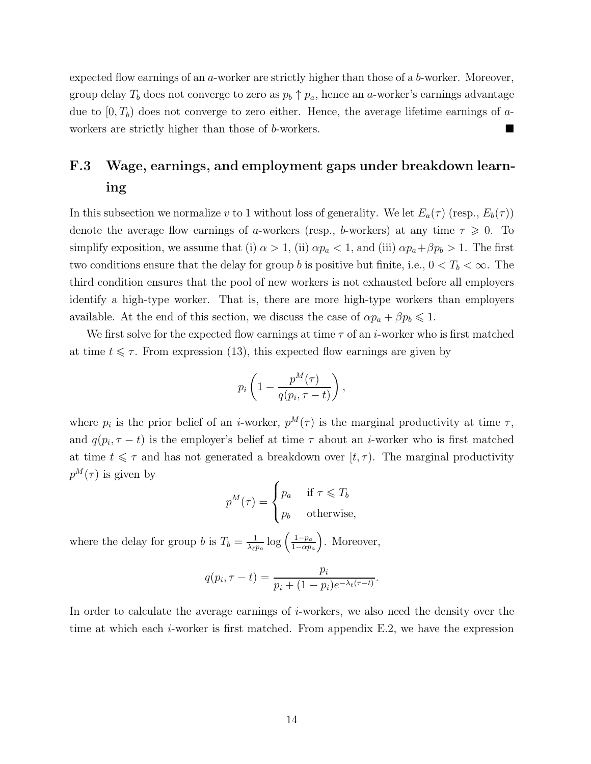expected flow earnings of an a-worker are strictly higher than those of a b-worker. Moreover, group delay  $T_b$  does not converge to zero as  $p_b \uparrow p_a$ , hence an a-worker's earnings advantage due to  $[0, T_b)$  does not converge to zero either. Hence, the average lifetime earnings of aworkers are strictly higher than those of b-workers.

# <span id="page-54-0"></span>F.3 Wage, earnings, and employment gaps under breakdown learning

In this subsection we normalize v to 1 without loss of generality. We let  $E_a(\tau)$  (resp.,  $E_b(\tau)$ ) denote the average flow earnings of a-workers (resp., b-workers) at any time  $\tau \geq 0$ . To simplify exposition, we assume that (i)  $\alpha > 1$ , (ii)  $\alpha p_a < 1$ , and (iii)  $\alpha p_a + \beta p_b > 1$ . The first two conditions ensure that the delay for group b is positive but finite, i.e.,  $0 < T_b < \infty$ . The third condition ensures that the pool of new workers is not exhausted before all employers identify a high-type worker. That is, there are more high-type workers than employers available. At the end of this section, we discuss the case of  $\alpha p_a + \beta p_b \leq 1$ .

We first solve for the expected flow earnings at time  $\tau$  of an *i*-worker who is first matched at time  $t \leq \tau$ . From expression [\(13\)](#page-52-0), this expected flow earnings are given by

$$
p_i\left(1-\frac{p^M(\tau)}{q(p_i,\tau-t)}\right),\,
$$

where  $p_i$  is the prior belief of an *i*-worker,  $p^M(\tau)$  is the marginal productivity at time  $\tau$ , and  $q(p_i, \tau - t)$  is the employer's belief at time  $\tau$  about an *i*-worker who is first matched at time  $t \leq \tau$  and has not generated a breakdown over  $[t, \tau)$ . The marginal productivity  $p^M(\tau)$  is given by

$$
p^{M}(\tau) = \begin{cases} p_{a} & \text{if } \tau \leq T_{b} \\ p_{b} & \text{otherwise,} \end{cases}
$$

where the delay for group b is  $T_b = \frac{1}{\lambda_{01}}$  $\frac{1}{\lambda_{\ell} p_a} \log \left( \frac{1-p_a}{1-\alpha p_a} \right)$  $1-\alpha p_a$ . Moreover,

$$
q(p_i, \tau - t) = \frac{p_i}{p_i + (1 - p_i)e^{-\lambda_{\ell}(\tau - t)}}.
$$

In order to calculate the average earnings of *i*-workers, we also need the density over the time at which each *i*-worker is first matched. From appendix [E.2,](#page-45-0) we have the expression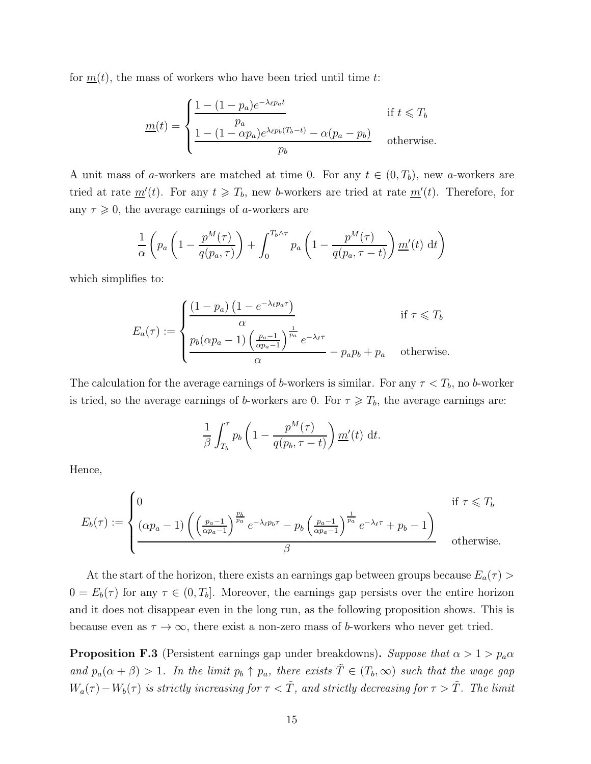for  $m(t)$ , the mass of workers who have been tried until time t:

$$
\underline{m}(t) = \begin{cases}\n\frac{1 - (1 - p_a)e^{-\lambda_{\ell}p_a t}}{p_a} & \text{if } t \leq T_b \\
\frac{1 - (1 - \alpha p_a)e^{\lambda_{\ell}p_b(T_b - t)} - \alpha(p_a - p_b)}{p_b} & \text{otherwise.} \n\end{cases}
$$

A unit mass of a-workers are matched at time 0. For any  $t \in (0, T_b)$ , new a-workers are tried at rate  $\underline{m}'(t)$ . For any  $t \geq T_b$ , new b-workers are tried at rate  $\underline{m}'(t)$ . Therefore, for any  $\tau \geq 0$ , the average earnings of *a*-workers are

$$
\frac{1}{\alpha} \left( p_a \left( 1 - \frac{p^M(\tau)}{q(p_a, \tau)} \right) + \int_0^{T_b \wedge \tau} p_a \left( 1 - \frac{p^M(\tau)}{q(p_a, \tau - t)} \right) \underline{m}'(t) dt \right)
$$

which simplifies to:

$$
E_a(\tau) := \begin{cases} \frac{(1 - p_a) (1 - e^{-\lambda_{\ell} p_a \tau})}{\alpha} & \text{if } \tau \leq T_b \\ \frac{p_b(\alpha p_a - 1) ( \frac{p_a - 1}{\alpha p_a - 1})^{\frac{1}{p_a}} e^{-\lambda_{\ell} \tau}}{\alpha} - p_a p_b + p_a & \text{otherwise.} \end{cases}
$$

The calculation for the average earnings of b-workers is similar. For any  $\tau < T_b$ , no b-worker is tried, so the average earnings of b-workers are 0. For  $\tau \geq T_b$ , the average earnings are:

$$
\frac{1}{\beta} \int_{T_b}^{\tau} p_b \left( 1 - \frac{p^M(\tau)}{q(p_b, \tau - t)} \right) \underline{m}'(t) dt.
$$

Hence,

$$
E_b(\tau) := \begin{cases} 0 & \text{if } \tau \leq T_b \\ \frac{(\alpha p_a - 1)}{\alpha p_a - 1} \left( \frac{p_a - 1}{\alpha p_a - 1} \right)^{\frac{p_b}{p_a}} e^{-\lambda_{\ell} p_b \tau} - p_b \left( \frac{p_a - 1}{\alpha p_a - 1} \right)^{\frac{1}{p_a}} e^{-\lambda_{\ell} \tau} + p_b - 1 \right) & \text{otherwise.} \end{cases}
$$

At the start of the horizon, there exists an earnings gap between groups because  $E_a(\tau)$  $0 = E_b(\tau)$  for any  $\tau \in (0, T_b]$ . Moreover, the earnings gap persists over the entire horizon and it does not disappear even in the long run, as the following proposition shows. This is because even as  $\tau \to \infty$ , there exist a non-zero mass of b-workers who never get tried.

<span id="page-55-0"></span>**Proposition F.3** (Persistent earnings gap under breakdowns). Suppose that  $\alpha > 1 > p_a \alpha$ and  $p_a(\alpha + \beta) > 1$ . In the limit  $p_b \uparrow p_a$ , there exists  $\tilde{T} \in (T_b, \infty)$  such that the wage gap  $W_a(\tau) - W_b(\tau)$  is strictly increasing for  $\tau < \tilde{T}$ , and strictly decreasing for  $\tau > \tilde{T}$ . The limit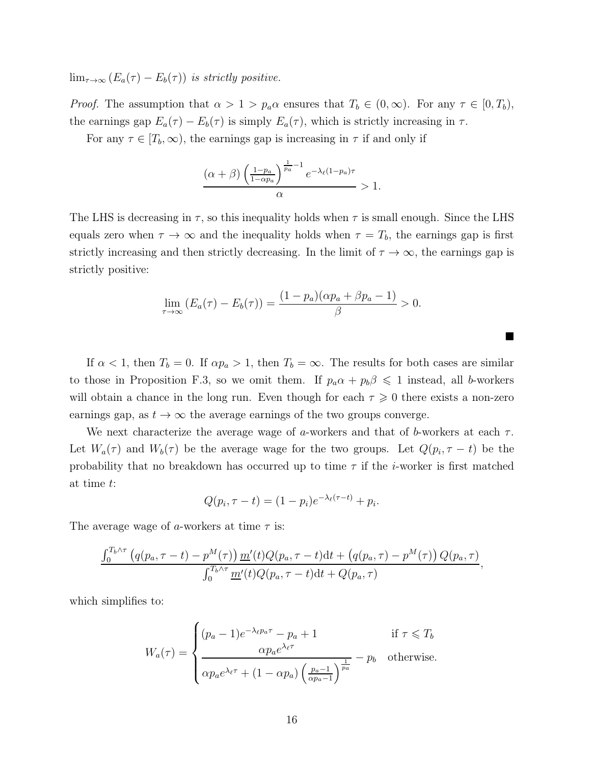$\lim_{\tau\to\infty} (E_a(\tau) - E_b(\tau))$  is strictly positive.

*Proof.* The assumption that  $\alpha > 1 > p_a \alpha$  ensures that  $T_b \in (0, \infty)$ . For any  $\tau \in [0, T_b)$ , the earnings gap  $E_a(\tau) - E_b(\tau)$  is simply  $E_a(\tau)$ , which is strictly increasing in  $\tau$ .

For any  $\tau \in [T_b, \infty)$ , the earnings gap is increasing in  $\tau$  if and only if

$$
\frac{(\alpha+\beta)\left(\frac{1-p_a}{1-\alpha p_a}\right)^{\frac{1}{p_a}-1}e^{-\lambda_{\ell}(1-p_a)\tau}}{\alpha} > 1.
$$

The LHS is decreasing in  $\tau$ , so this inequality holds when  $\tau$  is small enough. Since the LHS equals zero when  $\tau \to \infty$  and the inequality holds when  $\tau = T_b$ , the earnings gap is first strictly increasing and then strictly decreasing. In the limit of  $\tau \to \infty$ , the earnings gap is strictly positive:

$$
\lim_{\tau \to \infty} \left( E_a(\tau) - E_b(\tau) \right) = \frac{(1 - p_a)(\alpha p_a + \beta p_a - 1)}{\beta} > 0.
$$

If  $\alpha < 1$ , then  $T_b = 0$ . If  $\alpha p_a > 1$ , then  $T_b = \infty$ . The results for both cases are similar to those in Proposition [F.3,](#page-55-0) so we omit them. If  $p_a \alpha + p_b \beta \leq 1$  instead, all b-workers will obtain a chance in the long run. Even though for each  $\tau \geq 0$  there exists a non-zero earnings gap, as  $t \to \infty$  the average earnings of the two groups converge.

We next characterize the average wage of a-workers and that of b-workers at each  $\tau$ . Let  $W_a(\tau)$  and  $W_b(\tau)$  be the average wage for the two groups. Let  $Q(p_i, \tau - t)$  be the probability that no breakdown has occurred up to time  $\tau$  if the *i*-worker is first matched at time t:

$$
Q(p_i, \tau - t) = (1 - p_i)e^{-\lambda_{\ell}(\tau - t)} + p_i.
$$

The average wage of a-workers at time  $\tau$  is:

$$
\frac{\int_0^{T_b \wedge \tau} (q(p_a, \tau - t) - p^M(\tau)) \underline{m}'(t) Q(p_a, \tau - t) dt + (q(p_a, \tau) - p^M(\tau)) Q(p_a, \tau)}{\int_0^{T_b \wedge \tau} \underline{m}'(t) Q(p_a, \tau - t) dt + Q(p_a, \tau)},
$$

which simplifies to:

$$
W_a(\tau) = \begin{cases} (p_a - 1)e^{-\lambda_{\ell}p_a\tau} - p_a + 1 & \text{if } \tau \le T_b\\ \frac{\alpha p_a e^{\lambda_{\ell}\tau}}{\alpha p_a e^{\lambda_{\ell}\tau} + (1 - \alpha p_a) \left(\frac{p_a - 1}{\alpha p_a - 1}\right)^{\frac{1}{p_a}}} - p_b & \text{otherwise.} \end{cases}
$$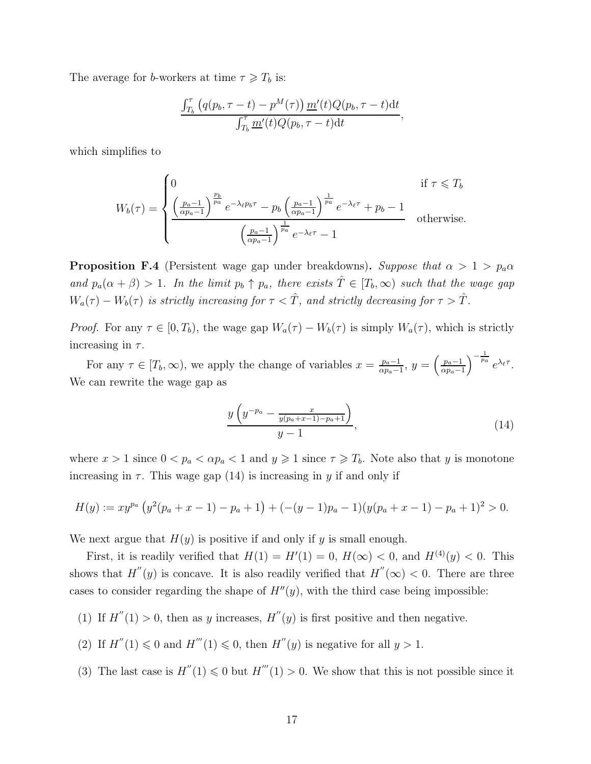The average for b-workers at time  $\tau \geq T_b$  is:

$$
\frac{\int_{T_b}^{\tau} \left( q(p_b, \tau - t) - p^M(\tau) \right) \underline{m}'(t) Q(p_b, \tau - t) \mathrm{d}t}{\int_{T_b}^{\tau} \underline{m}'(t) Q(p_b, \tau - t) \mathrm{d}t},
$$

which simplifies to

$$
W_b(\tau) = \begin{cases} 0 & \text{if } \tau \leq T_b \\ \frac{\left(\frac{p_a - 1}{\alpha p_a - 1}\right)^{\frac{p_b}{p_a}} e^{-\lambda_{\ell} p_b \tau} - p_b \left(\frac{p_a - 1}{\alpha p_a - 1}\right)^{\frac{1}{p_a}} e^{-\lambda_{\ell} \tau} + p_b - 1 \\ \frac{\left(\frac{p_a - 1}{\alpha p_a - 1}\right)^{\frac{1}{p_a}} e^{-\lambda_{\ell} \tau} - 1}{\left(\frac{p_a - 1}{\alpha p_a - 1}\right)^{\frac{1}{p_a}} e^{-\lambda_{\ell} \tau} - 1} & \text{otherwise.} \end{cases}
$$

<span id="page-57-0"></span>**Proposition F.4** (Persistent wage gap under breakdowns). Suppose that  $\alpha > 1 > p_a \alpha$ and  $p_a(\alpha + \beta) > 1$ . In the limit  $p_b \uparrow p_a$ , there exists  $\hat{T} \in [T_b, \infty)$  such that the wage gap  $W_a(\tau) - W_b(\tau)$  is strictly increasing for  $\tau < \hat{T}$ , and strictly decreasing for  $\tau > \hat{T}$ .

*Proof.* For any  $\tau \in [0, T_b)$ , the wage gap  $W_a(\tau) - W_b(\tau)$  is simply  $W_a(\tau)$ , which is strictly increasing in  $\tau$ .

For any  $\tau \in [T_b, \infty)$ , we apply the change of variables  $x = \frac{p_a - 1}{\alpha p_a - 1}$  $\frac{p_a-1}{\alpha p_a-1},\ y=\left(\frac{p_a-1}{\alpha p_a-1}\right)$  $\alpha p_a-1$  $\int_{-\frac{1}{p_a}}^{\frac{1}{p_a}} e^{\lambda_{\ell} \tau}$ . We can rewrite the wage gap as

<span id="page-57-1"></span>
$$
\frac{y\left(y^{-p_a} - \frac{x}{y(p_a + x - 1) - p_a + 1}\right)}{y - 1},\tag{14}
$$

where  $x > 1$  since  $0 < p_a < \alpha p_a < 1$  and  $y \geq 1$  since  $\tau \geq T_b$ . Note also that y is monotone increasing in  $\tau$ . This wage gap [\(14\)](#page-57-1) is increasing in y if and only if

$$
H(y) := xy^{p_a} \left( y^2(p_a + x - 1) - p_a + 1 \right) + \left( -(y - 1)p_a - 1 \right) \left( y(p_a + x - 1) - p_a + 1 \right)^2 > 0.
$$

We next argue that  $H(y)$  is positive if and only if y is small enough.

First, it is readily verified that  $H(1) = H'(1) = 0$ ,  $H(\infty) < 0$ , and  $H^{(4)}(y) < 0$ . This shows that  $H''(y)$  is concave. It is also readily verified that  $H''(\infty) < 0$ . There are three cases to consider regarding the shape of  $H''(y)$ , with the third case being impossible:

- (1) If  $H''(1) > 0$ , then as y increases,  $H''(y)$  is first positive and then negative.
- (2) If  $H''(1) \leq 0$  and  $H'''(1) \leq 0$ , then  $H''(y)$  is negative for all  $y > 1$ .
- (3) The last case is  $H''(1) \leq 0$  but  $H'''(1) > 0$ . We show that this is not possible since it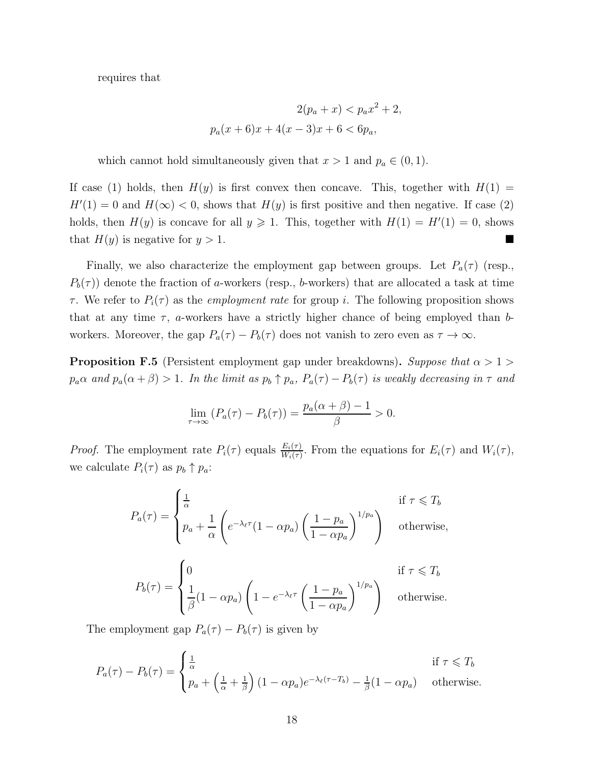requires that

$$
2(p_a + x) < p_a x^2 + 2,
$$
\n
$$
p_a(x+6)x + 4(x-3)x + 6 < 6p_a,
$$

which cannot hold simultaneously given that  $x > 1$  and  $p_a \in (0, 1)$ .

If case (1) holds, then  $H(y)$  is first convex then concave. This, together with  $H(1) =$  $H'(1) = 0$  and  $H(\infty) < 0$ , shows that  $H(y)$  is first positive and then negative. If case (2) holds, then  $H(y)$  is concave for all  $y \ge 1$ . This, together with  $H(1) = H'(1) = 0$ , shows that  $H(y)$  is negative for  $y > 1$ .

Finally, we also characterize the employment gap between groups. Let  $P_a(\tau)$  (resp.,  $P_b(\tau)$ ) denote the fraction of a-workers (resp., b-workers) that are allocated a task at time  $\tau$ . We refer to  $P_i(\tau)$  as the *employment rate* for group *i*. The following proposition shows that at any time  $\tau$ , *a*-workers have a strictly higher chance of being employed than *b*workers. Moreover, the gap  $P_a(\tau) - P_b(\tau)$  does not vanish to zero even as  $\tau \to \infty$ .

<span id="page-58-0"></span>**Proposition F.5** (Persistent employment gap under breakdowns). Suppose that  $\alpha > 1$  $p_a\alpha$  and  $p_a(\alpha+\beta) > 1$ . In the limit as  $p_b \uparrow p_a$ ,  $P_a(\tau) - P_b(\tau)$  is weakly decreasing in  $\tau$  and

$$
\lim_{\tau \to \infty} (P_a(\tau) - P_b(\tau)) = \frac{p_a(\alpha + \beta) - 1}{\beta} > 0.
$$

*Proof.* The employment rate  $P_i(\tau)$  equals  $\frac{E_i(\tau)}{W_i(\tau)}$ . From the equations for  $E_i(\tau)$  and  $W_i(\tau)$ , we calculate  $P_i(\tau)$  as  $p_b \uparrow p_a$ :

$$
P_a(\tau) = \begin{cases} \frac{1}{\alpha} & \text{if } \tau \leq T_b \\ p_a + \frac{1}{\alpha} \left( e^{-\lambda_{\ell} \tau} (1 - \alpha p_a) \left( \frac{1 - p_a}{1 - \alpha p_a} \right)^{1/p_a} \right) & \text{otherwise,} \end{cases}
$$
  

$$
P_b(\tau) = \begin{cases} 0 & \text{if } \tau \leq T_b \\ \frac{1}{\beta} (1 - \alpha p_a) \left( 1 - e^{-\lambda_{\ell} \tau} \left( \frac{1 - p_a}{1 - \alpha p_a} \right)^{1/p_a} \right) & \text{otherwise.} \end{cases}
$$

The employment gap  $P_a(\tau) - P_b(\tau)$  is given by

$$
P_a(\tau) - P_b(\tau) = \begin{cases} \frac{1}{\alpha} & \text{if } \tau \leq T_b \\ p_a + \left(\frac{1}{\alpha} + \frac{1}{\beta}\right)(1 - \alpha p_a)e^{-\lambda_\ell(\tau - T_b)} - \frac{1}{\beta}(1 - \alpha p_a) & \text{otherwise.} \end{cases}
$$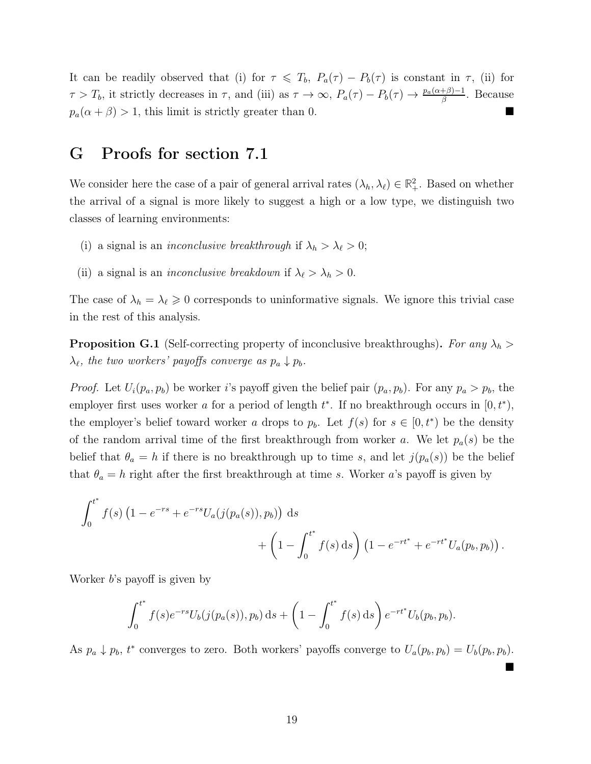It can be readily observed that (i) for  $\tau \leq T_b$ ,  $P_a(\tau) - P_b(\tau)$  is constant in  $\tau$ , (ii) for  $\tau > T_b$ , it strictly decreases in  $\tau$ , and (iii) as  $\tau \to \infty$ ,  $P_a(\tau) - P_b(\tau) \to \frac{p_a(\alpha+\beta)-1}{\beta}$ . Because  $p_a(\alpha + \beta) > 1$ , this limit is strictly greater than 0.

## <span id="page-59-1"></span>G Proofs for section [7.1](#page-24-0)

We consider here the case of a pair of general arrival rates  $(\lambda_h, \lambda_{\ell}) \in \mathbb{R}^2_+$ . Based on whether the arrival of a signal is more likely to suggest a high or a low type, we distinguish two classes of learning environments:

- (i) a signal is an *inconclusive breakthrough* if  $\lambda_h > \lambda_\ell > 0$ ;
- (ii) a signal is an *inconclusive breakdown* if  $\lambda_{\ell} > \lambda_h > 0$ .

The case of  $\lambda_h = \lambda_\ell \geq 0$  corresponds to uninformative signals. We ignore this trivial case in the rest of this analysis.

<span id="page-59-0"></span>**Proposition G.1** (Self-correcting property of inconclusive breakthroughs). For any  $\lambda_h$  $\lambda_{\ell}$ , the two workers' payoffs converge as  $p_a \downarrow p_b$ .

*Proof.* Let  $U_i(p_a, p_b)$  be worker i's payoff given the belief pair  $(p_a, p_b)$ . For any  $p_a > p_b$ , the employer first uses worker a for a period of length  $t^*$ . If no breakthrough occurs in  $[0, t^*),$ the employer's belief toward worker a drops to  $p_b$ . Let  $f(s)$  for  $s \in [0, t^*)$  be the density of the random arrival time of the first breakthrough from worker a. We let  $p_a(s)$  be the belief that  $\theta_a = h$  if there is no breakthrough up to time s, and let  $j(p_a(s))$  be the belief that  $\theta_a = h$  right after the first breakthrough at time s. Worker a's payoff is given by

$$
\int_0^{t^*} f(s) \left( 1 - e^{-rs} + e^{-rs} U_a(j(p_a(s)), p_b) \right) ds + \left( 1 - \int_0^{t^*} f(s) ds \right) \left( 1 - e^{-rt^*} + e^{-rt^*} U_a(p_b, p_b) \right).
$$

Worker *b*'s payoff is given by

$$
\int_0^{t^*} f(s)e^{-rs}U_b(j(p_a(s)), p_b) ds + \left(1 - \int_0^{t^*} f(s) ds\right) e^{-rt^*}U_b(p_b, p_b).
$$

As  $p_a \downarrow p_b$ ,  $t^*$  converges to zero. Both workers' payoffs converge to  $U_a(p_b, p_b) = U_b(p_b, p_b)$ .